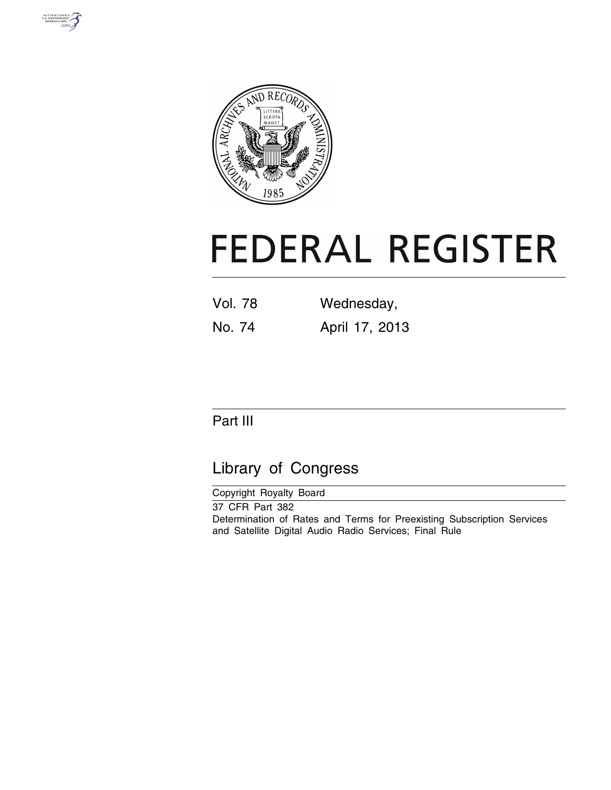



# **FEDERAL REGISTER**

| <b>Vol. 78</b> | Wednesday,     |
|----------------|----------------|
| No. 74         | April 17, 2013 |

# Part III

# Library of Congress

Copyright Royalty Board 37 CFR Part 382 Determination of Rates and Terms for Preexisting Subscription Services and Satellite Digital Audio Radio Services; Final Rule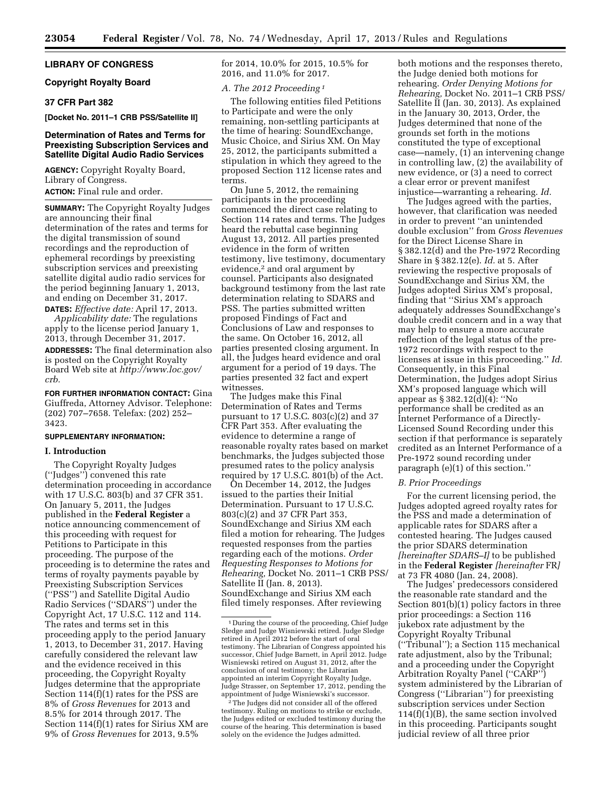## **LIBRARY OF CONGRESS**

#### **Copyright Royalty Board**

# **37 CFR Part 382**

**[Docket No. 2011–1 CRB PSS/Satellite II]** 

# **Determination of Rates and Terms for Preexisting Subscription Services and Satellite Digital Audio Radio Services**

**AGENCY:** Copyright Royalty Board, Library of Congress. **ACTION:** Final rule and order.

**SUMMARY:** The Copyright Royalty Judges are announcing their final determination of the rates and terms for the digital transmission of sound recordings and the reproduction of ephemeral recordings by preexisting subscription services and preexisting satellite digital audio radio services for the period beginning January 1, 2013, and ending on December 31, 2017.

**DATES:** *Effective date:* April 17, 2013. *Applicability date:* The regulations apply to the license period January 1, 2013, through December 31, 2017. **ADDRESSES:** The final determination also is posted on the Copyright Royalty Board Web site at *[http://www.loc.gov/](http://www.loc.gov/crb)  [crb.](http://www.loc.gov/crb)* 

**FOR FURTHER INFORMATION CONTACT:** Gina Giuffreda, Attorney Advisor. Telephone: (202) 707–7658. Telefax: (202) 252– 3423.

#### **SUPPLEMENTARY INFORMATION:**

# **I. Introduction**

The Copyright Royalty Judges (''Judges'') convened this rate determination proceeding in accordance with 17 U.S.C. 803(b) and 37 CFR 351. On January 5, 2011, the Judges published in the **Federal Register** a notice announcing commencement of this proceeding with request for Petitions to Participate in this proceeding. The purpose of the proceeding is to determine the rates and terms of royalty payments payable by Preexisting Subscription Services (''PSS'') and Satellite Digital Audio Radio Services (''SDARS'') under the Copyright Act, 17 U.S.C. 112 and 114. The rates and terms set in this proceeding apply to the period January 1, 2013, to December 31, 2017. Having carefully considered the relevant law and the evidence received in this proceeding, the Copyright Royalty Judges determine that the appropriate Section 114(f)(1) rates for the PSS are 8% of *Gross Revenues* for 2013 and 8.5% for 2014 through 2017. The Section 114(f)(1) rates for Sirius XM are 9% of *Gross Revenues* for 2013, 9.5%

for 2014, 10.0% for 2015, 10.5% for 2016, and 11.0% for 2017.

#### *A. The 2012 Proceeding 1*

The following entities filed Petitions to Participate and were the only remaining, non-settling participants at the time of hearing: SoundExchange, Music Choice, and Sirius XM. On May 25, 2012, the participants submitted a stipulation in which they agreed to the proposed Section 112 license rates and terms.

On June 5, 2012, the remaining participants in the proceeding commenced the direct case relating to Section 114 rates and terms. The Judges heard the rebuttal case beginning August 13, 2012. All parties presented evidence in the form of written testimony, live testimony, documentary evidence,<sup>2</sup> and oral argument by counsel. Participants also designated background testimony from the last rate determination relating to SDARS and PSS. The parties submitted written proposed Findings of Fact and Conclusions of Law and responses to the same. On October 16, 2012, all parties presented closing argument. In all, the Judges heard evidence and oral argument for a period of 19 days. The parties presented 32 fact and expert witnesses.

The Judges make this Final Determination of Rates and Terms pursuant to 17 U.S.C. 803(c)(2) and 37 CFR Part 353. After evaluating the evidence to determine a range of reasonable royalty rates based on market benchmarks, the Judges subjected those presumed rates to the policy analysis required by 17 U.S.C. 801(b) of the Act.

On December 14, 2012, the Judges issued to the parties their Initial Determination. Pursuant to 17 U.S.C. 803(c)(2) and 37 CFR Part 353, SoundExchange and Sirius XM each filed a motion for rehearing. The Judges requested responses from the parties regarding each of the motions. *Order Requesting Responses to Motions for Rehearing,* Docket No. 2011–1 CRB PSS/ Satellite II (Jan. 8, 2013). SoundExchange and Sirius XM each filed timely responses. After reviewing

both motions and the responses thereto, the Judge denied both motions for rehearing. *Order Denying Motions for Rehearing,* Docket No. 2011–1 CRB PSS/ Satellite II (Jan. 30, 2013). As explained in the January 30, 2013, Order, the Judges determined that none of the grounds set forth in the motions constituted the type of exceptional case—namely, (1) an intervening change in controlling law, (2) the availability of new evidence, or (3) a need to correct a clear error or prevent manifest injustice—warranting a rehearing. *Id.* 

The Judges agreed with the parties, however, that clarification was needed in order to prevent ''an unintended double exclusion'' from *Gross Revenues*  for the Direct License Share in § 382.12(d) and the Pre-1972 Recording Share in § 382.12(e). *Id.* at 5. After reviewing the respective proposals of SoundExchange and Sirius XM, the Judges adopted Sirius XM's proposal, finding that ''Sirius XM's approach adequately addresses SoundExchange's double credit concern and in a way that may help to ensure a more accurate reflection of the legal status of the pre-1972 recordings with respect to the licenses at issue in this proceeding.'' *Id.*  Consequently, in this Final Determination, the Judges adopt Sirius XM's proposed language which will appear as § 382.12(d)(4): ''No performance shall be credited as an Internet Performance of a Directly-Licensed Sound Recording under this section if that performance is separately credited as an Internet Performance of a Pre-1972 sound recording under paragraph (e)(1) of this section.''

#### *B. Prior Proceedings*

For the current licensing period, the Judges adopted agreed royalty rates for the PSS and made a determination of applicable rates for SDARS after a contested hearing. The Judges caused the prior SDARS determination *[hereinafter SDARS–I]* to be published in the **Federal Register** *[hereinafter* FR*]*  at 73 FR 4080 (Jan. 24, 2008).

The Judges' predecessors considered the reasonable rate standard and the Section 801(b)(1) policy factors in three prior proceedings: a Section 116 jukebox rate adjustment by the Copyright Royalty Tribunal (''Tribunal''); a Section 115 mechanical rate adjustment, also by the Tribunal; and a proceeding under the Copyright Arbitration Royalty Panel (''CARP'') system administered by the Librarian of Congress (''Librarian'') for preexisting subscription services under Section 114(f)(1)(B), the same section involved in this proceeding. Participants sought judicial review of all three prior

<sup>1</sup> During the course of the proceeding, Chief Judge Sledge and Judge Wisniewski retired. Judge Sledge retired in April 2012 before the start of oral testimony. The Librarian of Congress appointed his successor, Chief Judge Barnett, in April 2012. Judge Wisniewski retired on August 31, 2012, after the conclusion of oral testimony; the Librarian appointed an interim Copyright Royalty Judge, Judge Strasser, on September 17, 2012, pending the appointment of Judge Wisniewski's successor.

<sup>2</sup>The Judges did not consider all of the offered testimony. Ruling on motions to strike or exclude, the Judges edited or excluded testimony during the course of the hearing. This determination is based solely on the evidence the Judges admitted.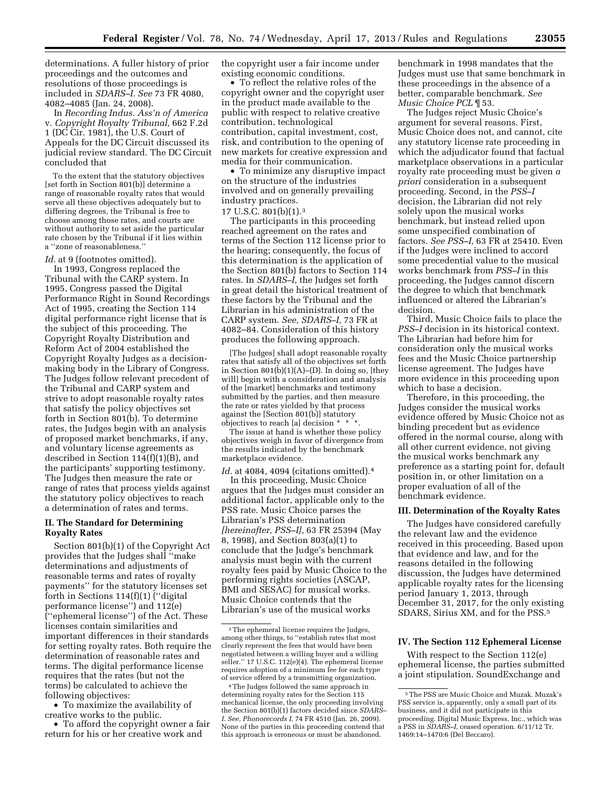determinations. A fuller history of prior proceedings and the outcomes and resolutions of those proceedings is included in *SDARS–I. See* 73 FR 4080, 4082–4085 (Jan. 24, 2008).

In *Recording Indus. Ass'n of America*  v. *Copyright Royalty Tribunal,* 662 F.2d 1 (DC Cir. 1981), the U.S. Court of Appeals for the DC Circuit discussed its judicial review standard. The DC Circuit concluded that

To the extent that the statutory objectives [set forth in Section 801(b)] determine a range of reasonable royalty rates that would serve all these objectives adequately but to differing degrees, the Tribunal is free to choose among those rates, and courts are without authority to set aside the particular rate chosen by the Tribunal if it lies within a ''zone of reasonableness.''

#### Id. at 9 (footnotes omitted).

In 1993, Congress replaced the Tribunal with the CARP system. In 1995, Congress passed the Digital Performance Right in Sound Recordings Act of 1995, creating the Section 114 digital performance right license that is the subject of this proceeding. The Copyright Royalty Distribution and Reform Act of 2004 established the Copyright Royalty Judges as a decisionmaking body in the Library of Congress. The Judges follow relevant precedent of the Tribunal and CARP system and strive to adopt reasonable royalty rates that satisfy the policy objectives set forth in Section 801(b). To determine rates, the Judges begin with an analysis of proposed market benchmarks, if any, and voluntary license agreements as described in Section 114(f)(1)(B), and the participants' supporting testimony. The Judges then measure the rate or range of rates that process yields against the statutory policy objectives to reach a determination of rates and terms.

#### **II. The Standard for Determining Royalty Rates**

Section 801(b)(1) of the Copyright Act provides that the Judges shall ''make determinations and adjustments of reasonable terms and rates of royalty payments'' for the statutory licenses set forth in Sections 114(f)(1) (''digital performance license'') and 112(e) (''ephemeral license'') of the Act. These licenses contain similarities and important differences in their standards for setting royalty rates. Both require the determination of reasonable rates and terms. The digital performance license requires that the rates (but not the terms) be calculated to achieve the following objectives:

• To maximize the availability of creative works to the public.

• To afford the copyright owner a fair return for his or her creative work and

the copyright user a fair income under existing economic conditions.

• To reflect the relative roles of the copyright owner and the copyright user in the product made available to the public with respect to relative creative contribution, technological contribution, capital investment, cost, risk, and contribution to the opening of new markets for creative expression and media for their communication.

• To minimize any disruptive impact on the structure of the industries involved and on generally prevailing industry practices.

# 17 U.S.C. 801(b)(1).3

The participants in this proceeding reached agreement on the rates and terms of the Section 112 license prior to the hearing; consequently, the focus of this determination is the application of the Section 801(b) factors to Section 114 rates. In *SDARS–I,* the Judges set forth in great detail the historical treatment of these factors by the Tribunal and the Librarian in his administration of the CARP system. *See, SDARS–I,* 73 FR at 4082–84. Consideration of this history produces the following approach.

[The Judges] shall adopt reasonable royalty rates that satisfy all of the objectives set forth in Section  $801(b)(1)(A)$ –(D). In doing so, [they will] begin with a consideration and analysis of the [market] benchmarks and testimony submitted by the parties, and then measure the rate or rates yielded by that process against the [Section 801(b)] statutory objectives to reach [a] decision \* \* \*.

The issue at hand is whether these policy objectives weigh in favor of divergence from the results indicated by the benchmark marketplace evidence.

*Id.* at 4084, 4094 (citations omitted).4

In this proceeding, Music Choice argues that the Judges must consider an additional factor, applicable only to the PSS rate. Music Choice parses the Librarian's PSS determination *[hereinafter, PSS–I],* 63 FR 25394 (May 8, 1998), and Section 803(a)(1) to conclude that the Judge's benchmark analysis must begin with the current royalty fees paid by Music Choice to the performing rights societies (ASCAP, BMI and SESAC) for musical works. Music Choice contends that the Librarian's use of the musical works

benchmark in 1998 mandates that the Judges must use that same benchmark in these proceedings in the absence of a better, comparable benchmark. *See Music Choice PCL* ¶ 53.

The Judges reject Music Choice's argument for several reasons. First, Music Choice does not, and cannot, cite any statutory license rate proceeding in which the adjudicator found that factual marketplace observations in a particular royalty rate proceeding must be given *a priori* consideration in a subsequent proceeding. Second, in the *PSS–I*  decision, the Librarian did not rely solely upon the musical works benchmark, but instead relied upon some unspecified combination of factors. *See PSS–I,* 63 FR at 25410. Even if the Judges were inclined to accord some precedential value to the musical works benchmark from *PSS–I* in this proceeding, the Judges cannot discern the degree to which that benchmark influenced or altered the Librarian's decision.

Third, Music Choice fails to place the *PSS–I* decision in its historical context. The Librarian had before him for consideration only the musical works fees and the Music Choice partnership license agreement. The Judges have more evidence in this proceeding upon which to base a decision.

Therefore, in this proceeding, the Judges consider the musical works evidence offered by Music Choice not as binding precedent but as evidence offered in the normal course, along with all other current evidence, not giving the musical works benchmark any preference as a starting point for, default position in, or other limitation on a proper evaluation of all of the benchmark evidence.

#### **III. Determination of the Royalty Rates**

The Judges have considered carefully the relevant law and the evidence received in this proceeding. Based upon that evidence and law, and for the reasons detailed in the following discussion, the Judges have determined applicable royalty rates for the licensing period January 1, 2013, through December 31, 2017, for the only existing SDARS, Sirius XM, and for the PSS.5

# **IV. The Section 112 Ephemeral License**

With respect to the Section 112(e) ephemeral license, the parties submitted a joint stipulation. SoundExchange and

<sup>3</sup>The ephemeral license requires the Judges, among other things, to ''establish rates that most clearly represent the fees that would have been negotiated between a willing buyer and a willing seller.'' 17 U.S.C. 112(e)(4). The ephemeral license requires adoption of a minimum fee for each type of service offered by a transmitting organization.

<sup>4</sup>The Judges followed the same approach in determining royalty rates for the Section 115 mechanical license, the only proceeding involving the Section 801(b)(1) factors decided since *SDARS– I. See, Phonorecords I,* 74 FR 4510 (Jan. 26, 2009). None of the parties in this proceeding contend that this approach is erroneous or must be abandoned.

<sup>5</sup>The PSS are Music Choice and Muzak. Muzak's PSS service is, apparently, only a small part of its business, and it did not participate in this proceeding. Digital Music Express, Inc., which was a PSS in *SDARS–I,* ceased operation. 6/11/12 Tr. 1469:14–1470:6 (Del Beccaro).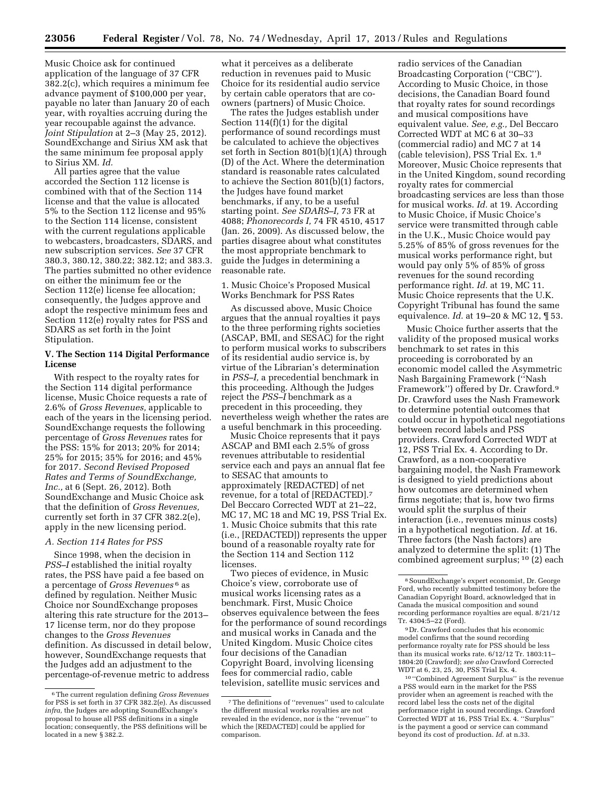Music Choice ask for continued application of the language of 37 CFR 382.2(c), which requires a minimum fee advance payment of \$100,000 per year, payable no later than January 20 of each year, with royalties accruing during the year recoupable against the advance. *Joint Stipulation* at 2–3 (May 25, 2012). SoundExchange and Sirius XM ask that the same minimum fee proposal apply to Sirius XM. *Id.* 

All parties agree that the value accorded the Section 112 license is combined with that of the Section 114 license and that the value is allocated 5% to the Section 112 license and 95% to the Section 114 license, consistent with the current regulations applicable to webcasters, broadcasters, SDARS, and new subscription services. *See* 37 CFR 380.3, 380.12, 380.22; 382.12; and 383.3. The parties submitted no other evidence on either the minimum fee or the Section 112(e) license fee allocation; consequently, the Judges approve and adopt the respective minimum fees and Section 112(e) royalty rates for PSS and SDARS as set forth in the Joint Stipulation.

# **V. The Section 114 Digital Performance License**

With respect to the royalty rates for the Section 114 digital performance license, Music Choice requests a rate of 2.6% of *Gross Revenues,* applicable to each of the years in the licensing period. SoundExchange requests the following percentage of *Gross Revenues* rates for the PSS: 15% for 2013; 20% for 2014; 25% for 2015; 35% for 2016; and 45% for 2017. *Second Revised Proposed Rates and Terms of SoundExchange, Inc.,* at 6 (Sept. 26, 2012). Both SoundExchange and Music Choice ask that the definition of *Gross Revenues,*  currently set forth in 37 CFR 382.2(e), apply in the new licensing period.

#### *A. Section 114 Rates for PSS*

Since 1998, when the decision in *PSS–I* established the initial royalty rates, the PSS have paid a fee based on a percentage of *Gross Revenues* 6 as defined by regulation. Neither Music Choice nor SoundExchange proposes altering this rate structure for the 2013– 17 license term, nor do they propose changes to the *Gross Revenues*  definition. As discussed in detail below, however, SoundExchange requests that the Judges add an adjustment to the percentage-of-revenue metric to address

what it perceives as a deliberate reduction in revenues paid to Music Choice for its residential audio service by certain cable operators that are coowners (partners) of Music Choice.

The rates the Judges establish under Section 114(f)(1) for the digital performance of sound recordings must be calculated to achieve the objectives set forth in Section 801(b)(1)(A) through (D) of the Act. Where the determination standard is reasonable rates calculated to achieve the Section 801(b)(1) factors, the Judges have found market benchmarks, if any, to be a useful starting point. *See SDARS–I,* 73 FR at 4088; *Phonorecords I,* 74 FR 4510, 4517 (Jan. 26, 2009). As discussed below, the parties disagree about what constitutes the most appropriate benchmark to guide the Judges in determining a reasonable rate.

# 1. Music Choice's Proposed Musical Works Benchmark for PSS Rates

As discussed above, Music Choice argues that the annual royalties it pays to the three performing rights societies (ASCAP, BMI, and SESAC) for the right to perform musical works to subscribers of its residential audio service is, by virtue of the Librarian's determination in *PSS–I,* a precedential benchmark in this proceeding. Although the Judges reject the *PSS–I* benchmark as a precedent in this proceeding, they nevertheless weigh whether the rates are a useful benchmark in this proceeding.

Music Choice represents that it pays ASCAP and BMI each 2.5% of gross revenues attributable to residential service each and pays an annual flat fee to SESAC that amounts to approximately [REDACTED] of net revenue, for a total of [REDACTED].7 Del Beccaro Corrected WDT at 21–22, MC 17, MC 18 and MC 19, PSS Trial Ex. 1. Music Choice submits that this rate (i.e., [REDACTED]) represents the upper bound of a reasonable royalty rate for the Section 114 and Section 112 licenses.

Two pieces of evidence, in Music Choice's view, corroborate use of musical works licensing rates as a benchmark. First, Music Choice observes equivalence between the fees for the performance of sound recordings and musical works in Canada and the United Kingdom. Music Choice cites four decisions of the Canadian Copyright Board, involving licensing fees for commercial radio, cable television, satellite music services and

radio services of the Canadian Broadcasting Corporation (''CBC''). According to Music Choice, in those decisions, the Canadian Board found that royalty rates for sound recordings and musical compositions have equivalent value. *See, e.g.,* Del Beccaro Corrected WDT at MC 6 at 30–33 (commercial radio) and MC 7 at 14 (cable television), PSS Trial Ex. 1.8 Moreover, Music Choice represents that in the United Kingdom, sound recording royalty rates for commercial broadcasting services are less than those for musical works. *Id.* at 19. According to Music Choice, if Music Choice's service were transmitted through cable in the U.K., Music Choice would pay 5.25% of 85% of gross revenues for the musical works performance right, but would pay only 5% of 85% of gross revenues for the sound recording performance right. *Id.* at 19, MC 11. Music Choice represents that the U.K. Copyright Tribunal has found the same equivalence. *Id.* at 19–20 & MC 12, ¶ 53.

Music Choice further asserts that the validity of the proposed musical works benchmark to set rates in this proceeding is corroborated by an economic model called the Asymmetric Nash Bargaining Framework (''Nash Framework'') offered by Dr. Crawford.9 Dr. Crawford uses the Nash Framework to determine potential outcomes that could occur in hypothetical negotiations between record labels and PSS providers. Crawford Corrected WDT at 12, PSS Trial Ex. 4. According to Dr. Crawford, as a non-cooperative bargaining model, the Nash Framework is designed to yield predictions about how outcomes are determined when firms negotiate; that is, how two firms would split the surplus of their interaction (i.e., revenues minus costs) in a hypothetical negotiation. *Id.* at 16. Three factors (the Nash factors) are analyzed to determine the split: (1) The combined agreement surplus; 10 (2) each

9 Dr. Crawford concludes that his economic model confirms that the sound recording performance royalty rate for PSS should be less than its musical works rate. 6/12/12 Tr. 1803:11– 1804:20 (Crawford); *see also* Crawford Corrected WDT at 6, 23, 25, 30, PSS Trial Ex. 4.

10 ''Combined Agreement Surplus'' is the revenue a PSS would earn in the market for the PSS provider when an agreement is reached with the record label less the costs net of the digital performance right in sound recordings. Crawford Corrected WDT at 16, PSS Trial Ex. 4. ''Surplus'' is the payment a good or service can command beyond its cost of production. *Id.* at n.33.

<sup>6</sup>The current regulation defining *Gross Revenues*  for PSS is set forth in 37 CFR 382.2(e). As discussed *infra,* the Judges are adopting SoundExchange's proposal to house all PSS definitions in a single location; consequently, the PSS definitions will be located in a new § 382.2.

<sup>7</sup>The definitions of ''revenues'' used to calculate the different musical works royalties are not revealed in the evidence, nor is the ''revenue'' to which the [REDACTED] could be applied for comparison.

<sup>8</sup>SoundExchange's expert economist, Dr. George Ford, who recently submitted testimony before the Canadian Copyright Board, acknowledged that in Canada the musical composition and sound recording performance royalties are equal. 8/21/12 Tr. 4304:5–22 (Ford).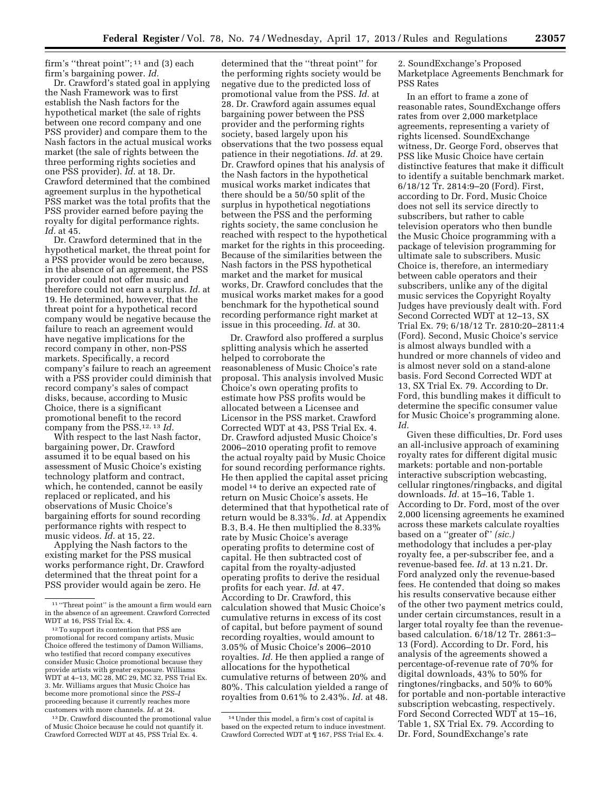firm's "threat point";  $11$  and (3) each firm's bargaining power. *Id.* 

Dr. Crawford's stated goal in applying the Nash Framework was to first establish the Nash factors for the hypothetical market (the sale of rights between one record company and one PSS provider) and compare them to the Nash factors in the actual musical works market (the sale of rights between the three performing rights societies and one PSS provider). *Id.* at 18. Dr. Crawford determined that the combined agreement surplus in the hypothetical PSS market was the total profits that the PSS provider earned before paying the royalty for digital performance rights. *Id.* at 45.

Dr. Crawford determined that in the hypothetical market, the threat point for a PSS provider would be zero because, in the absence of an agreement, the PSS provider could not offer music and therefore could not earn a surplus. *Id.* at 19. He determined, however, that the threat point for a hypothetical record company would be negative because the failure to reach an agreement would have negative implications for the record company in other, non-PSS markets. Specifically, a record company's failure to reach an agreement with a PSS provider could diminish that record company's sales of compact disks, because, according to Music Choice, there is a significant promotional benefit to the record company from the PSS.12, 13 *Id.* 

With respect to the last Nash factor, bargaining power, Dr. Crawford assumed it to be equal based on his assessment of Music Choice's existing technology platform and contract, which, he contended, cannot be easily replaced or replicated, and his observations of Music Choice's bargaining efforts for sound recording performance rights with respect to music videos. *Id.* at 15, 22.

Applying the Nash factors to the existing market for the PSS musical works performance right, Dr. Crawford determined that the threat point for a PSS provider would again be zero. He

13 Dr. Crawford discounted the promotional value of Music Choice because he could not quantify it. Crawford Corrected WDT at 45, PSS Trial Ex. 4.

determined that the ''threat point'' for the performing rights society would be negative due to the predicted loss of promotional value from the PSS. *Id.* at 28. Dr. Crawford again assumes equal bargaining power between the PSS provider and the performing rights society, based largely upon his observations that the two possess equal patience in their negotiations. *Id.* at 29. Dr. Crawford opines that his analysis of the Nash factors in the hypothetical musical works market indicates that there should be a 50/50 split of the surplus in hypothetical negotiations between the PSS and the performing rights society, the same conclusion he reached with respect to the hypothetical market for the rights in this proceeding. Because of the similarities between the Nash factors in the PSS hypothetical market and the market for musical works, Dr. Crawford concludes that the musical works market makes for a good benchmark for the hypothetical sound recording performance right market at issue in this proceeding. *Id.* at 30.

Dr. Crawford also proffered a surplus splitting analysis which he asserted helped to corroborate the reasonableness of Music Choice's rate proposal. This analysis involved Music Choice's own operating profits to estimate how PSS profits would be allocated between a Licensee and Licensor in the PSS market. Crawford Corrected WDT at 43, PSS Trial Ex. 4. Dr. Crawford adjusted Music Choice's 2006–2010 operating profit to remove the actual royalty paid by Music Choice for sound recording performance rights. He then applied the capital asset pricing model 14 to derive an expected rate of return on Music Choice's assets. He determined that that hypothetical rate of return would be 8.33%. *Id.* at Appendix B.3, B.4. He then multiplied the 8.33% rate by Music Choice's average operating profits to determine cost of capital. He then subtracted cost of capital from the royalty-adjusted operating profits to derive the residual profits for each year. *Id.* at 47. According to Dr. Crawford, this calculation showed that Music Choice's cumulative returns in excess of its cost of capital, but before payment of sound recording royalties, would amount to 3.05% of Music Choice's 2006–2010 royalties. *Id.* He then applied a range of allocations for the hypothetical cumulative returns of between 20% and 80%. This calculation yielded a range of royalties from 0.61% to 2.43%. *Id.* at 48.

2. SoundExchange's Proposed Marketplace Agreements Benchmark for PSS Rates

In an effort to frame a zone of reasonable rates, SoundExchange offers rates from over 2,000 marketplace agreements, representing a variety of rights licensed. SoundExchange witness, Dr. George Ford, observes that PSS like Music Choice have certain distinctive features that make it difficult to identify a suitable benchmark market. 6/18/12 Tr. 2814:9–20 (Ford). First, according to Dr. Ford, Music Choice does not sell its service directly to subscribers, but rather to cable television operators who then bundle the Music Choice programming with a package of television programming for ultimate sale to subscribers. Music Choice is, therefore, an intermediary between cable operators and their subscribers, unlike any of the digital music services the Copyright Royalty Judges have previously dealt with. Ford Second Corrected WDT at 12–13, SX Trial Ex. 79; 6/18/12 Tr. 2810:20–2811:4 (Ford). Second, Music Choice's service is almost always bundled with a hundred or more channels of video and is almost never sold on a stand-alone basis. Ford Second Corrected WDT at 13, SX Trial Ex. 79. According to Dr. Ford, this bundling makes it difficult to determine the specific consumer value for Music Choice's programming alone. *Id.* 

Given these difficulties, Dr. Ford uses an all-inclusive approach of examining royalty rates for different digital music markets: portable and non-portable interactive subscription webcasting, cellular ringtones/ringbacks, and digital downloads. *Id.* at 15–16, Table 1. According to Dr. Ford, most of the over 2,000 licensing agreements he examined across these markets calculate royalties based on a ''greater of'' *(sic.)*  methodology that includes a per-play royalty fee, a per-subscriber fee, and a revenue-based fee. *Id.* at 13 n.21. Dr. Ford analyzed only the revenue-based fees. He contended that doing so makes his results conservative because either of the other two payment metrics could, under certain circumstances, result in a larger total royalty fee than the revenuebased calculation. 6/18/12 Tr. 2861:3– 13 (Ford). According to Dr. Ford, his analysis of the agreements showed a percentage-of-revenue rate of 70% for digital downloads, 43% to 50% for ringtones/ringbacks, and 50% to 60% for portable and non-portable interactive subscription webcasting, respectively. Ford Second Corrected WDT at 15–16, Table 1, SX Trial Ex. 79. According to Dr. Ford, SoundExchange's rate

<sup>11</sup> ''Threat point'' is the amount a firm would earn in the absence of an agreement. Crawford Corrected WDT at 16, PSS Trial Ex. 4.

<sup>12</sup>To support its contention that PSS are promotional for record company artists, Music Choice offered the testimony of Damon Williams, who testified that record company executives consider Music Choice promotional because they provide artists with greater exposure. Williams WDT at 4–13, MC 28, MC 29, MC 32, PSS Trial Ex. 3. Mr. Williams argues that Music Choice has become more promotional since the *PSS–I*  proceeding because it currently reaches more customers with more channels. *Id.* at 24.

<sup>14</sup>Under this model, a firm's cost of capital is based on the expected return to induce investment. Crawford Corrected WDT at ¶ 167, PSS Trial Ex. 4.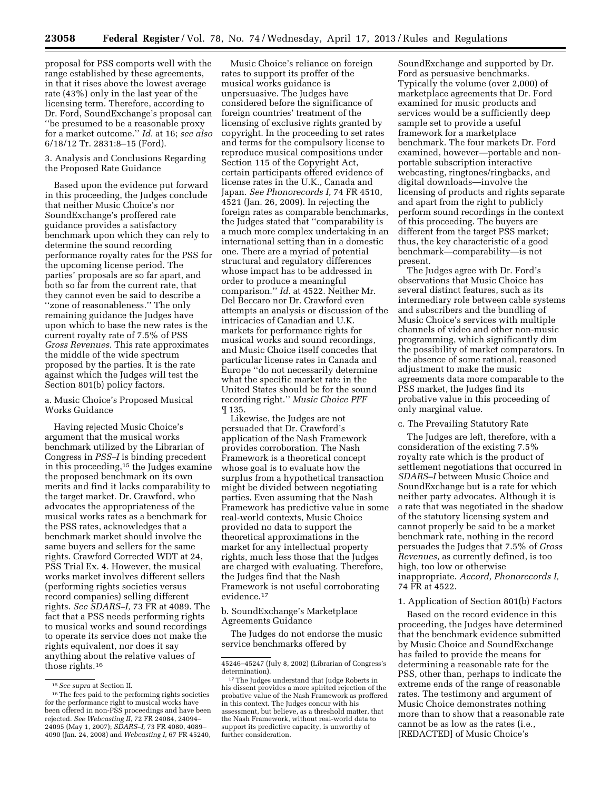proposal for PSS comports well with the range established by these agreements, in that it rises above the lowest average rate (43%) only in the last year of the licensing term. Therefore, according to Dr. Ford, SoundExchange's proposal can ''be presumed to be a reasonable proxy for a market outcome.'' *Id.* at 16; *see also*  6/18/12 Tr. 2831:8–15 (Ford).

3. Analysis and Conclusions Regarding the Proposed Rate Guidance

Based upon the evidence put forward in this proceeding, the Judges conclude that neither Music Choice's nor SoundExchange's proffered rate guidance provides a satisfactory benchmark upon which they can rely to determine the sound recording performance royalty rates for the PSS for the upcoming license period. The parties' proposals are so far apart, and both so far from the current rate, that they cannot even be said to describe a ''zone of reasonableness.'' The only remaining guidance the Judges have upon which to base the new rates is the current royalty rate of 7.5% of PSS *Gross Revenues.* This rate approximates the middle of the wide spectrum proposed by the parties. It is the rate against which the Judges will test the Section 801(b) policy factors.

# a. Music Choice's Proposed Musical Works Guidance

Having rejected Music Choice's argument that the musical works benchmark utilized by the Librarian of Congress in *PSS–I* is binding precedent in this proceeding,15 the Judges examine the proposed benchmark on its own merits and find it lacks comparability to the target market. Dr. Crawford, who advocates the appropriateness of the musical works rates as a benchmark for the PSS rates, acknowledges that a benchmark market should involve the same buyers and sellers for the same rights. Crawford Corrected WDT at 24, PSS Trial Ex. 4. However, the musical works market involves different sellers (performing rights societies versus record companies) selling different rights. *See SDARS–I,* 73 FR at 4089. The fact that a PSS needs performing rights to musical works and sound recordings to operate its service does not make the rights equivalent, nor does it say anything about the relative values of those rights.16

Music Choice's reliance on foreign rates to support its proffer of the musical works guidance is unpersuasive. The Judges have considered before the significance of foreign countries' treatment of the licensing of exclusive rights granted by copyright. In the proceeding to set rates and terms for the compulsory license to reproduce musical compositions under Section 115 of the Copyright Act, certain participants offered evidence of license rates in the U.K., Canada and Japan. *See Phonorecords I,* 74 FR 4510, 4521 (Jan. 26, 2009). In rejecting the foreign rates as comparable benchmarks, the Judges stated that ''comparability is a much more complex undertaking in an international setting than in a domestic one. There are a myriad of potential structural and regulatory differences whose impact has to be addressed in order to produce a meaningful comparison.'' *Id.* at 4522. Neither Mr. Del Beccaro nor Dr. Crawford even attempts an analysis or discussion of the intricacies of Canadian and U.K. markets for performance rights for musical works and sound recordings, and Music Choice itself concedes that particular license rates in Canada and Europe ''do not necessarily determine what the specific market rate in the United States should be for the sound recording right.'' *Music Choice PFF*  ¶ 135.

Likewise, the Judges are not persuaded that Dr. Crawford's application of the Nash Framework provides corroboration. The Nash Framework is a theoretical concept whose goal is to evaluate how the surplus from a hypothetical transaction might be divided between negotiating parties. Even assuming that the Nash Framework has predictive value in some real-world contexts, Music Choice provided no data to support the theoretical approximations in the market for any intellectual property rights, much less those that the Judges are charged with evaluating. Therefore, the Judges find that the Nash Framework is not useful corroborating evidence.17

b. SoundExchange's Marketplace Agreements Guidance

The Judges do not endorse the music service benchmarks offered by

SoundExchange and supported by Dr. Ford as persuasive benchmarks. Typically the volume (over 2,000) of marketplace agreements that Dr. Ford examined for music products and services would be a sufficiently deep sample set to provide a useful framework for a marketplace benchmark. The four markets Dr. Ford examined, however—portable and nonportable subscription interactive webcasting, ringtones/ringbacks, and digital downloads—involve the licensing of products and rights separate and apart from the right to publicly perform sound recordings in the context of this proceeding. The buyers are different from the target PSS market; thus, the key characteristic of a good benchmark—comparability—is not present.

The Judges agree with Dr. Ford's observations that Music Choice has several distinct features, such as its intermediary role between cable systems and subscribers and the bundling of Music Choice's services with multiple channels of video and other non-music programming, which significantly dim the possibility of market comparators. In the absence of some rational, reasoned adjustment to make the music agreements data more comparable to the PSS market, the Judges find its probative value in this proceeding of only marginal value.

# c. The Prevailing Statutory Rate

The Judges are left, therefore, with a consideration of the existing 7.5% royalty rate which is the product of settlement negotiations that occurred in *SDARS–I* between Music Choice and SoundExchange but is a rate for which neither party advocates. Although it is a rate that was negotiated in the shadow of the statutory licensing system and cannot properly be said to be a market benchmark rate, nothing in the record persuades the Judges that 7.5% of *Gross Revenues,* as currently defined, is too high, too low or otherwise inappropriate. *Accord, Phonorecords I,*  74 FR at 4522.

#### 1. Application of Section 801(b) Factors

Based on the record evidence in this proceeding, the Judges have determined that the benchmark evidence submitted by Music Choice and SoundExchange has failed to provide the means for determining a reasonable rate for the PSS, other than, perhaps to indicate the extreme ends of the range of reasonable rates. The testimony and argument of Music Choice demonstrates nothing more than to show that a reasonable rate cannot be as low as the rates (i.e., [REDACTED] of Music Choice's

<sup>15</sup>*See supra* at Section II.

<sup>16</sup>The fees paid to the performing rights societies for the performance right to musical works have been offered in non-PSS proceedings and have been rejected. *See Webcasting II,* 72 FR 24084, 24094– 24095 (May 1, 2007); *SDARS–I,* 73 FR 4080, 4089– 4090 (Jan. 24, 2008) and *Webcasting I,* 67 FR 45240,

<sup>45246–45247 (</sup>July 8, 2002) (Librarian of Congress's

<sup>&</sup>lt;sup>17</sup>The Judges understand that Judge Roberts in his dissent provides a more spirited rejection of the probative value of the Nash Framework as proffered in this context. The Judges concur with his assessment, but believe, as a threshold matter, that the Nash Framework, without real-world data to support its predictive capacity, is unworthy of further consideration.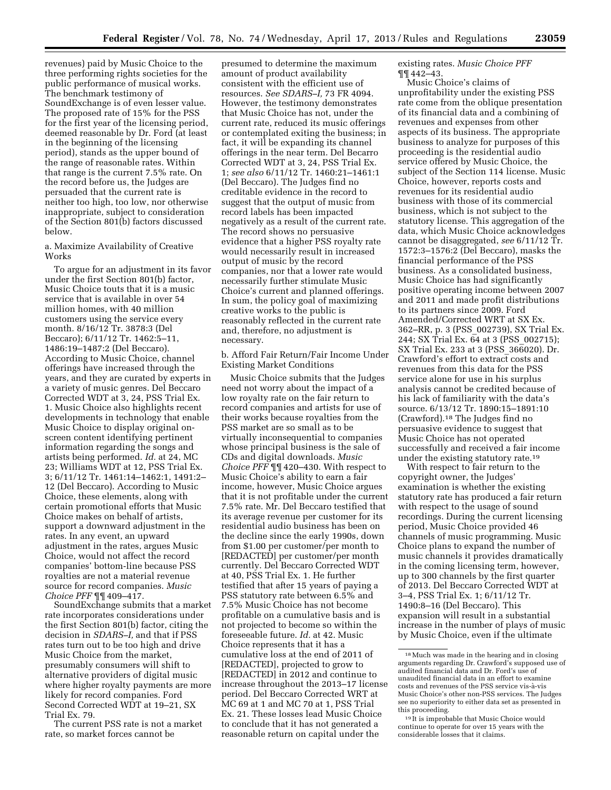revenues) paid by Music Choice to the three performing rights societies for the public performance of musical works. The benchmark testimony of SoundExchange is of even lesser value. The proposed rate of 15% for the PSS for the first year of the licensing period, deemed reasonable by Dr. Ford (at least in the beginning of the licensing period), stands as the upper bound of the range of reasonable rates. Within that range is the current 7.5% rate. On the record before us, the Judges are persuaded that the current rate is neither too high, too low, nor otherwise inappropriate, subject to consideration of the Section 801(b) factors discussed below.

a. Maximize Availability of Creative Works

To argue for an adjustment in its favor under the first Section 801(b) factor, Music Choice touts that it is a music service that is available in over 54 million homes, with 40 million customers using the service every month. 8/16/12 Tr. 3878:3 (Del Beccaro); 6/11/12 Tr. 1462:5–11, 1486:19–1487:2 (Del Beccaro). According to Music Choice, channel offerings have increased through the years, and they are curated by experts in a variety of music genres. Del Beccaro Corrected WDT at 3, 24, PSS Trial Ex. 1. Music Choice also highlights recent developments in technology that enable Music Choice to display original onscreen content identifying pertinent information regarding the songs and artists being performed. *Id.* at 24, MC 23; Williams WDT at 12, PSS Trial Ex. 3; 6/11/12 Tr. 1461:14–1462:1, 1491:2– 12 (Del Beccaro). According to Music Choice, these elements, along with certain promotional efforts that Music Choice makes on behalf of artists, support a downward adjustment in the rates. In any event, an upward adjustment in the rates, argues Music Choice, would not affect the record companies' bottom-line because PSS royalties are not a material revenue source for record companies. *Music Choice PFF* ¶¶ 409–417.

SoundExchange submits that a market rate incorporates considerations under the first Section 801(b) factor, citing the decision in *SDARS–I,* and that if PSS rates turn out to be too high and drive Music Choice from the market, presumably consumers will shift to alternative providers of digital music where higher royalty payments are more likely for record companies. Ford Second Corrected WDT at 19–21, SX Trial Ex. 79.

The current PSS rate is not a market rate, so market forces cannot be

presumed to determine the maximum amount of product availability consistent with the efficient use of resources. *See SDARS–I,* 73 FR 4094. However, the testimony demonstrates that Music Choice has not, under the current rate, reduced its music offerings or contemplated exiting the business; in fact, it will be expanding its channel offerings in the near term. Del Becarro Corrected WDT at 3, 24, PSS Trial Ex. 1; *see also* 6/11/12 Tr. 1460:21–1461:1 (Del Beccaro). The Judges find no creditable evidence in the record to suggest that the output of music from record labels has been impacted negatively as a result of the current rate. The record shows no persuasive evidence that a higher PSS royalty rate would necessarily result in increased output of music by the record companies, nor that a lower rate would necessarily further stimulate Music Choice's current and planned offerings. In sum, the policy goal of maximizing creative works to the public is reasonably reflected in the current rate and, therefore, no adjustment is necessary.

b. Afford Fair Return/Fair Income Under Existing Market Conditions

Music Choice submits that the Judges need not worry about the impact of a low royalty rate on the fair return to record companies and artists for use of their works because royalties from the PSS market are so small as to be virtually inconsequential to companies whose principal business is the sale of CDs and digital downloads. *Music Choice PFF* ¶¶ 420–430. With respect to Music Choice's ability to earn a fair income, however, Music Choice argues that it is not profitable under the current 7.5% rate. Mr. Del Beccaro testified that its average revenue per customer for its residential audio business has been on the decline since the early 1990s, down from \$1.00 per customer/per month to [REDACTED] per customer/per month currently. Del Beccaro Corrected WDT at 40, PSS Trial Ex. 1. He further testified that after 15 years of paying a PSS statutory rate between 6.5% and 7.5% Music Choice has not become profitable on a cumulative basis and is not projected to become so within the foreseeable future. *Id.* at 42. Music Choice represents that it has a cumulative loss at the end of 2011 of [REDACTED], projected to grow to [REDACTED] in 2012 and continue to increase throughout the 2013–17 license period. Del Beccaro Corrected WRT at MC 69 at 1 and MC 70 at 1, PSS Trial Ex. 21. These losses lead Music Choice to conclude that it has not generated a reasonable return on capital under the

existing rates. *Music Choice PFF*  ¶¶ 442–43.

Music Choice's claims of unprofitability under the existing PSS rate come from the oblique presentation of its financial data and a combining of revenues and expenses from other aspects of its business. The appropriate business to analyze for purposes of this proceeding is the residential audio service offered by Music Choice, the subject of the Section 114 license. Music Choice, however, reports costs and revenues for its residential audio business with those of its commercial business, which is not subject to the statutory license. This aggregation of the data, which Music Choice acknowledges cannot be disaggregated, *see* 6/11/12 Tr. 1572:3–1576:2 (Del Beccaro), masks the financial performance of the PSS business. As a consolidated business, Music Choice has had significantly positive operating income between 2007 and 2011 and made profit distributions to its partners since 2009. Ford Amended/Corrected WRT at SX Ex. 362–RR, p. 3 (PSS\_002739), SX Trial Ex. 244; SX Trial Ex. 64 at 3 (PSS\_002715); SX Trial Ex. 233 at 3 (PSS\_366020). Dr. Crawford's effort to extract costs and revenues from this data for the PSS service alone for use in his surplus analysis cannot be credited because of his lack of familiarity with the data's source. 6/13/12 Tr. 1890:15–1891:10 (Crawford).18 The Judges find no persuasive evidence to suggest that Music Choice has not operated successfully and received a fair income under the existing statutory rate.19

With respect to fair return to the copyright owner, the Judges' examination is whether the existing statutory rate has produced a fair return with respect to the usage of sound recordings. During the current licensing period, Music Choice provided 46 channels of music programming. Music Choice plans to expand the number of music channels it provides dramatically in the coming licensing term, however, up to 300 channels by the first quarter of 2013. Del Beccaro Corrected WDT at 3–4, PSS Trial Ex. 1; 6/11/12 Tr. 1490:8–16 (Del Beccaro). This expansion will result in a substantial increase in the number of plays of music by Music Choice, even if the ultimate

<sup>18</sup>Much was made in the hearing and in closing arguments regarding Dr. Crawford's supposed use of audited financial data and Dr. Ford's use of unaudited financial data in an effort to examine costs and revenues of the PSS service vis-a`-vis Music Choice's other non-PSS services. The Judges see no superiority to either data set as presented in this proceeding.

<sup>&</sup>lt;sup>19</sup> It is improbable that Music Choice would continue to operate for over 15 years with the considerable losses that it claims.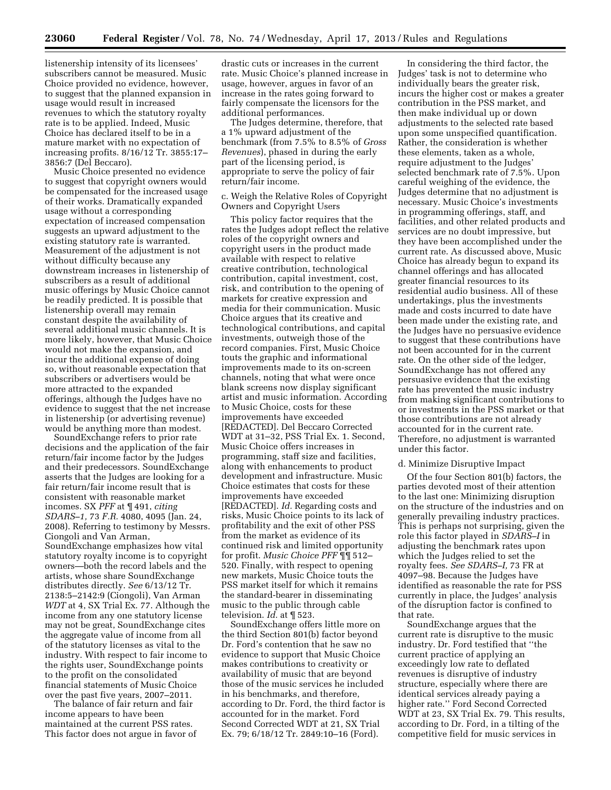listenership intensity of its licensees' subscribers cannot be measured. Music Choice provided no evidence, however, to suggest that the planned expansion in usage would result in increased revenues to which the statutory royalty rate is to be applied. Indeed, Music Choice has declared itself to be in a mature market with no expectation of increasing profits. 8/16/12 Tr. 3855:17– 3856:7 (Del Beccaro).

Music Choice presented no evidence to suggest that copyright owners would be compensated for the increased usage of their works. Dramatically expanded usage without a corresponding expectation of increased compensation suggests an upward adjustment to the existing statutory rate is warranted. Measurement of the adjustment is not without difficulty because any downstream increases in listenership of subscribers as a result of additional music offerings by Music Choice cannot be readily predicted. It is possible that listenership overall may remain constant despite the availability of several additional music channels. It is more likely, however, that Music Choice would not make the expansion, and incur the additional expense of doing so, without reasonable expectation that subscribers or advertisers would be more attracted to the expanded offerings, although the Judges have no evidence to suggest that the net increase in listenership (or advertising revenue) would be anything more than modest.

SoundExchange refers to prior rate decisions and the application of the fair return/fair income factor by the Judges and their predecessors. SoundExchange asserts that the Judges are looking for a fair return/fair income result that is consistent with reasonable market incomes. SX *PFF* at ¶ 491, *citing SDARS–1,* 73 *F.R.* 4080, 4095 (Jan. 24, 2008). Referring to testimony by Messrs. Ciongoli and Van Arman, SoundExchange emphasizes how vital statutory royalty income is to copyright owners—both the record labels and the artists, whose share SoundExchange distributes directly. *See* 6/13/12 Tr. 2138:5–2142:9 (Ciongoli), Van Arman *WDT* at 4, SX Trial Ex. 77. Although the income from any one statutory license may not be great, SoundExchange cites the aggregate value of income from all of the statutory licenses as vital to the industry. With respect to fair income to the rights user, SoundExchange points to the profit on the consolidated financial statements of Music Choice over the past five years, 2007–2011.

The balance of fair return and fair income appears to have been maintained at the current PSS rates. This factor does not argue in favor of

drastic cuts or increases in the current rate. Music Choice's planned increase in usage, however, argues in favor of an increase in the rates going forward to fairly compensate the licensors for the additional performances.

The Judges determine, therefore, that a 1% upward adjustment of the benchmark (from 7.5% to 8.5% of *Gross Revenues*), phased in during the early part of the licensing period, is appropriate to serve the policy of fair return/fair income.

c. Weigh the Relative Roles of Copyright Owners and Copyright Users

This policy factor requires that the rates the Judges adopt reflect the relative roles of the copyright owners and copyright users in the product made available with respect to relative creative contribution, technological contribution, capital investment, cost, risk, and contribution to the opening of markets for creative expression and media for their communication. Music Choice argues that its creative and technological contributions, and capital investments, outweigh those of the record companies. First, Music Choice touts the graphic and informational improvements made to its on-screen channels, noting that what were once blank screens now display significant artist and music information. According to Music Choice, costs for these improvements have exceeded [REDACTED]. Del Beccaro Corrected WDT at 31–32, PSS Trial Ex. 1. Second, Music Choice offers increases in programming, staff size and facilities, along with enhancements to product development and infrastructure. Music Choice estimates that costs for these improvements have exceeded [REDACTED]. *Id.* Regarding costs and risks, Music Choice points to its lack of profitability and the exit of other PSS from the market as evidence of its continued risk and limited opportunity for profit. *Music Choice PFF* ¶¶ 512– 520. Finally, with respect to opening new markets, Music Choice touts the PSS market itself for which it remains the standard-bearer in disseminating music to the public through cable television. *Id.* at ¶ 523.

SoundExchange offers little more on the third Section 801(b) factor beyond Dr. Ford's contention that he saw no evidence to support that Music Choice makes contributions to creativity or availability of music that are beyond those of the music services he included in his benchmarks, and therefore, according to Dr. Ford, the third factor is accounted for in the market. Ford Second Corrected WDT at 21, SX Trial Ex. 79; 6/18/12 Tr. 2849:10–16 (Ford).

In considering the third factor, the Judges' task is not to determine who individually bears the greater risk, incurs the higher cost or makes a greater contribution in the PSS market, and then make individual up or down adjustments to the selected rate based upon some unspecified quantification. Rather, the consideration is whether these elements, taken as a whole, require adjustment to the Judges' selected benchmark rate of 7.5%. Upon careful weighing of the evidence, the Judges determine that no adjustment is necessary. Music Choice's investments in programming offerings, staff, and facilities, and other related products and services are no doubt impressive, but they have been accomplished under the current rate. As discussed above, Music Choice has already begun to expand its channel offerings and has allocated greater financial resources to its residential audio business. All of these undertakings, plus the investments made and costs incurred to date have been made under the existing rate, and the Judges have no persuasive evidence to suggest that these contributions have not been accounted for in the current rate. On the other side of the ledger, SoundExchange has not offered any persuasive evidence that the existing rate has prevented the music industry from making significant contributions to or investments in the PSS market or that those contributions are not already accounted for in the current rate. Therefore, no adjustment is warranted under this factor.

#### d. Minimize Disruptive Impact

Of the four Section 801(b) factors, the parties devoted most of their attention to the last one: Minimizing disruption on the structure of the industries and on generally prevailing industry practices. This is perhaps not surprising, given the role this factor played in *SDARS–I* in adjusting the benchmark rates upon which the Judges relied to set the royalty fees. *See SDARS–I,* 73 FR at 4097–98. Because the Judges have identified as reasonable the rate for PSS currently in place, the Judges' analysis of the disruption factor is confined to that rate.

SoundExchange argues that the current rate is disruptive to the music industry. Dr. Ford testified that ''the current practice of applying an exceedingly low rate to deflated revenues is disruptive of industry structure, especially where there are identical services already paying a higher rate.'' Ford Second Corrected WDT at 23, SX Trial Ex. 79. This results, according to Dr. Ford, in a tilting of the competitive field for music services in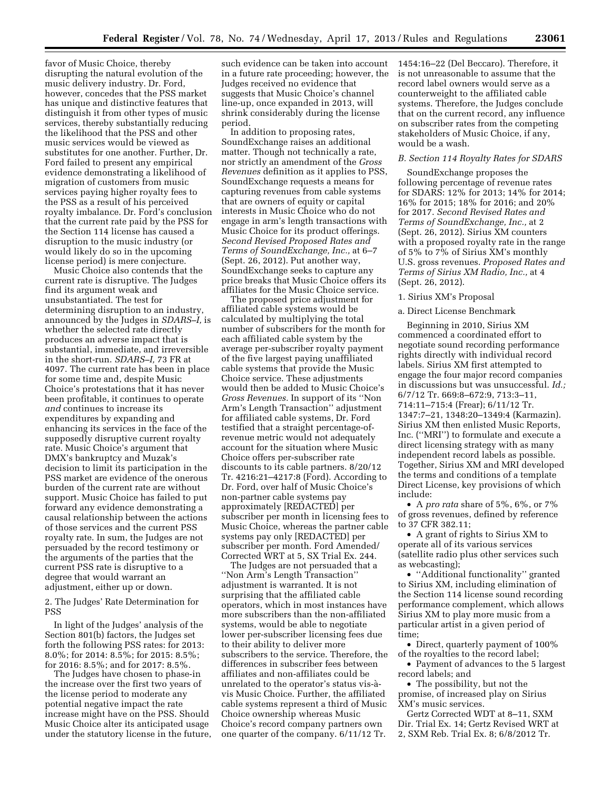favor of Music Choice, thereby disrupting the natural evolution of the music delivery industry. Dr. Ford, however, concedes that the PSS market has unique and distinctive features that distinguish it from other types of music services, thereby substantially reducing the likelihood that the PSS and other music services would be viewed as substitutes for one another. Further, Dr. Ford failed to present any empirical evidence demonstrating a likelihood of migration of customers from music services paying higher royalty fees to the PSS as a result of his perceived royalty imbalance. Dr. Ford's conclusion that the current rate paid by the PSS for the Section 114 license has caused a disruption to the music industry (or would likely do so in the upcoming license period) is mere conjecture.

Music Choice also contends that the current rate is disruptive. The Judges find its argument weak and unsubstantiated. The test for determining disruption to an industry, announced by the Judges in *SDARS–I,* is whether the selected rate directly produces an adverse impact that is substantial, immediate, and irreversible in the short-run. *SDARS–I,* 73 FR at 4097. The current rate has been in place for some time and, despite Music Choice's protestations that it has never been profitable, it continues to operate *and* continues to increase its expenditures by expanding and enhancing its services in the face of the supposedly disruptive current royalty rate. Music Choice's argument that DMX's bankruptcy and Muzak's decision to limit its participation in the PSS market are evidence of the onerous burden of the current rate are without support. Music Choice has failed to put forward any evidence demonstrating a causal relationship between the actions of those services and the current PSS royalty rate. In sum, the Judges are not persuaded by the record testimony or the arguments of the parties that the current PSS rate is disruptive to a degree that would warrant an adjustment, either up or down.

2. The Judges' Rate Determination for PSS

In light of the Judges' analysis of the Section 801(b) factors, the Judges set forth the following PSS rates: for 2013: 8.0%; for 2014: 8.5%; for 2015: 8.5%; for 2016: 8.5%; and for 2017: 8.5%.

The Judges have chosen to phase-in the increase over the first two years of the license period to moderate any potential negative impact the rate increase might have on the PSS. Should Music Choice alter its anticipated usage under the statutory license in the future,

such evidence can be taken into account in a future rate proceeding; however, the Judges received no evidence that suggests that Music Choice's channel line-up, once expanded in 2013, will shrink considerably during the license period.

In addition to proposing rates, SoundExchange raises an additional matter. Though not technically a rate, nor strictly an amendment of the *Gross Revenues* definition as it applies to PSS, SoundExchange requests a means for capturing revenues from cable systems that are owners of equity or capital interests in Music Choice who do not engage in arm's length transactions with Music Choice for its product offerings. *Second Revised Proposed Rates and Terms of SoundExchange, Inc.,* at 6–7 (Sept. 26, 2012). Put another way, SoundExchange seeks to capture any price breaks that Music Choice offers its affiliates for the Music Choice service.

The proposed price adjustment for affiliated cable systems would be calculated by multiplying the total number of subscribers for the month for each affiliated cable system by the average per-subscriber royalty payment of the five largest paying unaffiliated cable systems that provide the Music Choice service. These adjustments would then be added to Music Choice's *Gross Revenues.* In support of its ''Non Arm's Length Transaction'' adjustment for affiliated cable systems, Dr. Ford testified that a straight percentage-ofrevenue metric would not adequately account for the situation where Music Choice offers per-subscriber rate discounts to its cable partners. 8/20/12 Tr. 4216:21–4217:8 (Ford). According to Dr. Ford, over half of Music Choice's non-partner cable systems pay approximately [REDACTED] per subscriber per month in licensing fees to Music Choice, whereas the partner cable systems pay only [REDACTED] per subscriber per month. Ford Amended/ Corrected WRT at 5, SX Trial Ex. 244.

The Judges are not persuaded that a ''Non Arm's Length Transaction'' adjustment is warranted. It is not surprising that the affiliated cable operators, which in most instances have more subscribers than the non-affiliated systems, would be able to negotiate lower per-subscriber licensing fees due to their ability to deliver more subscribers to the service. Therefore, the differences in subscriber fees between affiliates and non-affiliates could be unrelated to the operator's status vis-a` vis Music Choice. Further, the affiliated cable systems represent a third of Music Choice ownership whereas Music Choice's record company partners own one quarter of the company. 6/11/12 Tr.

1454:16–22 (Del Beccaro). Therefore, it is not unreasonable to assume that the record label owners would serve as a counterweight to the affiliated cable systems. Therefore, the Judges conclude that on the current record, any influence on subscriber rates from the competing stakeholders of Music Choice, if any, would be a wash.

#### *B. Section 114 Royalty Rates for SDARS*

SoundExchange proposes the following percentage of revenue rates for SDARS: 12% for 2013; 14% for 2014; 16% for 2015; 18% for 2016; and 20% for 2017. *Second Revised Rates and Terms of SoundExchange, Inc.,* at 2 (Sept. 26, 2012). Sirius XM counters with a proposed royalty rate in the range of 5% to 7% of Sirius XM's monthly U.S. gross revenues. *Proposed Rates and Terms of Sirius XM Radio, Inc.,* at 4 (Sept. 26, 2012).

#### 1. Sirius XM's Proposal

# a. Direct License Benchmark

Beginning in 2010, Sirius XM commenced a coordinated effort to negotiate sound recording performance rights directly with individual record labels. Sirius XM first attempted to engage the four major record companies in discussions but was unsuccessful. *Id.;*  6/7/12 Tr. 669:8–672:9, 713:3–11, 714:11–715:4 (Frear); 6/11/12 Tr. 1347:7–21, 1348:20–1349:4 (Karmazin). Sirius XM then enlisted Music Reports, Inc. (''MRI'') to formulate and execute a direct licensing strategy with as many independent record labels as possible. Together, Sirius XM and MRI developed the terms and conditions of a template Direct License, key provisions of which include:

• A *pro rata* share of 5%, 6%, or 7% of gross revenues, defined by reference to 37 CFR 382.11;

• A grant of rights to Sirius XM to operate all of its various services (satellite radio plus other services such as webcasting);

• ''Additional functionality'' granted to Sirius XM, including elimination of the Section 114 license sound recording performance complement, which allows Sirius XM to play more music from a particular artist in a given period of time;

• Direct, quarterly payment of 100% of the royalties to the record label;

• Payment of advances to the 5 largest record labels; and

• The possibility, but not the promise, of increased play on Sirius XM's music services.

Gertz Corrected WDT at 8–11, SXM Dir. Trial Ex. 14; Gertz Revised WRT at 2, SXM Reb. Trial Ex. 8; 6/8/2012 Tr.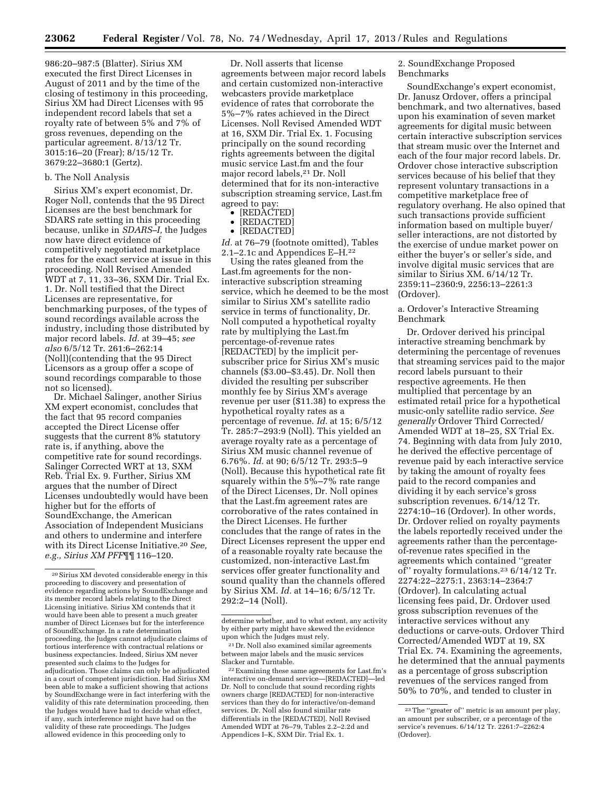986:20–987:5 (Blatter). Sirius XM executed the first Direct Licenses in August of 2011 and by the time of the closing of testimony in this proceeding, Sirius XM had Direct Licenses with 95 independent record labels that set a royalty rate of between 5% and 7% of gross revenues, depending on the particular agreement. 8/13/12 Tr. 3015:16–20 (Frear); 8/15/12 Tr. 3679:22–3680:1 (Gertz).

#### b. The Noll Analysis

Sirius XM's expert economist, Dr. Roger Noll, contends that the 95 Direct Licenses are the best benchmark for SDARS rate setting in this proceeding because, unlike in *SDARS–I,* the Judges now have direct evidence of competitively negotiated marketplace rates for the exact service at issue in this proceeding. Noll Revised Amended WDT at 7, 11, 33–36, SXM Dir. Trial Ex. 1. Dr. Noll testified that the Direct Licenses are representative, for benchmarking purposes, of the types of sound recordings available across the industry, including those distributed by major record labels. *Id.* at 39–45; *see also* 6/5/12 Tr. 261:6–262:14 (Noll)(contending that the 95 Direct Licensors as a group offer a scope of sound recordings comparable to those not so licensed).

Dr. Michael Salinger, another Sirius XM expert economist, concludes that the fact that 95 record companies accepted the Direct License offer suggests that the current 8% statutory rate is, if anything, above the competitive rate for sound recordings. Salinger Corrected WRT at 13, SXM Reb. Trial Ex. 9. Further, Sirius XM argues that the number of Direct Licenses undoubtedly would have been higher but for the efforts of SoundExchange, the American Association of Independent Musicians and others to undermine and interfere with its Direct License Initiative.20 *See, e.g., Sirius XM PFF*¶¶ 116–120.

Dr. Noll asserts that license agreements between major record labels and certain customized non-interactive webcasters provide marketplace evidence of rates that corroborate the 5%–7% rates achieved in the Direct Licenses. Noll Revised Amended WDT at 16, SXM Dir. Trial Ex. 1. Focusing principally on the sound recording rights agreements between the digital music service Last.fm and the four major record labels,21 Dr. Noll determined that for its non-interactive subscription streaming service, Last.fm agreed to pay:

- [REDACTED]
- [REDACTED]
- [REDACTED]

*Id.* at 76–79 (footnote omitted), Tables 2.1–2.1c and Appendices E–H.22

Using the rates gleaned from the Last.fm agreements for the noninteractive subscription streaming service, which he deemed to be the most similar to Sirius XM's satellite radio service in terms of functionality, Dr. Noll computed a hypothetical royalty rate by multiplying the Last.fm percentage-of-revenue rates [REDACTED] by the implicit persubscriber price for Sirius XM's music channels (\$3.00–\$3.45). Dr. Noll then divided the resulting per subscriber monthly fee by Sirius XM's average revenue per user (\$11.38) to express the hypothetical royalty rates as a percentage of revenue. *Id.* at 15; 6/5/12 Tr. 285:7–293:9 (Noll). This yielded an average royalty rate as a percentage of Sirius XM music channel revenue of 6.76%. *Id.* at 90; 6/5/12 Tr. 293:5–9 (Noll). Because this hypothetical rate fit squarely within the 5%–7% rate range of the Direct Licenses, Dr. Noll opines that the Last.fm agreement rates are corroborative of the rates contained in the Direct Licenses. He further concludes that the range of rates in the Direct Licenses represent the upper end of a reasonable royalty rate because the customized, non-interactive Last.fm services offer greater functionality and sound quality than the channels offered by Sirius XM. *Id.* at 14–16; 6/5/12 Tr. 292:2–14 (Noll).

2. SoundExchange Proposed Benchmarks

SoundExchange's expert economist, Dr. Janusz Ordover, offers a principal benchmark, and two alternatives, based upon his examination of seven market agreements for digital music between certain interactive subscription services that stream music over the Internet and each of the four major record labels. Dr. Ordover chose interactive subscription services because of his belief that they represent voluntary transactions in a competitive marketplace free of regulatory overhang. He also opined that such transactions provide sufficient information based on multiple buyer/ seller interactions, are not distorted by the exercise of undue market power on either the buyer's or seller's side, and involve digital music services that are similar to Sirius XM. 6/14/12 Tr. 2359:11–2360:9, 2256:13–2261:3 (Ordover).

# a. Ordover's Interactive Streaming Benchmark

Dr. Ordover derived his principal interactive streaming benchmark by determining the percentage of revenues that streaming services paid to the major record labels pursuant to their respective agreements. He then multiplied that percentage by an estimated retail price for a hypothetical music-only satellite radio service. *See generally* Ordover Third Corrected/ Amended WDT at 18–25, SX Trial Ex. 74. Beginning with data from July 2010, he derived the effective percentage of revenue paid by each interactive service by taking the amount of royalty fees paid to the record companies and dividing it by each service's gross subscription revenues. 6/14/12 Tr. 2274:10–16 (Ordover). In other words, Dr. Ordover relied on royalty payments the labels reportedly received under the agreements rather than the percentageof-revenue rates specified in the agreements which contained ''greater of'' royalty formulations.23 6/14/12 Tr. 2274:22–2275:1, 2363:14–2364:7 (Ordover). In calculating actual licensing fees paid, Dr. Ordover used gross subscription revenues of the interactive services without any deductions or carve-outs. Ordover Third Corrected/Amended WDT at 19, SX Trial Ex. 74. Examining the agreements, he determined that the annual payments as a percentage of gross subscription revenues of the services ranged from 50% to 70%, and tended to cluster in

<sup>20</sup>Sirius XM devoted considerable energy in this proceeding to discovery and presentation of evidence regarding actions by SoundExchange and its member record labels relating to the Direct Licensing initiative. Sirius XM contends that it would have been able to present a much greater number of Direct Licenses but for the interference of SoundExchange. In a rate determination proceeding, the Judges cannot adjudicate claims of tortious interference with contractual relations or business expectancies. Indeed, Sirius XM never presented such claims to the Judges for adjudication. Those claims can only be adjudicated in a court of competent jurisdiction. Had Sirius XM been able to make a sufficient showing that actions by SoundExchange were in fact interfering with the validity of this rate determination proceeding, then the Judges would have had to decide what effect, if any, such interference might have had on the validity of these rate proceedings. The Judges allowed evidence in this proceeding only to

determine whether, and to what extent, any activity by either party might have skewed the evidence upon which the Judges must rely.

<sup>21</sup> Dr. Noll also examined similar agreements between major labels and the music services Slacker and Turntable.

<sup>22</sup>Examining these same agreements for Last.fm's interactive on-demand service—[REDACTED]—led Dr. Noll to conclude that sound recording rights owners charge [REDACTED] for non-interactive services than they do for interactive/on-demand services. Dr. Noll also found similar rate differentials in the [REDACTED]. Noll Revised Amended WDT at 76–79, Tables 2.2–2.2d and Appendices I–K, SXM Dir. Trial Ex. 1.

<sup>23</sup>The ''greater of'' metric is an amount per play, an amount per subscriber, or a percentage of the service's revenues. 6/14/12 Tr. 2261:7–2262:4 (Ordover).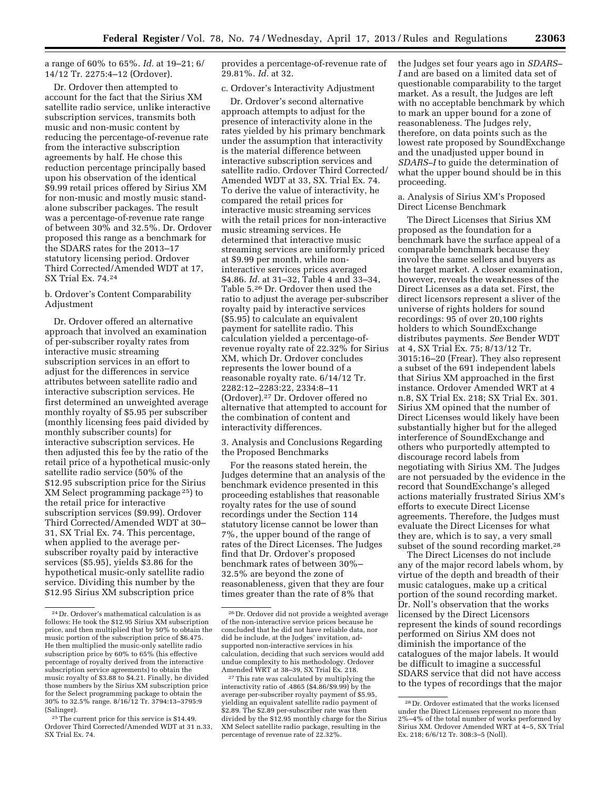# a range of 60% to 65%. *Id.* at 19–21; 6/ 14/12 Tr. 2275:4–12 (Ordover).

Dr. Ordover then attempted to account for the fact that the Sirius XM satellite radio service, unlike interactive subscription services, transmits both music and non-music content by reducing the percentage-of-revenue rate from the interactive subscription agreements by half. He chose this reduction percentage principally based upon his observation of the identical \$9.99 retail prices offered by Sirius XM for non-music and mostly music standalone subscriber packages. The result was a percentage-of-revenue rate range of between 30% and 32.5%. Dr. Ordover proposed this range as a benchmark for the SDARS rates for the 2013–17 statutory licensing period. Ordover Third Corrected/Amended WDT at 17, SX Trial Ex. 74.24

# b. Ordover's Content Comparability Adjustment

Dr. Ordover offered an alternative approach that involved an examination of per-subscriber royalty rates from interactive music streaming subscription services in an effort to adjust for the differences in service attributes between satellite radio and interactive subscription services. He first determined an unweighted average monthly royalty of \$5.95 per subscriber (monthly licensing fees paid divided by monthly subscriber counts) for interactive subscription services. He then adjusted this fee by the ratio of the retail price of a hypothetical music-only satellite radio service (50% of the \$12.95 subscription price for the Sirius XM Select programming package 25) to the retail price for interactive subscription services (\$9.99). Ordover Third Corrected/Amended WDT at 30– 31, SX Trial Ex. 74. This percentage, when applied to the average persubscriber royalty paid by interactive services (\$5.95), yields \$3.86 for the hypothetical music-only satellite radio service. Dividing this number by the \$12.95 Sirius XM subscription price

provides a percentage-of-revenue rate of 29.81%. *Id.* at 32.

# c. Ordover's Interactivity Adjustment

Dr. Ordover's second alternative approach attempts to adjust for the presence of interactivity alone in the rates yielded by his primary benchmark under the assumption that interactivity is the material difference between interactive subscription services and satellite radio. Ordover Third Corrected/ Amended WDT at 33, SX. Trial Ex. 74. To derive the value of interactivity, he compared the retail prices for interactive music streaming services with the retail prices for non-interactive music streaming services. He determined that interactive music streaming services are uniformly priced at \$9.99 per month, while noninteractive services prices averaged \$4.86. *Id.* at 31–32, Table 4 and 33–34, Table 5.26 Dr. Ordover then used the ratio to adjust the average per-subscriber royalty paid by interactive services (\$5.95) to calculate an equivalent payment for satellite radio. This calculation yielded a percentage-ofrevenue royalty rate of 22.32% for Sirius XM, which Dr. Ordover concludes represents the lower bound of a reasonable royalty rate. 6/14/12 Tr. 2282:12–2283:22, 2334:8–11 (Ordover).27 Dr. Ordover offered no alternative that attempted to account for the combination of content and interactivity differences.

# 3. Analysis and Conclusions Regarding the Proposed Benchmarks

For the reasons stated herein, the Judges determine that an analysis of the benchmark evidence presented in this proceeding establishes that reasonable royalty rates for the use of sound recordings under the Section 114 statutory license cannot be lower than 7%, the upper bound of the range of rates of the Direct Licenses. The Judges find that Dr. Ordover's proposed benchmark rates of between 30%– 32.5% are beyond the zone of reasonableness, given that they are four times greater than the rate of 8% that

the Judges set four years ago in *SDARS– I* and are based on a limited data set of questionable comparability to the target market. As a result, the Judges are left with no acceptable benchmark by which to mark an upper bound for a zone of reasonableness. The Judges rely, therefore, on data points such as the lowest rate proposed by SoundExchange and the unadjusted upper bound in *SDARS–I* to guide the determination of what the upper bound should be in this proceeding.

a. Analysis of Sirius XM's Proposed Direct License Benchmark

The Direct Licenses that Sirius XM proposed as the foundation for a benchmark have the surface appeal of a comparable benchmark because they involve the same sellers and buyers as the target market. A closer examination, however, reveals the weaknesses of the Direct Licenses as a data set. First, the direct licensors represent a sliver of the universe of rights holders for sound recordings: 95 of over 20,100 rights holders to which SoundExchange distributes payments. *See* Bender WDT at 4, SX Trial Ex. 75; 8/13/12 Tr. 3015:16–20 (Frear). They also represent a subset of the 691 independent labels that Sirius XM approached in the first instance. Ordover Amended WRT at 4 n.8, SX Trial Ex. 218; SX Trial Ex. 301. Sirius XM opined that the number of Direct Licenses would likely have been substantially higher but for the alleged interference of SoundExchange and others who purportedly attempted to discourage record labels from negotiating with Sirius XM. The Judges are not persuaded by the evidence in the record that SoundExchange's alleged actions materially frustrated Sirius XM's efforts to execute Direct License agreements. Therefore, the Judges must evaluate the Direct Licenses for what they are, which is to say, a very small subset of the sound recording market.<sup>28</sup>

The Direct Licenses do not include any of the major record labels whom, by virtue of the depth and breadth of their music catalogues, make up a critical portion of the sound recording market. Dr. Noll's observation that the works licensed by the Direct Licensors represent the kinds of sound recordings performed on Sirius XM does not diminish the importance of the catalogues of the major labels. It would be difficult to imagine a successful SDARS service that did not have access to the types of recordings that the major

<sup>24</sup> Dr. Ordover's mathematical calculation is as follows: He took the \$12.95 Sirius XM subscription price, and then multiplied that by 50% to obtain the music portion of the subscription price of \$6.475. He then multiplied the music-only satellite radio subscription price by 60% to 65% (his effective percentage of royalty derived from the interactive subscription service agreements) to obtain the music royalty of \$3.88 to \$4.21. Finally, he divided those numbers by the Sirius XM subscription price for the Select programming package to obtain the 30% to 32.5% range. 8/16/12 Tr. 3794:13–3795:9 (Salinger).

<sup>25</sup>The current price for this service is \$14.49. Ordover Third Corrected/Amended WDT at 31 n.33, SX Trial Ex. 74.

<sup>26</sup> Dr. Ordover did not provide a weighted average of the non-interactive service prices because he concluded that he did not have reliable data, nor did he include, at the Judges' invitation, adsupported non-interactive services in his calculation, deciding that such services would add undue complexity to his methodology. Ordover Amended WRT at 38–39, SX Trial Ex. 218.

<sup>27</sup>This rate was calculated by multiplying the interactivity ratio of .4865 (\$4.86/\$9.99) by the average per-subscriber royalty payment of \$5.95, yielding an equivalent satellite radio payment of \$2.89. The \$2.89 per-subscriber rate was then divided by the \$12.95 monthly charge for the Sirius XM Select satellite radio package, resulting in the percentage of revenue rate of 22.32%.

<sup>28</sup> Dr. Ordover estimated that the works licensed under the Direct Licenses represent no more than 2%–4% of the total number of works performed by Sirius XM. Ordover Amended WRT at 4–5, SX Trial Ex. 218; 6/6/12 Tr. 308:3–5 (Noll).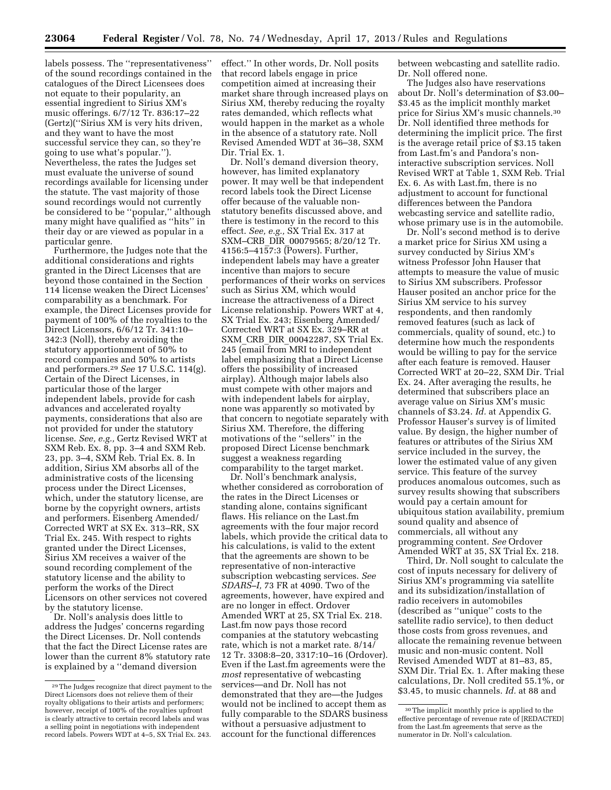labels possess. The ''representativeness'' of the sound recordings contained in the catalogues of the Direct Licensees does not equate to their popularity, an essential ingredient to Sirius XM's music offerings. 6/7/12 Tr. 836:17–22 (Gertz)(''Sirius XM is very hits driven, and they want to have the most successful service they can, so they're going to use what's popular.''). Nevertheless, the rates the Judges set must evaluate the universe of sound recordings available for licensing under the statute. The vast majority of those sound recordings would not currently be considered to be ''popular,'' although many might have qualified as ''hits'' in their day or are viewed as popular in a particular genre.

Furthermore, the Judges note that the additional considerations and rights granted in the Direct Licenses that are beyond those contained in the Section 114 license weaken the Direct Licenses' comparability as a benchmark. For example, the Direct Licenses provide for payment of 100% of the royalties to the Direct Licensors, 6/6/12 Tr. 341:10– 342:3 (Noll), thereby avoiding the statutory apportionment of 50% to record companies and 50% to artists and performers.29 *See* 17 U.S.C. 114(g). Certain of the Direct Licenses, in particular those of the larger independent labels, provide for cash advances and accelerated royalty payments, considerations that also are not provided for under the statutory license. *See, e.g.,* Gertz Revised WRT at SXM Reb. Ex. 8, pp. 3–4 and SXM Reb. 23, pp. 3–4, SXM Reb. Trial Ex. 8. In addition, Sirius XM absorbs all of the administrative costs of the licensing process under the Direct Licenses, which, under the statutory license, are borne by the copyright owners, artists and performers. Eisenberg Amended/ Corrected WRT at SX Ex. 313–RR, SX Trial Ex. 245. With respect to rights granted under the Direct Licenses, Sirius XM receives a waiver of the sound recording complement of the statutory license and the ability to perform the works of the Direct Licensors on other services not covered by the statutory license.

Dr. Noll's analysis does little to address the Judges' concerns regarding the Direct Licenses. Dr. Noll contends that the fact the Direct License rates are lower than the current 8% statutory rate is explained by a ''demand diversion

effect.'' In other words, Dr. Noll posits that record labels engage in price competition aimed at increasing their market share through increased plays on Sirius XM, thereby reducing the royalty rates demanded, which reflects what would happen in the market as a whole in the absence of a statutory rate. Noll Revised Amended WDT at 36–38, SXM Dir. Trial Ex. 1.

Dr. Noll's demand diversion theory, however, has limited explanatory power. It may well be that independent record labels took the Direct License offer because of the valuable nonstatutory benefits discussed above, and there is testimony in the record to this effect. *See, e.g.,* SX Trial Ex. 317 at SXM–CRB\_DIR\_00079565; 8/20/12 Tr. 4156:5–4157:3 (Powers). Further, independent labels may have a greater incentive than majors to secure performances of their works on services such as Sirius XM, which would increase the attractiveness of a Direct License relationship. Powers WRT at 4, SX Trial Ex. 243; Eisenberg Amended/ Corrected WRT at SX Ex. 329–RR at SXM\_CRB\_DIR\_00042287, SX Trial Ex. 245 (email from MRI to independent label emphasizing that a Direct License offers the possibility of increased airplay). Although major labels also must compete with other majors and with independent labels for airplay, none was apparently so motivated by that concern to negotiate separately with Sirius XM. Therefore, the differing motivations of the ''sellers'' in the proposed Direct License benchmark suggest a weakness regarding comparability to the target market.

Dr. Noll's benchmark analysis, whether considered as corroboration of the rates in the Direct Licenses or standing alone, contains significant flaws. His reliance on the Last.fm agreements with the four major record labels, which provide the critical data to his calculations, is valid to the extent that the agreements are shown to be representative of non-interactive subscription webcasting services. *See SDARS–I,* 73 FR at 4090. Two of the agreements, however, have expired and are no longer in effect. Ordover Amended WRT at 25, SX Trial Ex. 218. Last.fm now pays those record companies at the statutory webcasting rate, which is not a market rate. 8/14/ 12 Tr. 3308:8–20, 3317:10–16 (Ordover). Even if the Last.fm agreements were the *most* representative of webcasting services—and Dr. Noll has not demonstrated that they are—the Judges would not be inclined to accept them as fully comparable to the SDARS business without a persuasive adjustment to account for the functional differences

between webcasting and satellite radio. Dr. Noll offered none.

The Judges also have reservations about Dr. Noll's determination of \$3.00– \$3.45 as the implicit monthly market price for Sirius XM's music channels.30 Dr. Noll identified three methods for determining the implicit price. The first is the average retail price of \$3.15 taken from Last.fm's and Pandora's noninteractive subscription services. Noll Revised WRT at Table 1, SXM Reb. Trial Ex. 6. As with Last.fm, there is no adjustment to account for functional differences between the Pandora webcasting service and satellite radio, whose primary use is in the automobile.

Dr. Noll's second method is to derive a market price for Sirius XM using a survey conducted by Sirius XM's witness Professor John Hauser that attempts to measure the value of music to Sirius XM subscribers. Professor Hauser posited an anchor price for the Sirius XM service to his survey respondents, and then randomly removed features (such as lack of commercials, quality of sound, etc.) to determine how much the respondents would be willing to pay for the service after each feature is removed. Hauser Corrected WRT at 20–22, SXM Dir. Trial Ex. 24. After averaging the results, he determined that subscribers place an average value on Sirius XM's music channels of \$3.24. *Id.* at Appendix G. Professor Hauser's survey is of limited value. By design, the higher number of features or attributes of the Sirius XM service included in the survey, the lower the estimated value of any given service. This feature of the survey produces anomalous outcomes, such as survey results showing that subscribers would pay a certain amount for ubiquitous station availability, premium sound quality and absence of commercials, all without any programming content. *See* Ordover Amended WRT at 35, SX Trial Ex. 218.

Third, Dr. Noll sought to calculate the cost of inputs necessary for delivery of Sirius XM's programming via satellite and its subsidization/installation of radio receivers in automobiles (described as ''unique'' costs to the satellite radio service), to then deduct those costs from gross revenues, and allocate the remaining revenue between music and non-music content. Noll Revised Amended WDT at 81–83, 85, SXM Dir. Trial Ex. 1. After making these calculations, Dr. Noll credited 55.1%, or \$3.45, to music channels. *Id.* at 88 and

<sup>29</sup>The Judges recognize that direct payment to the Direct Licensors does not relieve them of their royalty obligations to their artists and performers; however, receipt of 100% of the royalties upfront is clearly attractive to certain record labels and was a selling point in negotiations with independent record labels. Powers WDT at 4–5, SX Trial Ex. 243.

<sup>30</sup>The implicit monthly price is applied to the effective percentage of revenue rate of [REDACTED] from the Last.fm agreements that serve as the numerator in Dr. Noll's calculation.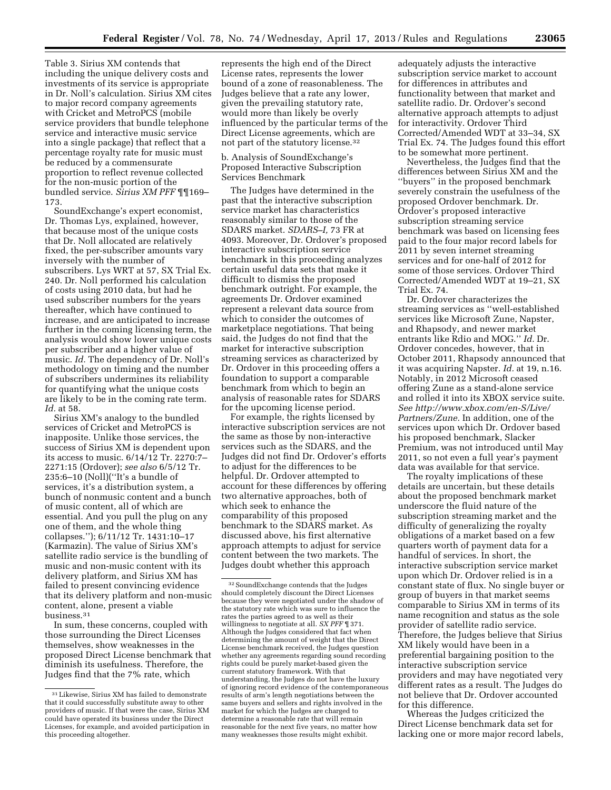Table 3. Sirius XM contends that including the unique delivery costs and investments of its service is appropriate in Dr. Noll's calculation. Sirius XM cites to major record company agreements with Cricket and MetroPCS (mobile service providers that bundle telephone service and interactive music service into a single package) that reflect that a percentage royalty rate for music must be reduced by a commensurate proportion to reflect revenue collected for the non-music portion of the bundled service. *Sirius XM PFF* ¶¶169– 173.

SoundExchange's expert economist, Dr. Thomas Lys, explained, however, that because most of the unique costs that Dr. Noll allocated are relatively fixed, the per-subscriber amounts vary inversely with the number of subscribers. Lys WRT at 57, SX Trial Ex. 240. Dr. Noll performed his calculation of costs using 2010 data, but had he used subscriber numbers for the years thereafter, which have continued to increase, and are anticipated to increase further in the coming licensing term, the analysis would show lower unique costs per subscriber and a higher value of music. *Id.* The dependency of Dr. Noll's methodology on timing and the number of subscribers undermines its reliability for quantifying what the unique costs are likely to be in the coming rate term. *Id.* at 58.

Sirius XM's analogy to the bundled services of Cricket and MetroPCS is inapposite. Unlike those services, the success of Sirius XM is dependent upon its access to music. 6/14/12 Tr. 2270:7– 2271:15 (Ordover); *see also* 6/5/12 Tr. 235:6–10 (Noll)(''It's a bundle of services, it's a distribution system, a bunch of nonmusic content and a bunch of music content, all of which are essential. And you pull the plug on any one of them, and the whole thing collapses.''); 6/11/12 Tr. 1431:10–17 (Karmazin). The value of Sirius XM's satellite radio service is the bundling of music and non-music content with its delivery platform, and Sirius XM has failed to present convincing evidence that its delivery platform and non-music content, alone, present a viable business.31

In sum, these concerns, coupled with those surrounding the Direct Licenses themselves, show weaknesses in the proposed Direct License benchmark that diminish its usefulness. Therefore, the Judges find that the 7% rate, which

represents the high end of the Direct License rates, represents the lower bound of a zone of reasonableness. The Judges believe that a rate any lower, given the prevailing statutory rate, would more than likely be overly influenced by the particular terms of the Direct License agreements, which are not part of the statutory license.32

# b. Analysis of SoundExchange's Proposed Interactive Subscription Services Benchmark

The Judges have determined in the past that the interactive subscription service market has characteristics reasonably similar to those of the SDARS market. *SDARS–I,* 73 FR at 4093. Moreover, Dr. Ordover's proposed interactive subscription service benchmark in this proceeding analyzes certain useful data sets that make it difficult to dismiss the proposed benchmark outright. For example, the agreements Dr. Ordover examined represent a relevant data source from which to consider the outcomes of marketplace negotiations. That being said, the Judges do not find that the market for interactive subscription streaming services as characterized by Dr. Ordover in this proceeding offers a foundation to support a comparable benchmark from which to begin an analysis of reasonable rates for SDARS for the upcoming license period.

For example, the rights licensed by interactive subscription services are not the same as those by non-interactive services such as the SDARS, and the Judges did not find Dr. Ordover's efforts to adjust for the differences to be helpful. Dr. Ordover attempted to account for these differences by offering two alternative approaches, both of which seek to enhance the comparability of this proposed benchmark to the SDARS market. As discussed above, his first alternative approach attempts to adjust for service content between the two markets. The Judges doubt whether this approach

adequately adjusts the interactive subscription service market to account for differences in attributes and functionality between that market and satellite radio. Dr. Ordover's second alternative approach attempts to adjust for interactivity. Ordover Third Corrected/Amended WDT at 33–34, SX Trial Ex. 74. The Judges found this effort to be somewhat more pertinent.

Nevertheless, the Judges find that the differences between Sirius XM and the ''buyers'' in the proposed benchmark severely constrain the usefulness of the proposed Ordover benchmark. Dr. Ordover's proposed interactive subscription streaming service benchmark was based on licensing fees paid to the four major record labels for 2011 by seven internet streaming services and for one-half of 2012 for some of those services. Ordover Third Corrected/Amended WDT at 19–21, SX Trial Ex. 74.

Dr. Ordover characterizes the streaming services as ''well-established services like Microsoft Zune, Napster, and Rhapsody, and newer market entrants like Rdio and MOG.'' *Id.* Dr. Ordover concedes, however, that in October 2011, Rhapsody announced that it was acquiring Napster. *Id.* at 19, n.16. Notably, in 2012 Microsoft ceased offering Zune as a stand-alone service and rolled it into its XBOX service suite. *See [http://www.xbox.com/en-S/Live/](http://www.xbox.com/en-S/Live/Partners/Zune) [Partners/Zune.](http://www.xbox.com/en-S/Live/Partners/Zune)* In addition, one of the services upon which Dr. Ordover based his proposed benchmark, Slacker Premium, was not introduced until May 2011, so not even a full year's payment data was available for that service.

The royalty implications of these details are uncertain, but these details about the proposed benchmark market underscore the fluid nature of the subscription streaming market and the difficulty of generalizing the royalty obligations of a market based on a few quarters worth of payment data for a handful of services. In short, the interactive subscription service market upon which Dr. Ordover relied is in a constant state of flux. No single buyer or group of buyers in that market seems comparable to Sirius XM in terms of its name recognition and status as the sole provider of satellite radio service. Therefore, the Judges believe that Sirius XM likely would have been in a preferential bargaining position to the interactive subscription service providers and may have negotiated very different rates as a result. The Judges do not believe that Dr. Ordover accounted for this difference.

Whereas the Judges criticized the Direct License benchmark data set for lacking one or more major record labels,

<sup>31</sup>Likewise, Sirius XM has failed to demonstrate that it could successfully substitute away to other providers of music. If that were the case, Sirius XM could have operated its business under the Direct Licenses, for example, and avoided participation in this proceeding altogether.

<sup>32</sup>SoundExchange contends that the Judges should completely discount the Direct Licenses because they were negotiated under the shadow of the statutory rate which was sure to influence the rates the parties agreed to as well as their willingness to negotiate at all. *SX PFF* ¶ 371. Although the Judges considered that fact when determining the amount of weight that the Direct License benchmark received, the Judges question whether any agreements regarding sound recording rights could be purely market-based given the current statutory framework. With that understanding, the Judges do not have the luxury of ignoring record evidence of the contemporaneous results of arm's length negotiations between the same buyers and sellers and rights involved in the market for which the Judges are charged to determine a reasonable rate that will remain reasonable for the next five years, no matter how many weaknesses those results might exhibit.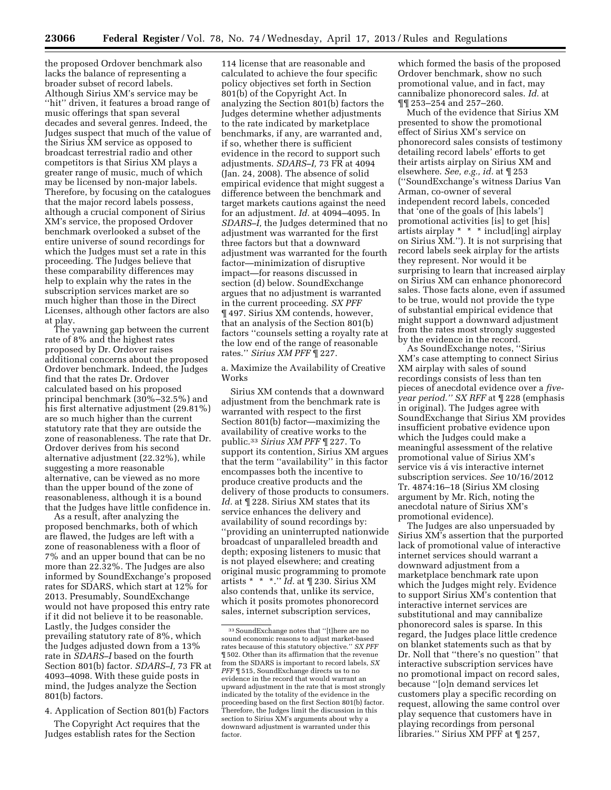the proposed Ordover benchmark also lacks the balance of representing a broader subset of record labels. Although Sirius XM's service may be "hit" driven, it features a broad range of music offerings that span several decades and several genres. Indeed, the Judges suspect that much of the value of the Sirius XM service as opposed to broadcast terrestrial radio and other competitors is that Sirius XM plays a greater range of music, much of which may be licensed by non-major labels. Therefore, by focusing on the catalogues that the major record labels possess, although a crucial component of Sirius XM's service, the proposed Ordover benchmark overlooked a subset of the entire universe of sound recordings for which the Judges must set a rate in this proceeding. The Judges believe that these comparability differences may help to explain why the rates in the subscription services market are so much higher than those in the Direct Licenses, although other factors are also at play.

The yawning gap between the current rate of 8% and the highest rates proposed by Dr. Ordover raises additional concerns about the proposed Ordover benchmark. Indeed, the Judges find that the rates Dr. Ordover calculated based on his proposed principal benchmark (30%–32.5%) and his first alternative adjustment (29.81%) are so much higher than the current statutory rate that they are outside the zone of reasonableness. The rate that Dr. Ordover derives from his second alternative adjustment (22.32%), while suggesting a more reasonable alternative, can be viewed as no more than the upper bound of the zone of reasonableness, although it is a bound that the Judges have little confidence in.

As a result, after analyzing the proposed benchmarks, both of which are flawed, the Judges are left with a zone of reasonableness with a floor of 7% and an upper bound that can be no more than 22.32%. The Judges are also informed by SoundExchange's proposed rates for SDARS, which start at 12% for 2013. Presumably, SoundExchange would not have proposed this entry rate if it did not believe it to be reasonable. Lastly, the Judges consider the prevailing statutory rate of 8%, which the Judges adjusted down from a 13% rate in *SDARS–I* based on the fourth Section 801(b) factor. *SDARS–I,* 73 FR at 4093–4098. With these guide posts in mind, the Judges analyze the Section 801(b) factors.

4. Application of Section 801(b) Factors

The Copyright Act requires that the Judges establish rates for the Section

114 license that are reasonable and calculated to achieve the four specific policy objectives set forth in Section 801(b) of the Copyright Act. In analyzing the Section 801(b) factors the Judges determine whether adjustments to the rate indicated by marketplace benchmarks, if any, are warranted and, if so, whether there is sufficient evidence in the record to support such adjustments. *SDARS–I,* 73 FR at 4094 (Jan. 24, 2008). The absence of solid empirical evidence that might suggest a difference between the benchmark and target markets cautions against the need for an adjustment. *Id.* at 4094–4095. In *SDARS–I,* the Judges determined that no adjustment was warranted for the first three factors but that a downward adjustment was warranted for the fourth factor—minimization of disruptive impact—for reasons discussed in section (d) below. SoundExchange argues that no adjustment is warranted in the current proceeding. *SX PFF*  ¶ 497. Sirius XM contends, however, that an analysis of the Section 801(b) factors ''counsels setting a royalty rate at the low end of the range of reasonable rates.'' *Sirius XM PFF* ¶ 227.

a. Maximize the Availability of Creative Works

Sirius XM contends that a downward adjustment from the benchmark rate is warranted with respect to the first Section 801(b) factor—maximizing the availability of creative works to the public.33 *Sirius XM PFF* ¶ 227. To support its contention, Sirius XM argues that the term ''availability'' in this factor encompasses both the incentive to produce creative products and the delivery of those products to consumers. *Id.* at ¶ 228. Sirius XM states that its service enhances the delivery and availability of sound recordings by: ''providing an uninterrupted nationwide broadcast of unparalleled breadth and depth; exposing listeners to music that is not played elsewhere; and creating original music programming to promote artists \* \* \*.'' *Id.* at ¶ 230. Sirius XM also contends that, unlike its service, which it posits promotes phonorecord sales, internet subscription services,

which formed the basis of the proposed Ordover benchmark, show no such promotional value, and in fact, may cannibalize phonorecord sales. *Id.* at ¶¶ 253–254 and 257–260.

Much of the evidence that Sirius XM presented to show the promotional effect of Sirius XM's service on phonorecord sales consists of testimony detailing record labels' efforts to get their artists airplay on Sirius XM and elsewhere. *See, e.g., id.* at ¶ 253 (''SoundExchange's witness Darius Van Arman, co-owner of several independent record labels, conceded that 'one of the goals of [his labels'] promotional activities [is] to get [his] artists airplay \* \* \* includ[ing] airplay on Sirius XM.''). It is not surprising that record labels seek airplay for the artists they represent. Nor would it be surprising to learn that increased airplay on Sirius XM can enhance phonorecord sales. Those facts alone, even if assumed to be true, would not provide the type of substantial empirical evidence that might support a downward adjustment from the rates most strongly suggested by the evidence in the record.

As SoundExchange notes, ''Sirius XM's case attempting to connect Sirius XM airplay with sales of sound recordings consists of less than ten pieces of anecdotal evidence over a *fiveyear period.'' SX RFF* at ¶ 228 (emphasis in original). The Judges agree with SoundExchange that Sirius XM provides insufficient probative evidence upon which the Judges could make a meaningful assessment of the relative promotional value of Sirius XM's service vis á vis interactive internet subscription services. *See* 10/16/2012 Tr. 4874:16–18 (Sirius XM closing argument by Mr. Rich, noting the anecdotal nature of Sirius XM's promotional evidence).

The Judges are also unpersuaded by Sirius XM's assertion that the purported lack of promotional value of interactive internet services should warrant a downward adjustment from a marketplace benchmark rate upon which the Judges might rely. Evidence to support Sirius XM's contention that interactive internet services are substitutional and may cannibalize phonorecord sales is sparse. In this regard, the Judges place little credence on blanket statements such as that by Dr. Noll that ''there's no question'' that interactive subscription services have no promotional impact on record sales, because ''[o]n demand services let customers play a specific recording on request, allowing the same control over play sequence that customers have in playing recordings from personal libraries.'' Sirius XM PFF at ¶ 257,

<sup>33</sup>SoundExchange notes that ''[t]here are no sound economic reasons to adjust market-based rates because of this statutory objective.'' *SX PFF*  ¶ 502. Other than its affirmation that the revenue from the SDARS is important to record labels, *SX PFF* ¶ 515, SoundExchange directs us to no evidence in the record that would warrant an upward adjustment in the rate that is most strongly indicated by the totality of the evidence in the proceeding based on the first Section 801(b) factor. Therefore, the Judges limit the discussion in this section to Sirius XM's arguments about why a downward adjustment is warranted under this factor.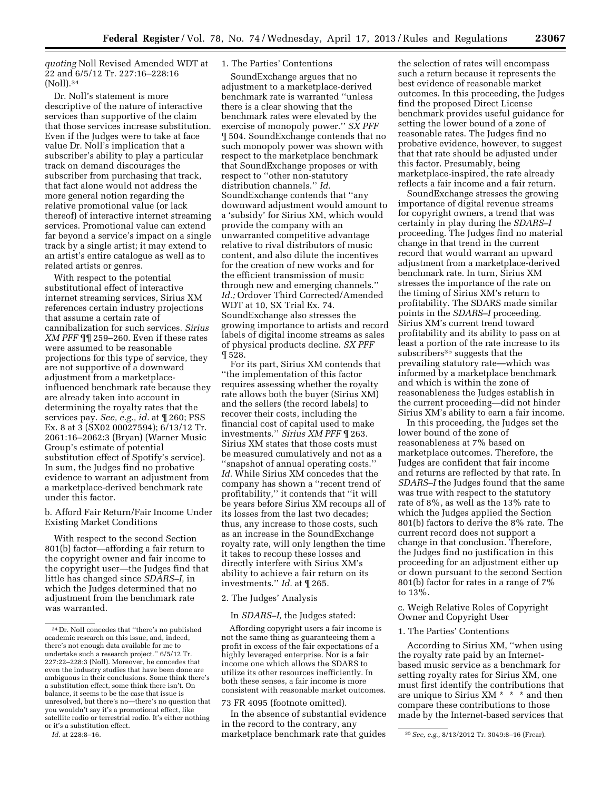*quoting* Noll Revised Amended WDT at 22 and 6/5/12 Tr. 227:16–228:16 (Noll).34

Dr. Noll's statement is more descriptive of the nature of interactive services than supportive of the claim that those services increase substitution. Even if the Judges were to take at face value Dr. Noll's implication that a subscriber's ability to play a particular track on demand discourages the subscriber from purchasing that track, that fact alone would not address the more general notion regarding the relative promotional value (or lack thereof) of interactive internet streaming services. Promotional value can extend far beyond a service's impact on a single track by a single artist; it may extend to an artist's entire catalogue as well as to related artists or genres.

With respect to the potential substitutional effect of interactive internet streaming services, Sirius XM references certain industry projections that assume a certain rate of cannibalization for such services. *Sirius XM PFF* ¶¶ 259–260. Even if these rates were assumed to be reasonable projections for this type of service, they are not supportive of a downward adjustment from a marketplaceinfluenced benchmark rate because they are already taken into account in determining the royalty rates that the services pay. *See, e.g., id.* at ¶ 260; PSS Ex. 8 at 3 (SX02 00027594); 6/13/12 Tr. 2061:16–2062:3 (Bryan) (Warner Music Group's estimate of potential substitution effect of Spotify's service). In sum, the Judges find no probative evidence to warrant an adjustment from a marketplace-derived benchmark rate under this factor.

b. Afford Fair Return/Fair Income Under Existing Market Conditions

With respect to the second Section 801(b) factor—affording a fair return to the copyright owner and fair income to the copyright user—the Judges find that little has changed since *SDARS–I,* in which the Judges determined that no adjustment from the benchmark rate was warranted.

#### 1. The Parties' Contentions

SoundExchange argues that no adjustment to a marketplace-derived benchmark rate is warranted ''unless there is a clear showing that the benchmark rates were elevated by the exercise of monopoly power.'' *SX PFF*  ¶ 504. SoundExchange contends that no such monopoly power was shown with respect to the marketplace benchmark that SoundExchange proposes or with respect to ''other non-statutory distribution channels.'' *Id.*  SoundExchange contends that ''any downward adjustment would amount to a 'subsidy' for Sirius XM, which would provide the company with an unwarranted competitive advantage relative to rival distributors of music content, and also dilute the incentives for the creation of new works and for the efficient transmission of music through new and emerging channels.'' *Id.;* Ordover Third Corrected/Amended WDT at 10, SX Trial Ex. 74. SoundExchange also stresses the growing importance to artists and record labels of digital income streams as sales of physical products decline. *SX PFF*  ¶ 528.

For its part, Sirius XM contends that ''the implementation of this factor requires assessing whether the royalty rate allows both the buyer (Sirius XM) and the sellers (the record labels) to recover their costs, including the financial cost of capital used to make investments.'' *Sirius XM PFF* ¶ 263. Sirius XM states that those costs must be measured cumulatively and not as a ''snapshot of annual operating costs.'' *Id.* While Sirius XM concedes that the company has shown a ''recent trend of profitability,'' it contends that ''it will be years before Sirius XM recoups all of its losses from the last two decades; thus, any increase to those costs, such as an increase in the SoundExchange royalty rate, will only lengthen the time it takes to recoup these losses and directly interfere with Sirius XM's ability to achieve a fair return on its investments.'' *Id.* at ¶ 265.

# 2. The Judges' Analysis

#### In *SDARS–I,* the Judges stated:

Affording copyright users a fair income is not the same thing as guaranteeing them a profit in excess of the fair expectations of a highly leveraged enterprise. Nor is a fair income one which allows the SDARS to utilize its other resources inefficiently. In both these senses, a fair income is more consistent with reasonable market outcomes.

#### 73 FR 4095 (footnote omitted).

*Id.* at 228:8–16. 35*See, e.g.,* 8/13/2012 Tr. 3049:8–16 (Frear). marketplace benchmark rate that guides In the absence of substantial evidence in the record to the contrary, any

the selection of rates will encompass such a return because it represents the best evidence of reasonable market outcomes. In this proceeding, the Judges find the proposed Direct License benchmark provides useful guidance for setting the lower bound of a zone of reasonable rates. The Judges find no probative evidence, however, to suggest that that rate should be adjusted under this factor. Presumably, being marketplace-inspired, the rate already reflects a fair income and a fair return.

SoundExchange stresses the growing importance of digital revenue streams for copyright owners, a trend that was certainly in play during the *SDARS–I*  proceeding. The Judges find no material change in that trend in the current record that would warrant an upward adjustment from a marketplace-derived benchmark rate. In turn, Sirius XM stresses the importance of the rate on the timing of Sirius XM's return to profitability. The SDARS made similar points in the *SDARS–I* proceeding. Sirius XM's current trend toward profitability and its ability to pass on at least a portion of the rate increase to its subscribers<sup>35</sup> suggests that the prevailing statutory rate—which was informed by a marketplace benchmark and which is within the zone of reasonableness the Judges establish in the current proceeding—did not hinder Sirius XM's ability to earn a fair income.

In this proceeding, the Judges set the lower bound of the zone of reasonableness at 7% based on marketplace outcomes. Therefore, the Judges are confident that fair income and returns are reflected by that rate. In *SDARS–I* the Judges found that the same was true with respect to the statutory rate of 8%, as well as the 13% rate to which the Judges applied the Section 801(b) factors to derive the 8% rate. The current record does not support a change in that conclusion. Therefore, the Judges find no justification in this proceeding for an adjustment either up or down pursuant to the second Section 801(b) factor for rates in a range of 7% to 13%.

# c. Weigh Relative Roles of Copyright Owner and Copyright User

#### 1. The Parties' Contentions

According to Sirius XM, ''when using the royalty rate paid by an Internetbased music service as a benchmark for setting royalty rates for Sirius XM, one must first identify the contributions that are unique to Sirius XM \* \* \* and then compare these contributions to those made by the Internet-based services that

<sup>34</sup> Dr. Noll concedes that ''there's no published academic research on this issue, and, indeed, there's not enough data available for me to undertake such a research project.'' 6/5/12 Tr. 227:22–228:3 (Noll). Moreover, he concedes that even the industry studies that have been done are ambiguous in their conclusions. Some think there's a substitution effect, some think there isn't. On balance, it seems to be the case that issue is unresolved, but there's no—there's no question that you wouldn't say it's a promotional effect, like satellite radio or terrestrial radio. It's either nothing or it's a substitution effect.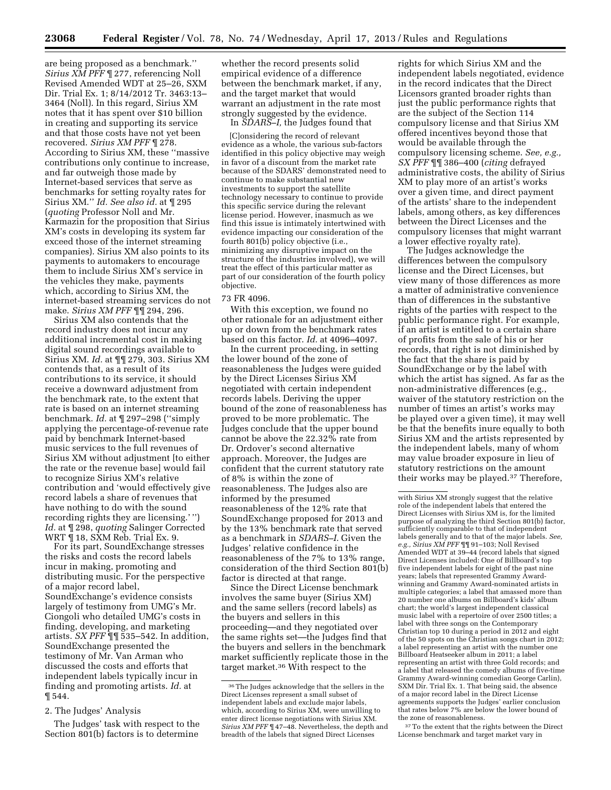are being proposed as a benchmark.'' *Sirius XM PFF* ¶ 277, referencing Noll Revised Amended WDT at 25–26, SXM Dir. Trial Ex. 1; 8/14/2012 Tr. 3463:13– 3464 (Noll). In this regard, Sirius XM notes that it has spent over \$10 billion in creating and supporting its service and that those costs have not yet been recovered. *Sirius XM PFF* ¶ 278. According to Sirius XM, these ''massive contributions only continue to increase, and far outweigh those made by Internet-based services that serve as benchmarks for setting royalty rates for Sirius XM.'' *Id. See also id.* at ¶ 295 (*quoting* Professor Noll and Mr. Karmazin for the proposition that Sirius XM's costs in developing its system far exceed those of the internet streaming companies). Sirius XM also points to its payments to automakers to encourage them to include Sirius XM's service in the vehicles they make, payments which, according to Sirius XM, the internet-based streaming services do not make. *Sirius XM PFF* ¶¶ 294, 296.

Sirius XM also contends that the record industry does not incur any additional incremental cost in making digital sound recordings available to Sirius XM. *Id.* at ¶¶ 279, 303. Sirius XM contends that, as a result of its contributions to its service, it should receive a downward adjustment from the benchmark rate, to the extent that rate is based on an internet streaming benchmark. *Id.* at ¶ 297–298 (''simply applying the percentage-of-revenue rate paid by benchmark Internet-based music services to the full revenues of Sirius XM without adjustment [to either the rate or the revenue base] would fail to recognize Sirius XM's relative contribution and 'would effectively give record labels a share of revenues that have nothing to do with the sound recording rights they are licensing.' '') *Id.* at ¶ 298, *quoting* Salinger Corrected WRT ¶ 18, SXM Reb. Trial Ex. 9.

For its part, SoundExchange stresses the risks and costs the record labels incur in making, promoting and distributing music. For the perspective of a major record label, SoundExchange's evidence consists largely of testimony from UMG's Mr. Ciongoli who detailed UMG's costs in finding, developing, and marketing artists. *SX PFF* ¶¶ 535–542. In addition, SoundExchange presented the testimony of Mr. Van Arman who discussed the costs and efforts that independent labels typically incur in finding and promoting artists. *Id.* at ¶ 544.

2. The Judges' Analysis

The Judges' task with respect to the Section 801(b) factors is to determine

whether the record presents solid empirical evidence of a difference between the benchmark market, if any, and the target market that would warrant an adjustment in the rate most strongly suggested by the evidence.

In *SDARS–I,* the Judges found that

[C]onsidering the record of relevant evidence as a whole, the various sub-factors identified in this policy objective may weigh in favor of a discount from the market rate because of the SDARS' demonstrated need to continue to make substantial new investments to support the satellite technology necessary to continue to provide this specific service during the relevant license period. However, inasmuch as we find this issue is intimately intertwined with evidence impacting our consideration of the fourth 801(b) policy objective (i.e., minimizing any disruptive impact on the structure of the industries involved), we will treat the effect of this particular matter as part of our consideration of the fourth policy objective.

#### 73 FR 4096.

With this exception, we found no other rationale for an adjustment either up or down from the benchmark rates based on this factor. *Id.* at 4096–4097.

In the current proceeding, in setting the lower bound of the zone of reasonableness the Judges were guided by the Direct Licenses Sirius XM negotiated with certain independent records labels. Deriving the upper bound of the zone of reasonableness has proved to be more problematic. The Judges conclude that the upper bound cannot be above the 22.32% rate from Dr. Ordover's second alternative approach. Moreover, the Judges are confident that the current statutory rate of 8% is within the zone of reasonableness. The Judges also are informed by the presumed reasonableness of the 12% rate that SoundExchange proposed for 2013 and by the 13% benchmark rate that served as a benchmark in *SDARS–I.* Given the Judges' relative confidence in the reasonableness of the 7% to 13% range, consideration of the third Section 801(b) factor is directed at that range.

Since the Direct License benchmark involves the same buyer (Sirius XM) and the same sellers (record labels) as the buyers and sellers in this proceeding—and they negotiated over the same rights set—the Judges find that the buyers and sellers in the benchmark market sufficiently replicate those in the target market.36 With respect to the

rights for which Sirius XM and the independent labels negotiated, evidence in the record indicates that the Direct Licensors granted broader rights than just the public performance rights that are the subject of the Section 114 compulsory license and that Sirius XM offered incentives beyond those that would be available through the compulsory licensing scheme. *See, e.g., SX PFF* ¶¶ 386–400 (*citing* defrayed administrative costs, the ability of Sirius XM to play more of an artist's works over a given time, and direct payment of the artists' share to the independent labels, among others, as key differences between the Direct Licenses and the compulsory licenses that might warrant a lower effective royalty rate).

The Judges acknowledge the differences between the compulsory license and the Direct Licenses, but view many of those differences as more a matter of administrative convenience than of differences in the substantive rights of the parties with respect to the public performance right. For example, if an artist is entitled to a certain share of profits from the sale of his or her records, that right is not diminished by the fact that the share is paid by SoundExchange or by the label with which the artist has signed. As far as the non-administrative differences (e.g., waiver of the statutory restriction on the number of times an artist's works may be played over a given time), it may well be that the benefits inure equally to both Sirius XM and the artists represented by the independent labels, many of whom may value broader exposure in lieu of statutory restrictions on the amount their works may be played.37 Therefore,

<sup>37</sup> To the extent that the rights between the Direct License benchmark and target market vary in

<sup>36</sup>The Judges acknowledge that the sellers in the Direct Licenses represent a small subset of independent labels and exclude major labels, which, according to Sirius XM, were unwilling to enter direct license negotiations with Sirius XM. *Sirius XM PFF* ¶ 47–48. Nevertheless, the depth and breadth of the labels that signed Direct Licenses

with Sirius XM strongly suggest that the relative role of the independent labels that entered the Direct Licenses with Sirius XM is, for the limited purpose of analyzing the third Section 801(b) factor, sufficiently comparable to that of independent labels generally and to that of the major labels. *See, e.g., Sirius XM PFF* ¶¶ 91–103; Noll Revised Amended WDT at 39–44 (record labels that signed Direct Licenses included: One of Billboard's top five independent labels for eight of the past nine years; labels that represented Grammy Awardwinning and Grammy Award-nominated artists in multiple categories; a label that amassed more than 20 number one albums on Billboard's kids' album chart; the world's largest independent classical music label with a repertoire of over 2500 titles; a label with three songs on the Contemporary Christian top 10 during a period in 2012 and eight of the 50 spots on the Christian songs chart in 2012; a label representing an artist with the number one Billboard Heatseeker album in 2011; a label representing an artist with three Gold records; and a label that released the comedy albums of five-time Grammy Award-winning comedian George Carlin), SXM Dir. Trial Ex. 1. That being said, the absence of a major record label in the Direct License agreements supports the Judges' earlier conclusion that rates below 7% are below the lower bound of the zone of reasonableness.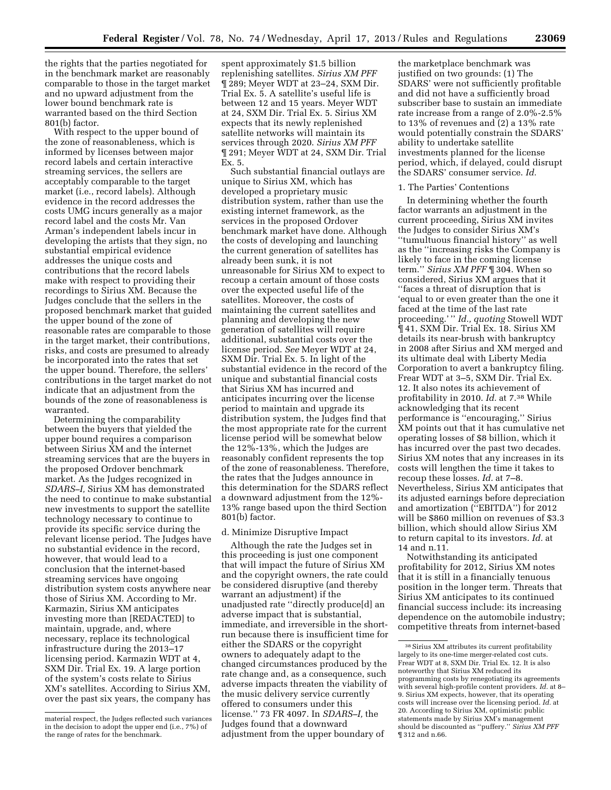the rights that the parties negotiated for in the benchmark market are reasonably comparable to those in the target market and no upward adjustment from the lower bound benchmark rate is warranted based on the third Section 801(b) factor.

With respect to the upper bound of the zone of reasonableness, which is informed by licenses between major record labels and certain interactive streaming services, the sellers are acceptably comparable to the target market (i.e., record labels). Although evidence in the record addresses the costs UMG incurs generally as a major record label and the costs Mr. Van Arman's independent labels incur in developing the artists that they sign, no substantial empirical evidence addresses the unique costs and contributions that the record labels make with respect to providing their recordings to Sirius XM. Because the Judges conclude that the sellers in the proposed benchmark market that guided the upper bound of the zone of reasonable rates are comparable to those in the target market, their contributions, risks, and costs are presumed to already be incorporated into the rates that set the upper bound. Therefore, the sellers' contributions in the target market do not indicate that an adjustment from the bounds of the zone of reasonableness is warranted.

Determining the comparability between the buyers that yielded the upper bound requires a comparison between Sirius XM and the internet streaming services that are the buyers in the proposed Ordover benchmark market. As the Judges recognized in *SDARS–I,* Sirius XM has demonstrated the need to continue to make substantial new investments to support the satellite technology necessary to continue to provide its specific service during the relevant license period. The Judges have no substantial evidence in the record, however, that would lead to a conclusion that the internet-based streaming services have ongoing distribution system costs anywhere near those of Sirius XM. According to Mr. Karmazin, Sirius XM anticipates investing more than [REDACTED] to maintain, upgrade, and, where necessary, replace its technological infrastructure during the 2013–17 licensing period. Karmazin WDT at 4, SXM Dir. Trial Ex. 19. A large portion of the system's costs relate to Sirius XM's satellites. According to Sirius XM, over the past six years, the company has

spent approximately \$1.5 billion replenishing satellites. *Sirius XM PFF*  ¶ 289; Meyer WDT at 23–24, SXM Dir. Trial Ex. 5. A satellite's useful life is between 12 and 15 years. Meyer WDT at 24, SXM Dir. Trial Ex. 5. Sirius XM expects that its newly replenished satellite networks will maintain its services through 2020. *Sirius XM PFF*  ¶ 291; Meyer WDT at 24, SXM Dir. Trial Ex. 5.

Such substantial financial outlays are unique to Sirius XM, which has developed a proprietary music distribution system, rather than use the existing internet framework, as the services in the proposed Ordover benchmark market have done. Although the costs of developing and launching the current generation of satellites has already been sunk, it is not unreasonable for Sirius XM to expect to recoup a certain amount of those costs over the expected useful life of the satellites. Moreover, the costs of maintaining the current satellites and planning and developing the new generation of satellites will require additional, substantial costs over the license period. *See* Meyer WDT at 24, SXM Dir. Trial Ex. 5. In light of the substantial evidence in the record of the unique and substantial financial costs that Sirius XM has incurred and anticipates incurring over the license period to maintain and upgrade its distribution system, the Judges find that the most appropriate rate for the current license period will be somewhat below the 12%-13%, which the Judges are reasonably confident represents the top of the zone of reasonableness. Therefore, the rates that the Judges announce in this determination for the SDARS reflect a downward adjustment from the 12%- 13% range based upon the third Section 801(b) factor.

#### d. Minimize Disruptive Impact

Although the rate the Judges set in this proceeding is just one component that will impact the future of Sirius XM and the copyright owners, the rate could be considered disruptive (and thereby warrant an adjustment) if the unadjusted rate ''directly produce[d] an adverse impact that is substantial, immediate, and irreversible in the shortrun because there is insufficient time for either the SDARS or the copyright owners to adequately adapt to the changed circumstances produced by the rate change and, as a consequence, such adverse impacts threaten the viability of the music delivery service currently offered to consumers under this license.'' 73 FR 4097. In *SDARS–I,* the Judges found that a downward adjustment from the upper boundary of

the marketplace benchmark was justified on two grounds: (1) The SDARS' were not sufficiently profitable and did not have a sufficiently broad subscriber base to sustain an immediate rate increase from a range of 2.0%-2.5% to 13% of revenues and (2) a 13% rate would potentially constrain the SDARS' ability to undertake satellite investments planned for the license period, which, if delayed, could disrupt the SDARS' consumer service. *Id.* 

#### 1. The Parties' Contentions

In determining whether the fourth factor warrants an adjustment in the current proceeding, Sirius XM invites the Judges to consider Sirius XM's ''tumultuous financial history'' as well as the ''increasing risks the Company is likely to face in the coming license term.'' *Sirius XM PFF* ¶ 304. When so considered, Sirius XM argues that it ''faces a threat of disruption that is 'equal to or even greater than the one it faced at the time of the last rate proceeding.' '' *Id., quoting* Stowell WDT ¶ 41, SXM Dir. Trial Ex. 18. Sirius XM details its near-brush with bankruptcy in 2008 after Sirius and XM merged and its ultimate deal with Liberty Media Corporation to avert a bankruptcy filing. Frear WDT at 3–5, SXM Dir. Trial Ex. 12. It also notes its achievement of profitability in 2010. *Id.* at 7.38 While acknowledging that its recent performance is ''encouraging,'' Sirius XM points out that it has cumulative net operating losses of \$8 billion, which it has incurred over the past two decades. Sirius XM notes that any increases in its costs will lengthen the time it takes to recoup these losses. *Id.* at 7–8. Nevertheless, Sirius XM anticipates that its adjusted earnings before depreciation and amortization (''EBITDA'') for 2012 will be \$860 million on revenues of \$3.3 billion, which should allow Sirius XM to return capital to its investors. *Id.* at 14 and n.11.

Notwithstanding its anticipated profitability for 2012, Sirius XM notes that it is still in a financially tenuous position in the longer term. Threats that Sirius XM anticipates to its continued financial success include: its increasing dependence on the automobile industry; competitive threats from internet-based

material respect, the Judges reflected such variances in the decision to adopt the upper end (i.e., 7%) of the range of rates for the benchmark.

<sup>38</sup>Sirius XM attributes its current profitability largely to its one-time merger-related cost cuts. Frear WDT at 8, SXM Dir. Trial Ex. 12. It is also noteworthy that Sirius XM reduced its programming costs by renegotiating its agreements with several high-profile content providers. *Id.* at 8– 9. Sirius XM expects, however, that its operating costs will increase over the licensing period. *Id.* at 20. According to Sirius XM, optimistic public statements made by Sirius XM's management should be discounted as ''puffery.'' *Sirius XM PFF*  ¶ 312 and n.66.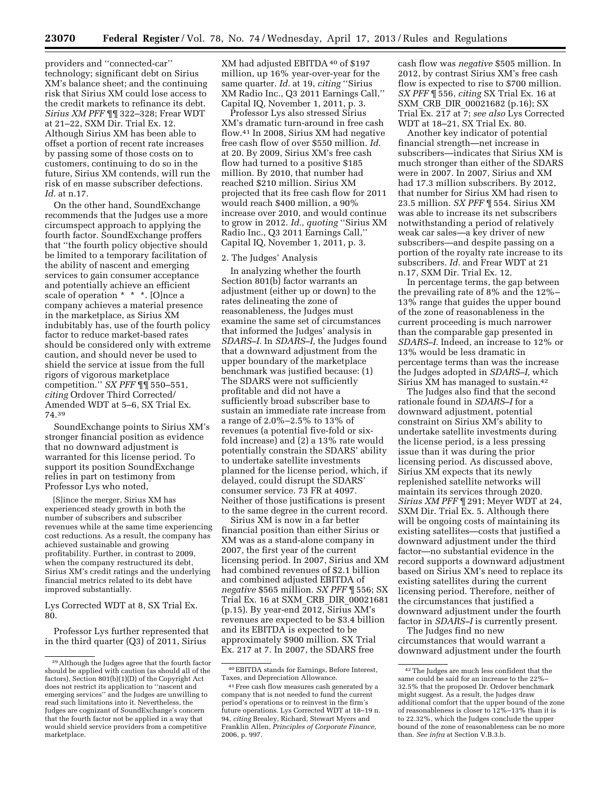providers and ''connected-car'' technology; significant debt on Sirius XM's balance sheet; and the continuing risk that Sirius XM could lose access to the credit markets to refinance its debt. *Sirius XM PFF* ¶¶ 322–328; Frear WDT at 21–22, SXM Dir. Trial Ex. 12. Although Sirius XM has been able to offset a portion of recent rate increases by passing some of those costs on to customers, continuing to do so in the future, Sirius XM contends, will run the risk of en masse subscriber defections. *Id.* at n.17.

On the other hand, SoundExchange recommends that the Judges use a more circumspect approach to applying the fourth factor. SoundExchange proffers that ''the fourth policy objective should be limited to a temporary facilitation of the ability of nascent and emerging services to gain consumer acceptance and potentially achieve an efficient scale of operation \* \* \*. [O]nce a company achieves a material presence in the marketplace, as Sirius XM indubitably has, use of the fourth policy factor to reduce market-based rates should be considered only with extreme caution, and should never be used to shield the service at issue from the full rigors of vigorous marketplace competition.'' *SX PFF* ¶¶ 550–551, *citing* Ordover Third Corrected/ Amended WDT at 5–6, SX Trial Ex. 74.39

SoundExchange points to Sirius XM's stronger financial position as evidence that no downward adjustment is warranted for this license period. To support its position SoundExchange relies in part on testimony from Professor Lys who noted,

[S]ince the merger, Sirius XM has experienced steady growth in both the number of subscribers and subscriber revenues while at the same time experiencing cost reductions. As a result, the company has achieved sustainable and growing profitability. Further, in contrast to 2009, when the company restructured its debt, Sirius XM's credit ratings and the underlying financial metrics related to its debt have improved substantially.

Lys Corrected WDT at 8, SX Trial Ex. 80.

Professor Lys further represented that in the third quarter (Q3) of 2011, Sirius

XM had adjusted EBITDA 40 of \$197 million, up 16% year-over-year for the same quarter. *Id.* at 19, *citing* ''Sirius XM Radio Inc., Q3 2011 Earnings Call,'' Capital IQ, November 1, 2011, p. 3.

Professor Lys also stressed Sirius XM's dramatic turn-around in free cash flow.41 In 2008, Sirius XM had negative free cash flow of over \$550 million. *Id.*  at 20. By 2009, Sirius XM's free cash flow had turned to a positive \$185 million. By 2010, that number had reached \$210 million. Sirius XM projected that its free cash flow for 2011 would reach \$400 million, a 90% increase over 2010, and would continue to grow in 2012. *Id., quoting* ''Sirius XM Radio Inc., Q3 2011 Earnings Call,'' Capital IQ, November 1, 2011, p. 3.

#### 2. The Judges' Analysis

In analyzing whether the fourth Section 801(b) factor warrants an adjustment (either up or down) to the rates delineating the zone of reasonableness, the Judges must examine the same set of circumstances that informed the Judges' analysis in *SDARS–I.* In *SDARS–I,* the Judges found that a downward adjustment from the upper boundary of the marketplace benchmark was justified because: (1) The SDARS were not sufficiently profitable and did not have a sufficiently broad subscriber base to sustain an immediate rate increase from a range of 2.0%–2.5% to 13% of revenues (a potential five-fold or sixfold increase) and (2) a 13% rate would potentially constrain the SDARS' ability to undertake satellite investments planned for the license period, which, if delayed, could disrupt the SDARS' consumer service. 73 FR at 4097. Neither of those justifications is present to the same degree in the current record.

Sirius XM is now in a far better financial position than either Sirius or XM was as a stand-alone company in 2007, the first year of the current licensing period. In 2007, Sirius and XM had combined revenues of \$2.1 billion and combined adjusted EBITDA of *negative* \$565 million. *SX PFF* ¶ 556; SX Trial Ex. 16 at SXM\_CRB\_DIR\_00021681 (p.15). By year-end 2012, Sirius XM's revenues are expected to be \$3.4 billion and its EBITDA is expected to be approximately \$900 million. SX Trial Ex. 217 at 7. In 2007, the SDARS free

cash flow was *negative* \$505 million. In 2012, by contrast Sirius XM's free cash flow is expected to rise to \$700 million. *SX PFF* ¶ 556, *citing* SX Trial Ex. 16 at SXM\_CRB\_DIR\_00021682 (p.16); SX Trial Ex. 217 at 7; *see also* Lys Corrected WDT at 18–21, SX Trial Ex. 80.

Another key indicator of potential financial strength—net increase in subscribers—indicates that Sirius XM is much stronger than either of the SDARS were in 2007. In 2007, Sirius and XM had 17.3 million subscribers. By 2012, that number for Sirius XM had risen to 23.5 million. *SX PFF* ¶ 554. Sirius XM was able to increase its net subscribers notwithstanding a period of relatively weak car sales—a key driver of new subscribers—and despite passing on a portion of the royalty rate increase to its subscribers. *Id.* and Frear WDT at 21 n.17, SXM Dir. Trial Ex. 12.

In percentage terms, the gap between the prevailing rate of 8% and the 12%– 13% range that guides the upper bound of the zone of reasonableness in the current proceeding is much narrower than the comparable gap presented in *SDARS–I.* Indeed, an increase to 12% or 13% would be less dramatic in percentage terms than was the increase the Judges adopted in *SDARS–I,* which Sirius XM has managed to sustain.42

The Judges also find that the second rationale found in *SDARS–I* for a downward adjustment, potential constraint on Sirius XM's ability to undertake satellite investments during the license period, is a less pressing issue than it was during the prior licensing period. As discussed above, Sirius XM expects that its newly replenished satellite networks will maintain its services through 2020. *Sirius XM PFF* ¶ 291; Meyer WDT at 24, SXM Dir. Trial Ex. 5. Although there will be ongoing costs of maintaining its existing satellites—costs that justified a downward adjustment under the third factor—no substantial evidence in the record supports a downward adjustment based on Sirius XM's need to replace its existing satellites during the current licensing period. Therefore, neither of the circumstances that justified a downward adjustment under the fourth factor in *SDARS–I* is currently present.

The Judges find no new circumstances that would warrant a downward adjustment under the fourth

<sup>39</sup>Although the Judges agree that the fourth factor should be applied with caution (as should all of the factors), Section 801(b)(1)(D) of the Copyright Act does not restrict its application to ''nascent and emerging services'' and the Judges are unwilling to read such limitations into it. Nevertheless, the Judges are cognizant of SoundExchange's concern that the fourth factor not be applied in a way that would shield service providers from a competitive marketplace.

<sup>40</sup>EBITDA stands for Earnings, Before Interest, Taxes, and Depreciation Allowance.

<sup>41</sup>Free cash flow measures cash generated by a company that is not needed to fund the current period's operations or to reinvest in the firm's future operations. Lys Corrected WDT at 18–19 n. 94, *citing* Brealey, Richard, Stewart Myers and Franklin Allen, *Principles of Corporate Finance,*  2006, p. 997.

<sup>42</sup>The Judges are much less confident that the same could be said for an increase to the 22%– 32.5% that the proposed Dr. Ordover benchmark might suggest. As a result, the Judges draw additional comfort that the upper bound of the zone of reasonableness is closer to 12%–13% than it is to 22.32%, which the Judges conclude the upper bound of the zone of reasonableness can be no more than. *See infra* at Section V.B.3.b.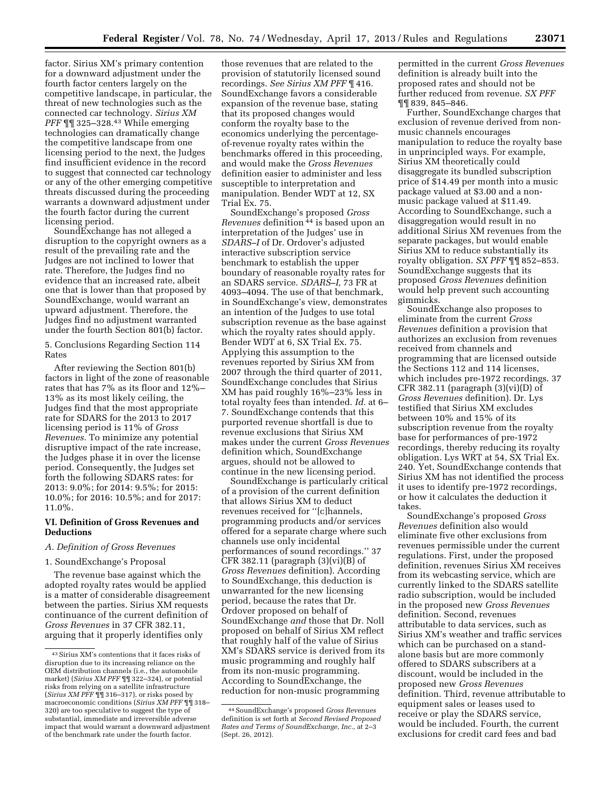factor. Sirius XM's primary contention for a downward adjustment under the fourth factor centers largely on the competitive landscape, in particular, the threat of new technologies such as the connected car technology. *Sirius XM PFF* ¶¶ 325–328.43 While emerging technologies can dramatically change the competitive landscape from one licensing period to the next, the Judges find insufficient evidence in the record to suggest that connected car technology or any of the other emerging competitive threats discussed during the proceeding warrants a downward adjustment under the fourth factor during the current licensing period.

SoundExchange has not alleged a disruption to the copyright owners as a result of the prevailing rate and the Judges are not inclined to lower that rate. Therefore, the Judges find no evidence that an increased rate, albeit one that is lower than that proposed by SoundExchange, would warrant an upward adjustment. Therefore, the Judges find no adjustment warranted under the fourth Section 801(b) factor.

5. Conclusions Regarding Section 114 Rates

After reviewing the Section 801(b) factors in light of the zone of reasonable rates that has 7% as its floor and 12%– 13% as its most likely ceiling, the Judges find that the most appropriate rate for SDARS for the 2013 to 2017 licensing period is 11% of *Gross Revenues.* To minimize any potential disruptive impact of the rate increase, the Judges phase it in over the license period. Consequently, the Judges set forth the following SDARS rates: for 2013: 9.0%; for 2014: 9.5%; for 2015: 10.0%; for 2016: 10.5%; and for 2017: 11.0%.

# **VI. Definition of Gross Revenues and Deductions**

# *A. Definition of Gross Revenues*

#### 1. SoundExchange's Proposal

The revenue base against which the adopted royalty rates would be applied is a matter of considerable disagreement between the parties. Sirius XM requests continuance of the current definition of *Gross Revenues* in 37 CFR 382.11, arguing that it properly identifies only

those revenues that are related to the provision of statutorily licensed sound recordings. *See Sirius XM PFF* ¶ 416. SoundExchange favors a considerable expansion of the revenue base, stating that its proposed changes would conform the royalty base to the economics underlying the percentageof-revenue royalty rates within the benchmarks offered in this proceeding, and would make the *Gross Revenues*  definition easier to administer and less susceptible to interpretation and manipulation. Bender WDT at 12, SX Trial Ex. 75.

SoundExchange's proposed *Gross Revenues* definition 44 is based upon an interpretation of the Judges' use in *SDARS–I* of Dr. Ordover's adjusted interactive subscription service benchmark to establish the upper boundary of reasonable royalty rates for an SDARS service. *SDARS–I,* 73 FR at 4093–4094. The use of that benchmark, in SoundExchange's view, demonstrates an intention of the Judges to use total subscription revenue as the base against which the royalty rates should apply. Bender WDT at 6, SX Trial Ex. 75. Applying this assumption to the revenues reported by Sirius XM from 2007 through the third quarter of 2011, SoundExchange concludes that Sirius XM has paid roughly 16%–23% less in total royalty fees than intended. *Id.* at 6– 7. SoundExchange contends that this purported revenue shortfall is due to revenue exclusions that Sirius XM makes under the current *Gross Revenues*  definition which, SoundExchange argues, should not be allowed to continue in the new licensing period.

SoundExchange is particularly critical of a provision of the current definition that allows Sirius XM to deduct revenues received for ''[c]hannels, programming products and/or services offered for a separate charge where such channels use only incidental performances of sound recordings.'' 37 CFR 382.11 (paragraph  $(3)(vi)(B)$  of *Gross Revenues* definition). According to SoundExchange, this deduction is unwarranted for the new licensing period, because the rates that Dr. Ordover proposed on behalf of SoundExchange *and* those that Dr. Noll proposed on behalf of Sirius XM reflect that roughly half of the value of Sirius XM's SDARS service is derived from its music programming and roughly half from its non-music programming. According to SoundExchange, the reduction for non-music programming

permitted in the current *Gross Revenues*  definition is already built into the proposed rates and should not be further reduced from revenue. *SX PFF*  ¶¶ 839, 845–846.

Further, SoundExchange charges that exclusion of revenue derived from nonmusic channels encourages manipulation to reduce the royalty base in unprincipled ways. For example, Sirius XM theoretically could disaggregate its bundled subscription price of \$14.49 per month into a music package valued at \$3.00 and a nonmusic package valued at \$11.49. According to SoundExchange, such a disaggregation would result in no additional Sirius XM revenues from the separate packages, but would enable Sirius XM to reduce substantially its royalty obligation. *SX PFF* ¶¶ 852–853. SoundExchange suggests that its proposed *Gross Revenues* definition would help prevent such accounting gimmicks.

SoundExchange also proposes to eliminate from the current *Gross Revenues* definition a provision that authorizes an exclusion from revenues received from channels and programming that are licensed outside the Sections 112 and 114 licenses, which includes pre-1972 recordings. 37 CFR 382.11 (paragraph  $(3)(vi)(D)$  of *Gross Revenues* definition). Dr. Lys testified that Sirius XM excludes between 10% and 15% of its subscription revenue from the royalty base for performances of pre-1972 recordings, thereby reducing its royalty obligation. Lys WRT at 54, SX Trial Ex. 240. Yet, SoundExchange contends that Sirius XM has not identified the process it uses to identify pre-1972 recordings, or how it calculates the deduction it takes.

SoundExchange's proposed *Gross Revenues* definition also would eliminate five other exclusions from revenues permissible under the current regulations. First, under the proposed definition, revenues Sirius XM receives from its webcasting service, which are currently linked to the SDARS satellite radio subscription, would be included in the proposed new *Gross Revenues*  definition. Second, revenues attributable to data services, such as Sirius XM's weather and traffic services which can be purchased on a standalone basis but are more commonly offered to SDARS subscribers at a discount, would be included in the proposed new *Gross Revenues*  definition. Third, revenue attributable to equipment sales or leases used to receive or play the SDARS service, would be included. Fourth, the current exclusions for credit card fees and bad

<sup>43</sup>Sirius XM's contentions that it faces risks of disruption due to its increasing reliance on the OEM distribution channels (i.e., the automobile market) (*Sirius XM PFF* ¶¶ 322–324), or potential risks from relying on a satellite infrastructure (*Sirius XM PFF* ¶¶ 316–317), or risks posed by macroeconomic conditions (*Sirius XM PFF* ¶¶ 318– 320) are too speculative to suggest the type of substantial, immediate and irreversible adverse impact that would warrant a downward adjustment of the benchmark rate under the fourth factor.

<sup>44</sup>SoundExchange's proposed *Gross Revenues*  definition is set forth at *Second Revised Proposed Rates and Terms of SoundExchange, Inc.,* at 2–3 (Sept. 26, 2012).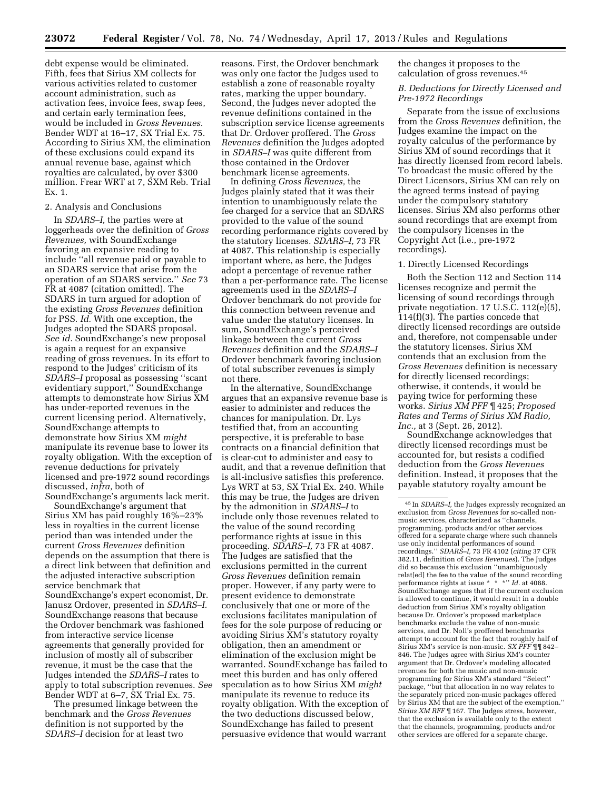debt expense would be eliminated. Fifth, fees that Sirius XM collects for various activities related to customer account administration, such as activation fees, invoice fees, swap fees, and certain early termination fees, would be included in *Gross Revenues.*  Bender WDT at 16–17, SX Trial Ex. 75. According to Sirius XM, the elimination of these exclusions could expand its annual revenue base, against which royalties are calculated, by over \$300 million. Frear WRT at 7, SXM Reb. Trial Ex. 1.

# 2. Analysis and Conclusions

In *SDARS–I,* the parties were at loggerheads over the definition of *Gross Revenues,* with SoundExchange favoring an expansive reading to include ''all revenue paid or payable to an SDARS service that arise from the operation of an SDARS service.'' *See* 73 FR at 4087 (citation omitted). The SDARS in turn argued for adoption of the existing *Gross Revenues* definition for PSS. *Id.* With one exception, the Judges adopted the SDARS proposal. *See id.* SoundExchange's new proposal is again a request for an expansive reading of gross revenues. In its effort to respond to the Judges' criticism of its *SDARS–I* proposal as possessing ''scant evidentiary support,'' SoundExchange attempts to demonstrate how Sirius XM has under-reported revenues in the current licensing period. Alternatively, SoundExchange attempts to demonstrate how Sirius XM *might*  manipulate its revenue base to lower its royalty obligation. With the exception of revenue deductions for privately licensed and pre-1972 sound recordings discussed, *infra,* both of

SoundExchange's arguments lack merit. SoundExchange's argument that Sirius XM has paid roughly 16%–23% less in royalties in the current license period than was intended under the current *Gross Revenues* definition depends on the assumption that there is a direct link between that definition and the adjusted interactive subscription service benchmark that SoundExchange's expert economist, Dr. Janusz Ordover, presented in *SDARS–I.*  SoundExchange reasons that because the Ordover benchmark was fashioned from interactive service license agreements that generally provided for inclusion of mostly all of subscriber revenue, it must be the case that the Judges intended the *SDARS–I* rates to apply to total subscription revenues. *See*  Bender WDT at 6–7, SX Trial Ex. 75.

The presumed linkage between the benchmark and the *Gross Revenues*  definition is not supported by the *SDARS–I* decision for at least two

reasons. First, the Ordover benchmark was only one factor the Judges used to establish a zone of reasonable royalty rates, marking the upper boundary. Second, the Judges never adopted the revenue definitions contained in the subscription service license agreements that Dr. Ordover proffered. The *Gross Revenues* definition the Judges adopted in *SDARS–I* was quite different from those contained in the Ordover benchmark license agreements.

In defining *Gross Revenues,* the Judges plainly stated that it was their intention to unambiguously relate the fee charged for a service that an SDARS provided to the value of the sound recording performance rights covered by the statutory licenses. *SDARS–I,* 73 FR at 4087. This relationship is especially important where, as here, the Judges adopt a percentage of revenue rather than a per-performance rate. The license agreements used in the *SDARS–I*  Ordover benchmark do not provide for this connection between revenue and value under the statutory licenses. In sum, SoundExchange's perceived linkage between the current *Gross Revenues* definition and the *SDARS–I*  Ordover benchmark favoring inclusion of total subscriber revenues is simply not there.

In the alternative, SoundExchange argues that an expansive revenue base is easier to administer and reduces the chances for manipulation. Dr. Lys testified that, from an accounting perspective, it is preferable to base contracts on a financial definition that is clear-cut to administer and easy to audit, and that a revenue definition that is all-inclusive satisfies this preference. Lys WRT at 53, SX Trial Ex. 240. While this may be true, the Judges are driven by the admonition in *SDARS–I* to include only those revenues related to the value of the sound recording performance rights at issue in this proceeding. *SDARS–I,* 73 FR at 4087. The Judges are satisfied that the exclusions permitted in the current *Gross Revenues* definition remain proper. However, if any party were to present evidence to demonstrate conclusively that one or more of the exclusions facilitates manipulation of fees for the sole purpose of reducing or avoiding Sirius XM's statutory royalty obligation, then an amendment or elimination of the exclusion might be warranted. SoundExchange has failed to meet this burden and has only offered speculation as to how Sirius XM *might*  manipulate its revenue to reduce its royalty obligation. With the exception of the two deductions discussed below, SoundExchange has failed to present persuasive evidence that would warrant

the changes it proposes to the calculation of gross revenues.45

## *B. Deductions for Directly Licensed and Pre-1972 Recordings*

Separate from the issue of exclusions from the *Gross Revenues* definition, the Judges examine the impact on the royalty calculus of the performance by Sirius XM of sound recordings that it has directly licensed from record labels. To broadcast the music offered by the Direct Licensors, Sirius XM can rely on the agreed terms instead of paying under the compulsory statutory licenses. Sirius XM also performs other sound recordings that are exempt from the compulsory licenses in the Copyright Act (i.e., pre-1972 recordings).

#### 1. Directly Licensed Recordings

Both the Section 112 and Section 114 licenses recognize and permit the licensing of sound recordings through private negotiation. 17 U.S.C. 112(e)(5), 114(f)(3). The parties concede that directly licensed recordings are outside and, therefore, not compensable under the statutory licenses. Sirius XM contends that an exclusion from the *Gross Revenues* definition is necessary for directly licensed recordings; otherwise, it contends, it would be paying twice for performing these works. *Sirius XM PFF* ¶ 425; *Proposed Rates and Terms of Sirius XM Radio, Inc.,* at 3 (Sept. 26, 2012).

SoundExchange acknowledges that directly licensed recordings must be accounted for, but resists a codified deduction from the *Gross Revenues*  definition. Instead, it proposes that the payable statutory royalty amount be

<sup>45</sup> In *SDARS–I,* the Judges expressly recognized an exclusion from *Gross Revenues* for so-called nonmusic services, characterized as ''channels, programming, products and/or other services offered for a separate charge where such channels use only incidental performances of sound recordings.'' *SDARS–I,* 73 FR 4102 (*citing* 37 CFR 382.11, definition of *Gross Revenues*). The Judges did so because this exclusion ''unambiguously relat[ed] the fee to the value of the sound recording performance rights at issue \* \* \*'' *Id.* at 4088. SoundExchange argues that if the current exclusion is allowed to continue, it would result in a double deduction from Sirius XM's royalty obligation because Dr. Ordover's proposed marketplace benchmarks exclude the value of non-music services, and Dr. Noll's proffered benchmarks attempt to account for the fact that roughly half of Sirius XM's service is non-music. *SX PFF* ¶¶ 842– 846. The Judges agree with Sirius XM's counter argument that Dr. Ordover's modeling allocated revenues for both the music and non-music programming for Sirius XM's standard ''Select'' package, ''but that allocation in no way relates to the separately priced non-music packages offered by Sirius XM that are the subject of the exemption.'' *Sirius XM RFF* ¶ 167. The Judges stress, however, that the exclusion is available only to the extent that the channels, programming, products and/or other services are offered for a separate charge.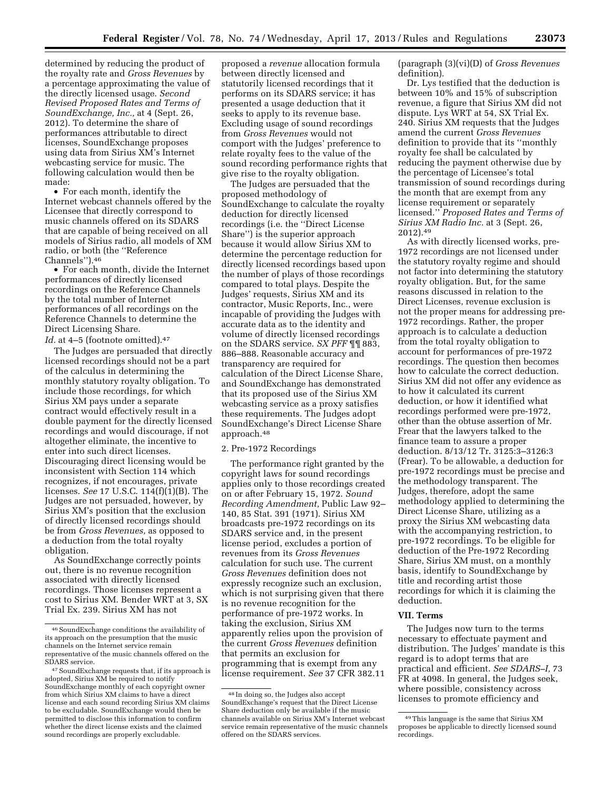determined by reducing the product of the royalty rate and *Gross Revenues* by a percentage approximating the value of the directly licensed usage. *Second Revised Proposed Rates and Terms of SoundExchange, Inc.,* at 4 (Sept. 26, 2012). To determine the share of performances attributable to direct licenses, SoundExchange proposes using data from Sirius XM's Internet webcasting service for music. The following calculation would then be made:

• For each month, identify the Internet webcast channels offered by the Licensee that directly correspond to music channels offered on its SDARS that are capable of being received on all models of Sirius radio, all models of XM radio, or both (the ''Reference Channels'').46

• For each month, divide the Internet performances of directly licensed recordings on the Reference Channels by the total number of Internet performances of all recordings on the Reference Channels to determine the Direct Licensing Share. *Id.* at 4–5 (footnote omitted).<sup>47</sup>

The Judges are persuaded that directly licensed recordings should not be a part of the calculus in determining the monthly statutory royalty obligation. To include those recordings, for which Sirius XM pays under a separate contract would effectively result in a double payment for the directly licensed recordings and would discourage, if not altogether eliminate, the incentive to enter into such direct licenses. Discouraging direct licensing would be inconsistent with Section 114 which recognizes, if not encourages, private licenses. *See* 17 U.S.C. 114(f)(1)(B). The Judges are not persuaded, however, by Sirius XM's position that the exclusion of directly licensed recordings should be from *Gross Revenues,* as opposed to a deduction from the total royalty obligation.

As SoundExchange correctly points out, there is no revenue recognition associated with directly licensed recordings. Those licenses represent a cost to Sirius XM. Bender WRT at 3, SX Trial Ex. 239. Sirius XM has not

proposed a *revenue* allocation formula between directly licensed and statutorily licensed recordings that it performs on its SDARS service; it has presented a usage deduction that it seeks to apply to its revenue base. Excluding usage of sound recordings from *Gross Revenues* would not comport with the Judges' preference to relate royalty fees to the value of the sound recording performance rights that give rise to the royalty obligation.

The Judges are persuaded that the proposed methodology of SoundExchange to calculate the royalty deduction for directly licensed recordings (i.e. the ''Direct License Share'') is the superior approach because it would allow Sirius XM to determine the percentage reduction for directly licensed recordings based upon the number of plays of those recordings compared to total plays. Despite the Judges' requests, Sirius XM and its contractor, Music Reports, Inc., were incapable of providing the Judges with accurate data as to the identity and volume of directly licensed recordings on the SDARS service. *SX PFF* ¶¶ 883, 886–888. Reasonable accuracy and transparency are required for calculation of the Direct License Share, and SoundExchange has demonstrated that its proposed use of the Sirius XM webcasting service as a proxy satisfies these requirements. The Judges adopt SoundExchange's Direct License Share approach.48

#### 2. Pre-1972 Recordings

The performance right granted by the copyright laws for sound recordings applies only to those recordings created on or after February 15, 1972. *Sound Recording Amendment,* Public Law 92– 140, 85 Stat. 391 (1971). Sirius XM broadcasts pre-1972 recordings on its SDARS service and, in the present license period, excludes a portion of revenues from its *Gross Revenues*  calculation for such use. The current *Gross Revenues* definition does not expressly recognize such an exclusion, which is not surprising given that there is no revenue recognition for the performance of pre-1972 works. In taking the exclusion, Sirius XM apparently relies upon the provision of the current *Gross Revenues* definition that permits an exclusion for programming that is exempt from any license requirement. *See* 37 CFR 382.11

(paragraph (3)(vi)(D) of *Gross Revenues*  definition).

Dr. Lys testified that the deduction is between 10% and 15% of subscription revenue, a figure that Sirius XM did not dispute. Lys WRT at 54, SX Trial Ex. 240. Sirius XM requests that the Judges amend the current *Gross Revenues*  definition to provide that its ''monthly royalty fee shall be calculated by reducing the payment otherwise due by the percentage of Licensee's total transmission of sound recordings during the month that are exempt from any license requirement or separately licensed.'' *Proposed Rates and Terms of Sirius XM Radio Inc.* at 3 (Sept. 26, 2012).49

As with directly licensed works, pre-1972 recordings are not licensed under the statutory royalty regime and should not factor into determining the statutory royalty obligation. But, for the same reasons discussed in relation to the Direct Licenses, revenue exclusion is not the proper means for addressing pre-1972 recordings. Rather, the proper approach is to calculate a deduction from the total royalty obligation to account for performances of pre-1972 recordings. The question then becomes how to calculate the correct deduction. Sirius XM did not offer any evidence as to how it calculated its current deduction, or how it identified what recordings performed were pre-1972, other than the obtuse assertion of Mr. Frear that the lawyers talked to the finance team to assure a proper deduction. 8/13/12 Tr. 3125:3–3126:3 (Frear). To be allowable, a deduction for pre-1972 recordings must be precise and the methodology transparent. The Judges, therefore, adopt the same methodology applied to determining the Direct License Share, utilizing as a proxy the Sirius XM webcasting data with the accompanying restriction, to pre-1972 recordings. To be eligible for deduction of the Pre-1972 Recording Share, Sirius XM must, on a monthly basis, identify to SoundExchange by title and recording artist those recordings for which it is claiming the deduction.

# **VII. Terms**

The Judges now turn to the terms necessary to effectuate payment and distribution. The Judges' mandate is this regard is to adopt terms that are practical and efficient. *See SDARS–I,* 73 FR at 4098. In general, the Judges seek, where possible, consistency across licenses to promote efficiency and

<sup>46</sup>SoundExchange conditions the availability of its approach on the presumption that the music channels on the Internet service remain representative of the music channels offered on the SDARS service.

<sup>47</sup>SoundExchange requests that, if its approach is adopted, Sirius XM be required to notify SoundExchange monthly of each copyright owner from which Sirius XM claims to have a direct license and each sound recording Sirius XM claims to be excludable. SoundExchange would then be permitted to disclose this information to confirm whether the direct license exists and the claimed sound recordings are properly excludable.

<sup>48</sup> In doing so, the Judges also accept SoundExchange's request that the Direct License Share deduction only be available if the music channels available on Sirius XM's Internet webcast service remain representative of the music channels offered on the SDARS services.

<sup>49</sup>This language is the same that Sirius XM proposes be applicable to directly licensed sound recordings.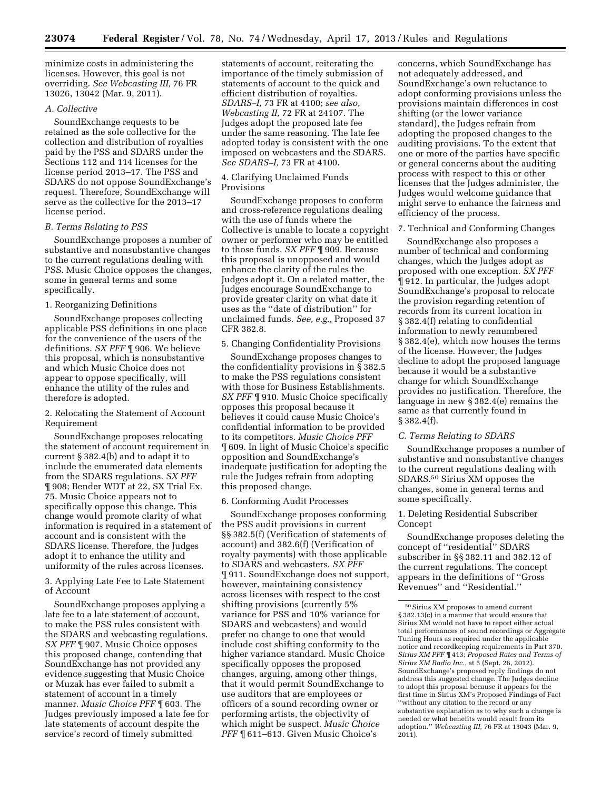minimize costs in administering the licenses. However, this goal is not overriding. *See Webcasting III,* 76 FR 13026, 13042 (Mar. 9, 2011).

#### *A. Collective*

SoundExchange requests to be retained as the sole collective for the collection and distribution of royalties paid by the PSS and SDARS under the Sections 112 and 114 licenses for the license period 2013–17. The PSS and SDARS do not oppose SoundExchange's request. Therefore, SoundExchange will serve as the collective for the 2013–17 license period.

#### *B. Terms Relating to PSS*

SoundExchange proposes a number of substantive and nonsubstantive changes to the current regulations dealing with PSS. Music Choice opposes the changes, some in general terms and some specifically.

# 1. Reorganizing Definitions

SoundExchange proposes collecting applicable PSS definitions in one place for the convenience of the users of the definitions. *SX PFF* ¶ 906. We believe this proposal, which is nonsubstantive and which Music Choice does not appear to oppose specifically, will enhance the utility of the rules and therefore is adopted.

# 2. Relocating the Statement of Account Requirement

SoundExchange proposes relocating the statement of account requirement in current § 382.4(b) and to adapt it to include the enumerated data elements from the SDARS regulations. *SX PFF*  ¶ 908; Bender WDT at 22, SX Trial Ex. 75. Music Choice appears not to specifically oppose this change. This change would promote clarity of what information is required in a statement of account and is consistent with the SDARS license. Therefore, the Judges adopt it to enhance the utility and uniformity of the rules across licenses.

3. Applying Late Fee to Late Statement of Account

SoundExchange proposes applying a late fee to a late statement of account, to make the PSS rules consistent with the SDARS and webcasting regulations. *SX PFF* ¶ 907. Music Choice opposes this proposed change, contending that SoundExchange has not provided any evidence suggesting that Music Choice or Muzak has ever failed to submit a statement of account in a timely manner. *Music Choice PFF* ¶ 603. The Judges previously imposed a late fee for late statements of account despite the service's record of timely submitted

statements of account, reiterating the importance of the timely submission of statements of account to the quick and efficient distribution of royalties. *SDARS–I,* 73 FR at 4100; *see also, Webcasting II,* 72 FR at 24107. The Judges adopt the proposed late fee under the same reasoning. The late fee adopted today is consistent with the one imposed on webcasters and the SDARS. *See SDARS–I,* 73 FR at 4100.

#### 4. Clarifying Unclaimed Funds Provisions

SoundExchange proposes to conform and cross-reference regulations dealing with the use of funds where the Collective is unable to locate a copyright owner or performer who may be entitled to those funds. *SX PFF* ¶ 909. Because this proposal is unopposed and would enhance the clarity of the rules the Judges adopt it. On a related matter, the Judges encourage SoundExchange to provide greater clarity on what date it uses as the ''date of distribution'' for unclaimed funds. *See, e.g.,* Proposed 37 CFR 382.8.

# 5. Changing Confidentiality Provisions

SoundExchange proposes changes to the confidentiality provisions in  $\S$  382.5 to make the PSS regulations consistent with those for Business Establishments. *SX PFF* ¶ 910. Music Choice specifically opposes this proposal because it believes it could cause Music Choice's confidential information to be provided to its competitors. *Music Choice PFF*  ¶ 609. In light of Music Choice's specific opposition and SoundExchange's inadequate justification for adopting the rule the Judges refrain from adopting this proposed change.

# 6. Conforming Audit Processes

SoundExchange proposes conforming the PSS audit provisions in current §§ 382.5(f) (Verification of statements of account) and 382.6(f) (Verification of royalty payments) with those applicable to SDARS and webcasters. *SX PFF*  ¶ 911. SoundExchange does not support, however, maintaining consistency across licenses with respect to the cost shifting provisions (currently 5% variance for PSS and 10% variance for SDARS and webcasters) and would prefer no change to one that would include cost shifting conformity to the higher variance standard. Music Choice specifically opposes the proposed changes, arguing, among other things, that it would permit SoundExchange to use auditors that are employees or officers of a sound recording owner or performing artists, the objectivity of which might be suspect. *Music Choice PFF* ¶ 611–613. Given Music Choice's

concerns, which SoundExchange has not adequately addressed, and SoundExchange's own reluctance to adopt conforming provisions unless the provisions maintain differences in cost shifting (or the lower variance standard), the Judges refrain from adopting the proposed changes to the auditing provisions. To the extent that one or more of the parties have specific or general concerns about the auditing process with respect to this or other licenses that the Judges administer, the Judges would welcome guidance that might serve to enhance the fairness and efficiency of the process.

# 7. Technical and Conforming Changes

SoundExchange also proposes a number of technical and conforming changes, which the Judges adopt as proposed with one exception. *SX PFF*  ¶ 912. In particular, the Judges adopt SoundExchange's proposal to relocate the provision regarding retention of records from its current location in § 382.4(f) relating to confidential information to newly renumbered § 382.4(e), which now houses the terms of the license. However, the Judges decline to adopt the proposed language because it would be a substantive change for which SoundExchange provides no justification. Therefore, the language in new § 382.4(e) remains the same as that currently found in § 382.4(f).

#### *C. Terms Relating to SDARS*

SoundExchange proposes a number of substantive and nonsubstantive changes to the current regulations dealing with SDARS.50 Sirius XM opposes the changes, some in general terms and some specifically.

# 1. Deleting Residential Subscriber Concept

SoundExchange proposes deleting the concept of ''residential'' SDARS subscriber in §§ 382.11 and 382.12 of the current regulations. The concept appears in the definitions of ''Gross Revenues'' and ''Residential.''

<sup>50</sup>Sirius XM proposes to amend current § 382.13(c) in a manner that would ensure that Sirius XM would not have to report either actual total performances of sound recordings or Aggregate Tuning Hours as required under the applicable notice and recordkeeping requirements in Part 370. *Sirius XM PFF* ¶ 413; *Proposed Rates and Terms of Sirius XM Radio Inc.,* at 5 (Sept. 26, 2012). SoundExchange's proposed reply findings do not address this suggested change. The Judges decline to adopt this proposal because it appears for the first time in Sirius XM's Proposed Findings of Fact ''without any citation to the record or any substantive explanation as to why such a change is needed or what benefits would result from its adoption.'' *Webcasting III,* 76 FR at 13043 (Mar. 9, 2011).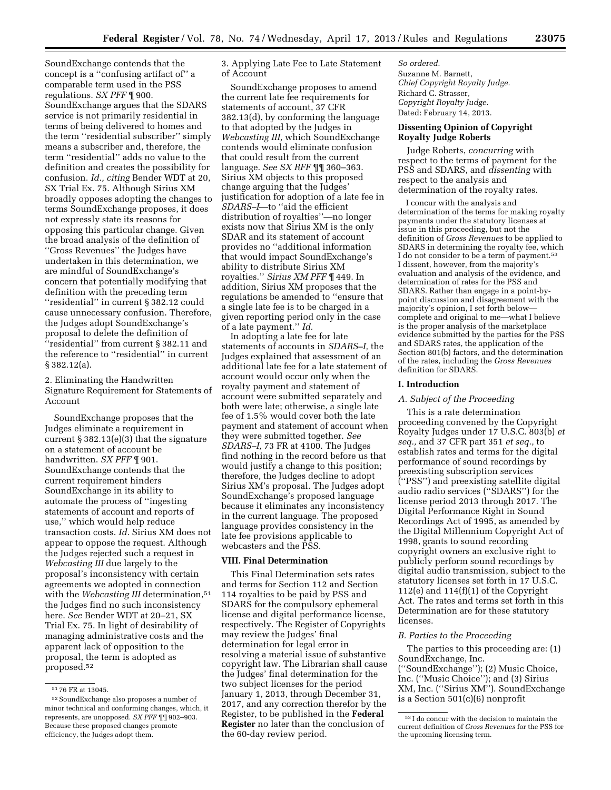SoundExchange contends that the concept is a ''confusing artifact of'' a comparable term used in the PSS regulations. *SX PFF* ¶ 900. SoundExchange argues that the SDARS service is not primarily residential in terms of being delivered to homes and the term ''residential subscriber'' simply means a subscriber and, therefore, the term ''residential'' adds no value to the definition and creates the possibility for confusion. *Id., citing* Bender WDT at 20, SX Trial Ex. 75. Although Sirius XM broadly opposes adopting the changes to terms SoundExchange proposes, it does not expressly state its reasons for opposing this particular change. Given the broad analysis of the definition of ''Gross Revenues'' the Judges have undertaken in this determination, we are mindful of SoundExchange's concern that potentially modifying that definition with the preceding term ''residential'' in current § 382.12 could cause unnecessary confusion. Therefore, the Judges adopt SoundExchange's proposal to delete the definition of ''residential'' from current § 382.11 and the reference to ''residential'' in current § 382.12(a).

2. Eliminating the Handwritten Signature Requirement for Statements of Account

SoundExchange proposes that the Judges eliminate a requirement in current § 382.13(e)(3) that the signature on a statement of account be handwritten. *SX PFF* ¶ 901. SoundExchange contends that the current requirement hinders SoundExchange in its ability to automate the process of ''ingesting statements of account and reports of use,'' which would help reduce transaction costs. *Id.* Sirius XM does not appear to oppose the request. Although the Judges rejected such a request in *Webcasting III* due largely to the proposal's inconsistency with certain agreements we adopted in connection with the *Webcasting III* determination,<sup>51</sup> the Judges find no such inconsistency here. *See* Bender WDT at 20–21, SX Trial Ex. 75. In light of desirability of managing administrative costs and the apparent lack of opposition to the proposal, the term is adopted as proposed.52

3. Applying Late Fee to Late Statement of Account

SoundExchange proposes to amend the current late fee requirements for statements of account, 37 CFR 382.13(d), by conforming the language to that adopted by the Judges in *Webcasting III,* which SoundExchange contends would eliminate confusion that could result from the current language. *See SX RFF* ¶¶ 360–363. Sirius XM objects to this proposed change arguing that the Judges' justification for adoption of a late fee in *SDARS–I*—to ''aid the efficient distribution of royalties''—no longer exists now that Sirius XM is the only SDAR and its statement of account provides no ''additional information that would impact SoundExchange's ability to distribute Sirius XM royalties.'' *Sirius XM PFF* ¶ 449. In addition, Sirius XM proposes that the regulations be amended to ''ensure that a single late fee is to be charged in a given reporting period only in the case of a late payment.'' *Id.* 

In adopting a late fee for late statements of accounts in *SDARS–I,* the Judges explained that assessment of an additional late fee for a late statement of account would occur only when the royalty payment and statement of account were submitted separately and both were late; otherwise, a single late fee of 1.5% would cover both the late payment and statement of account when they were submitted together. *See SDARS–I,* 73 FR at 4100. The Judges find nothing in the record before us that would justify a change to this position; therefore, the Judges decline to adopt Sirius XM's proposal. The Judges adopt SoundExchange's proposed language because it eliminates any inconsistency in the current language. The proposed language provides consistency in the late fee provisions applicable to webcasters and the PSS.

#### **VIII. Final Determination**

This Final Determination sets rates and terms for Section 112 and Section 114 royalties to be paid by PSS and SDARS for the compulsory ephemeral license and digital performance license, respectively. The Register of Copyrights may review the Judges' final determination for legal error in resolving a material issue of substantive copyright law. The Librarian shall cause the Judges' final determination for the two subject licenses for the period January 1, 2013, through December 31, 2017, and any correction therefor by the Register, to be published in the **Federal Register** no later than the conclusion of the 60-day review period.

*So ordered.*  Suzanne M. Barnett, *Chief Copyright Royalty Judge.*  Richard C. Strasser, *Copyright Royalty Judge.*  Dated: February 14, 2013.

# **Dissenting Opinion of Copyright Royalty Judge Roberts**

Judge Roberts, *concurring* with respect to the terms of payment for the PSS and SDARS, and *dissenting* with respect to the analysis and determination of the royalty rates.

I concur with the analysis and determination of the terms for making royalty payments under the statutory licenses at issue in this proceeding, but not the definition of *Gross Revenues* to be applied to SDARS in determining the royalty fee, which I do not consider to be a term of payment.<sup>53</sup> I dissent, however, from the majority's evaluation and analysis of the evidence, and determination of rates for the PSS and SDARS. Rather than engage in a point-bypoint discussion and disagreement with the majority's opinion, I set forth below complete and original to me—what I believe is the proper analysis of the marketplace evidence submitted by the parties for the PSS and SDARS rates, the application of the Section 801(b) factors, and the determination of the rates, including the *Gross Revenues*  definition for SDARS.

#### **I. Introduction**

# *A. Subject of the Proceeding*

This is a rate determination proceeding convened by the Copyright Royalty Judges under 17 U.S.C. 803(b) *et seq.,* and 37 CFR part 351 *et seq.,* to establish rates and terms for the digital performance of sound recordings by preexisting subscription services (''PSS'') and preexisting satellite digital audio radio services (''SDARS'') for the license period 2013 through 2017. The Digital Performance Right in Sound Recordings Act of 1995, as amended by the Digital Millennium Copyright Act of 1998, grants to sound recording copyright owners an exclusive right to publicly perform sound recordings by digital audio transmission, subject to the statutory licenses set forth in 17 U.S.C. 112(e) and 114(f)(1) of the Copyright Act. The rates and terms set forth in this Determination are for these statutory licenses.

#### *B. Parties to the Proceeding*

is a Section 501(c)(6) nonprofit

The parties to this proceeding are: (1) SoundExchange, Inc. (''SoundExchange''); (2) Music Choice, Inc. (''Music Choice''); and (3) Sirius XM, Inc. (''Sirius XM''). SoundExchange

<sup>51</sup> 76 FR at 13045.

<sup>52</sup>SoundExchange also proposes a number of minor technical and conforming changes, which, it represents, are unopposed. *SX PFF* ¶¶ 902–903. Because these proposed changes promote efficiency, the Judges adopt them.

<sup>53</sup> I do concur with the decision to maintain the current definition of *Gross Revenues* for the PSS for the upcoming licensing term.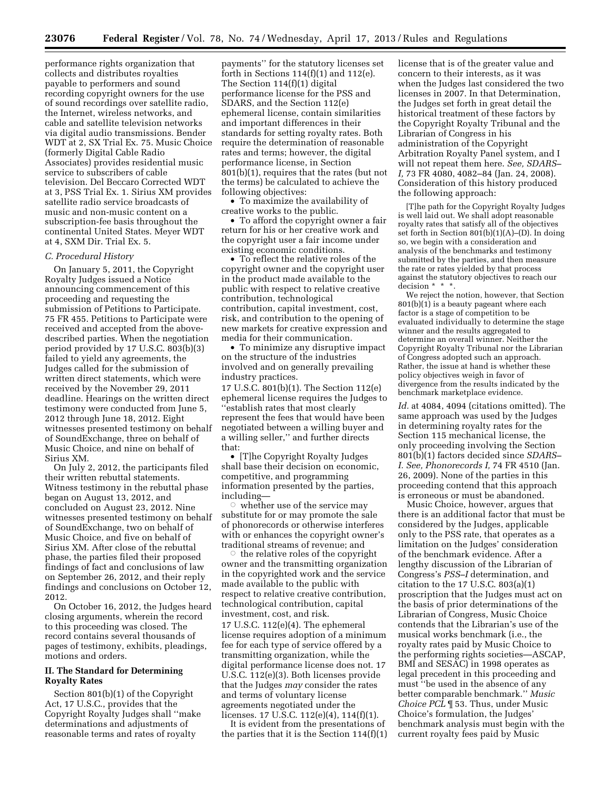performance rights organization that collects and distributes royalties payable to performers and sound recording copyright owners for the use of sound recordings over satellite radio, the Internet, wireless networks, and cable and satellite television networks via digital audio transmissions. Bender WDT at 2, SX Trial Ex. 75. Music Choice (formerly Digital Cable Radio Associates) provides residential music service to subscribers of cable television. Del Beccaro Corrected WDT at 3, PSS Trial Ex. 1. Sirius XM provides satellite radio service broadcasts of music and non-music content on a subscription-fee basis throughout the continental United States. Meyer WDT at 4, SXM Dir. Trial Ex. 5.

#### *C. Procedural History*

On January 5, 2011, the Copyright Royalty Judges issued a Notice announcing commencement of this proceeding and requesting the submission of Petitions to Participate. 75 FR 455. Petitions to Participate were received and accepted from the abovedescribed parties. When the negotiation period provided by 17 U.S.C. 803(b)(3) failed to yield any agreements, the Judges called for the submission of written direct statements, which were received by the November 29, 2011 deadline. Hearings on the written direct testimony were conducted from June 5, 2012 through June 18, 2012. Eight witnesses presented testimony on behalf of SoundExchange, three on behalf of Music Choice, and nine on behalf of Sirius XM.

On July 2, 2012, the participants filed their written rebuttal statements. Witness testimony in the rebuttal phase began on August 13, 2012, and concluded on August 23, 2012. Nine witnesses presented testimony on behalf of SoundExchange, two on behalf of Music Choice, and five on behalf of Sirius XM. After close of the rebuttal phase, the parties filed their proposed findings of fact and conclusions of law on September 26, 2012, and their reply findings and conclusions on October 12, 2012.

On October 16, 2012, the Judges heard closing arguments, wherein the record to this proceeding was closed. The record contains several thousands of pages of testimony, exhibits, pleadings, motions and orders.

# **II. The Standard for Determining Royalty Rates**

Section 801(b)(1) of the Copyright Act, 17 U.S.C., provides that the Copyright Royalty Judges shall ''make determinations and adjustments of reasonable terms and rates of royalty

payments'' for the statutory licenses set forth in Sections  $114(f)(1)$  and  $112(e)$ . The Section 114(f)(1) digital performance license for the PSS and SDARS, and the Section 112(e) ephemeral license, contain similarities and important differences in their standards for setting royalty rates. Both require the determination of reasonable rates and terms; however, the digital performance license, in Section 801(b)(1), requires that the rates (but not the terms) be calculated to achieve the following objectives:

• To maximize the availability of creative works to the public.

• To afford the copyright owner a fair return for his or her creative work and the copyright user a fair income under existing economic conditions.

• To reflect the relative roles of the copyright owner and the copyright user in the product made available to the public with respect to relative creative contribution, technological contribution, capital investment, cost, risk, and contribution to the opening of new markets for creative expression and media for their communication.

• To minimize any disruptive impact on the structure of the industries involved and on generally prevailing industry practices.

17 U.S.C. 801(b)(1). The Section 112(e) ephemeral license requires the Judges to ''establish rates that most clearly represent the fees that would have been negotiated between a willing buyer and a willing seller,'' and further directs that:

• [T]he Copyright Royalty Judges shall base their decision on economic, competitive, and programming information presented by the parties, including—

 $\circ$  whether use of the service may substitute for or may promote the sale of phonorecords or otherwise interferes with or enhances the copyright owner's traditional streams of revenue; and

 $\overline{\circ}$  the relative roles of the copyright owner and the transmitting organization in the copyrighted work and the service made available to the public with respect to relative creative contribution, technological contribution, capital investment, cost, and risk. 17 U.S.C. 112(e)(4). The ephemeral license requires adoption of a minimum fee for each type of service offered by a transmitting organization, while the digital performance license does not. 17 U.S.C. 112(e)(3). Both licenses provide that the Judges *may* consider the rates and terms of voluntary license agreements negotiated under the licenses. 17 U.S.C. 112(e)(4), 114(f)(1).

It is evident from the presentations of the parties that it is the Section 114(f)(1) license that is of the greater value and concern to their interests, as it was when the Judges last considered the two licenses in 2007. In that Determination, the Judges set forth in great detail the historical treatment of these factors by the Copyright Royalty Tribunal and the Librarian of Congress in his administration of the Copyright Arbitration Royalty Panel system, and I will not repeat them here. *See, SDARS– I,* 73 FR 4080, 4082–84 (Jan. 24, 2008). Consideration of this history produced the following approach:

[T]he path for the Copyright Royalty Judges is well laid out. We shall adopt reasonable royalty rates that satisfy all of the objectives set forth in Section 801(b)(1)(A)–(D). In doing so, we begin with a consideration and analysis of the benchmarks and testimony submitted by the parties, and then measure the rate or rates yielded by that process against the statutory objectives to reach our decision \* \* \*.

We reject the notion, however, that Section 801(b)(1) is a beauty pageant where each factor is a stage of competition to be evaluated individually to determine the stage winner and the results aggregated to determine an overall winner. Neither the Copyright Royalty Tribunal nor the Librarian of Congress adopted such an approach. Rather, the issue at hand is whether these policy objectives weigh in favor of divergence from the results indicated by the benchmark marketplace evidence.

*Id.* at 4084, 4094 (citations omitted). The same approach was used by the Judges in determining royalty rates for the Section 115 mechanical license, the only proceeding involving the Section 801(b)(1) factors decided since *SDARS– I. See, Phonorecords I,* 74 FR 4510 (Jan. 26, 2009). None of the parties in this proceeding contend that this approach is erroneous or must be abandoned.

Music Choice, however, argues that there is an additional factor that must be considered by the Judges, applicable only to the PSS rate, that operates as a limitation on the Judges' consideration of the benchmark evidence. After a lengthy discussion of the Librarian of Congress's *PSS–I* determination, and citation to the 17 U.S.C. 803(a)(1) proscription that the Judges must act on the basis of prior determinations of the Librarian of Congress, Music Choice contends that the Librarian's use of the musical works benchmark (i.e., the royalty rates paid by Music Choice to the performing rights societies—ASCAP, BMI and SESAC) in 1998 operates as legal precedent in this proceeding and must ''be used in the absence of any better comparable benchmark.'' *Music Choice PCL* ¶ 53. Thus, under Music Choice's formulation, the Judges' benchmark analysis must begin with the current royalty fees paid by Music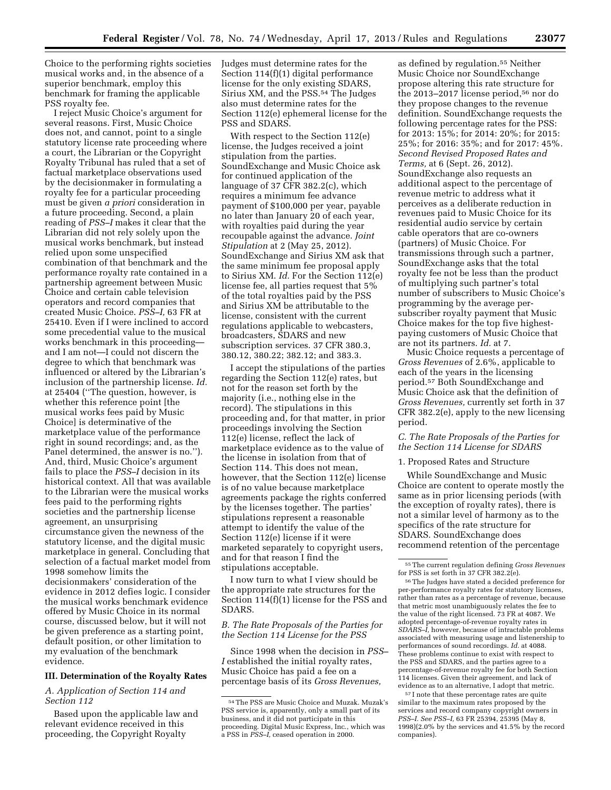Choice to the performing rights societies musical works and, in the absence of a superior benchmark, employ this benchmark for framing the applicable PSS royalty fee.

I reject Music Choice's argument for several reasons. First, Music Choice does not, and cannot, point to a single statutory license rate proceeding where a court, the Librarian or the Copyright Royalty Tribunal has ruled that a set of factual marketplace observations used by the decisionmaker in formulating a royalty fee for a particular proceeding must be given *a priori* consideration in a future proceeding. Second, a plain reading of *PSS–I* makes it clear that the Librarian did not rely solely upon the musical works benchmark, but instead relied upon some unspecified combination of that benchmark and the performance royalty rate contained in a partnership agreement between Music Choice and certain cable television operators and record companies that created Music Choice. *PSS–I,* 63 FR at 25410. Even if I were inclined to accord some precedential value to the musical works benchmark in this proceeding and I am not—I could not discern the degree to which that benchmark was influenced or altered by the Librarian's inclusion of the partnership license. *Id.*  at 25404 (''The question, however, is whether this reference point [the musical works fees paid by Music Choice] is determinative of the marketplace value of the performance right in sound recordings; and, as the Panel determined, the answer is no.''). And, third, Music Choice's argument fails to place the *PSS–I* decision in its historical context. All that was available to the Librarian were the musical works fees paid to the performing rights societies and the partnership license agreement, an unsurprising circumstance given the newness of the statutory license, and the digital music marketplace in general. Concluding that selection of a factual market model from 1998 somehow limits the decisionmakers' consideration of the evidence in 2012 defies logic. I consider the musical works benchmark evidence offered by Music Choice in its normal course, discussed below, but it will not be given preference as a starting point, default position, or other limitation to my evaluation of the benchmark evidence.

## **III. Determination of the Royalty Rates**

# *A. Application of Section 114 and Section 112*

Based upon the applicable law and relevant evidence received in this proceeding, the Copyright Royalty

Judges must determine rates for the Section 114(f)(1) digital performance license for the only existing SDARS, Sirius XM, and the PSS.54 The Judges also must determine rates for the Section 112(e) ephemeral license for the PSS and SDARS.

With respect to the Section 112(e) license, the Judges received a joint stipulation from the parties. SoundExchange and Music Choice ask for continued application of the language of 37 CFR 382.2(c), which requires a minimum fee advance payment of \$100,000 per year, payable no later than January 20 of each year, with royalties paid during the year recoupable against the advance. *Joint Stipulation* at 2 (May 25, 2012). SoundExchange and Sirius XM ask that the same minimum fee proposal apply to Sirius XM. *Id.* For the Section 112(e) license fee, all parties request that 5% of the total royalties paid by the PSS and Sirius XM be attributable to the license, consistent with the current regulations applicable to webcasters, broadcasters, SDARS and new subscription services. 37 CFR 380.3, 380.12, 380.22; 382.12; and 383.3.

I accept the stipulations of the parties regarding the Section 112(e) rates, but not for the reason set forth by the majority (i.e., nothing else in the record). The stipulations in this proceeding and, for that matter, in prior proceedings involving the Section 112(e) license, reflect the lack of marketplace evidence as to the value of the license in isolation from that of Section 114. This does not mean, however, that the Section 112(e) license is of no value because marketplace agreements package the rights conferred by the licenses together. The parties' stipulations represent a reasonable attempt to identify the value of the Section 112(e) license if it were marketed separately to copyright users, and for that reason I find the stipulations acceptable.

I now turn to what I view should be the appropriate rate structures for the Section 114(f)(1) license for the PSS and SDARS.

# *B. The Rate Proposals of the Parties for the Section 114 License for the PSS*

Since 1998 when the decision in *PSS– I* established the initial royalty rates, Music Choice has paid a fee on a percentage basis of its *Gross Revenues,* 

as defined by regulation.55 Neither Music Choice nor SoundExchange propose altering this rate structure for the 2013–2017 license period,56 nor do they propose changes to the revenue definition. SoundExchange requests the following percentage rates for the PSS: for 2013: 15%; for 2014: 20%; for 2015: 25%; for 2016: 35%; and for 2017: 45%. *Second Revised Proposed Rates and Terms,* at 6 (Sept. 26, 2012). SoundExchange also requests an additional aspect to the percentage of revenue metric to address what it perceives as a deliberate reduction in revenues paid to Music Choice for its residential audio service by certain cable operators that are co-owners (partners) of Music Choice. For transmissions through such a partner, SoundExchange asks that the total royalty fee not be less than the product of multiplying such partner's total number of subscribers to Music Choice's programming by the average persubscriber royalty payment that Music Choice makes for the top five highestpaying customers of Music Choice that are not its partners. *Id.* at 7.

Music Choice requests a percentage of *Gross Revenues* of 2.6%, applicable to each of the years in the licensing period.57 Both SoundExchange and Music Choice ask that the definition of *Gross Revenues,* currently set forth in 37 CFR 382.2(e), apply to the new licensing period.

# *C. The Rate Proposals of the Parties for the Section 114 License for SDARS*

#### 1. Proposed Rates and Structure

While SoundExchange and Music Choice are content to operate mostly the same as in prior licensing periods (with the exception of royalty rates), there is not a similar level of harmony as to the specifics of the rate structure for SDARS. SoundExchange does recommend retention of the percentage

56The Judges have stated a decided preference for per-performance royalty rates for statutory licenses, rather than rates as a percentage of revenue, because that metric most unambiguously relates the fee to the value of the right licensed. 73 FR at 4087. We adopted percentage-of-revenue royalty rates in *SDARS–I,* however, because of intractable problems associated with measuring usage and listenership to performances of sound recordings. *Id.* at 4088. These problems continue to exist with respect to the PSS and SDARS, and the parties agree to a percentage-of-revenue royalty fee for both Section 114 licenses. Given their agreement, and lack of evidence as to an alternative, I adopt that metric.

57 I note that these percentage rates are quite similar to the maximum rates proposed by the services and record company copyright owners in *PSS–I. See PSS–I,* 63 FR 25394, 25395 (May 8, 1998)(2.0% by the services and 41.5% by the record companies).

<sup>54</sup>The PSS are Music Choice and Muzak. Muzak's PSS service is, apparently, only a small part of its business, and it did not participate in this proceeding. Digital Music Express, Inc., which was a PSS in *PSS–I,* ceased operation in 2000.

<sup>55</sup>The current regulation defining *Gross Revenues*  for PSS is set forth in 37 CFR 382.2(e).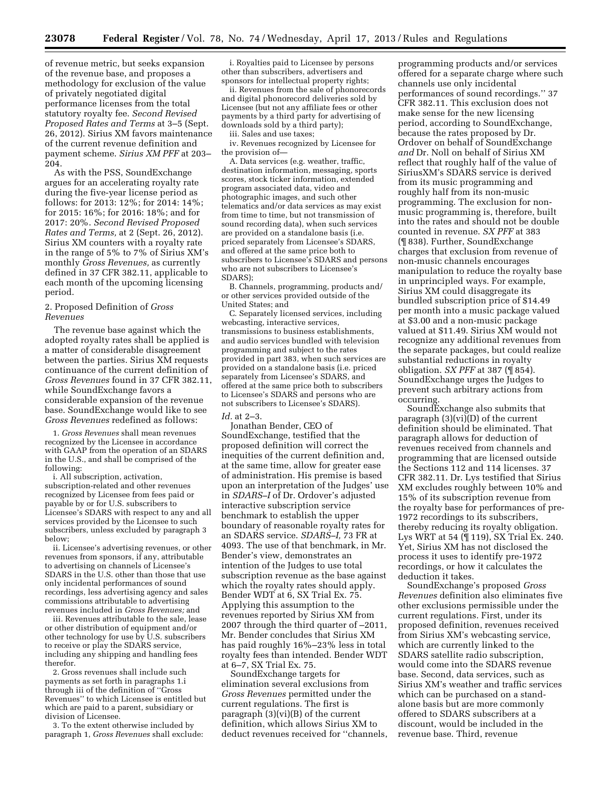of revenue metric, but seeks expansion of the revenue base, and proposes a methodology for exclusion of the value of privately negotiated digital performance licenses from the total statutory royalty fee. *Second Revised Proposed Rates and Terms* at 3–5 (Sept. 26, 2012). Sirius XM favors maintenance of the current revenue definition and payment scheme. *Sirius XM PFF* at 203– 204.

As with the PSS, SoundExchange argues for an accelerating royalty rate during the five-year license period as follows: for 2013: 12%; for 2014: 14%; for 2015: 16%; for 2016: 18%; and for 2017: 20%. *Second Revised Proposed Rates and Terms,* at 2 (Sept. 26, 2012). Sirius XM counters with a royalty rate in the range of 5% to 7% of Sirius XM's monthly *Gross Revenues,* as currently defined in 37 CFR 382.11, applicable to each month of the upcoming licensing period.

# 2. Proposed Definition of *Gross Revenues*

The revenue base against which the adopted royalty rates shall be applied is a matter of considerable disagreement between the parties. Sirius XM requests continuance of the current definition of *Gross Revenues* found in 37 CFR 382.11, while SoundExchange favors a considerable expansion of the revenue base. SoundExchange would like to see *Gross Revenues* redefined as follows:

1. *Gross Revenues* shall mean revenues recognized by the Licensee in accordance with GAAP from the operation of an SDARS in the U.S., and shall be comprised of the following:

i. All subscription, activation, subscription-related and other revenues recognized by Licensee from fees paid or payable by or for U.S. subscribers to Licensee's SDARS with respect to any and all services provided by the Licensee to such subscribers, unless excluded by paragraph 3 below;

ii. Licensee's advertising revenues, or other revenues from sponsors, if any, attributable to advertising on channels of Licensee's SDARS in the U.S. other than those that use only incidental performances of sound recordings, less advertising agency and sales commissions attributable to advertising revenues included in *Gross Revenues;* and

iii. Revenues attributable to the sale, lease or other distribution of equipment and/or other technology for use by U.S. subscribers to receive or play the SDARS service, including any shipping and handling fees therefor.

2. Gross revenues shall include such payments as set forth in paragraphs 1.i through iii of the definition of ''Gross Revenues'' to which Licensee is entitled but which are paid to a parent, subsidiary or division of Licensee.

3. To the extent otherwise included by paragraph 1, *Gross Revenues* shall exclude:

i. Royalties paid to Licensee by persons other than subscribers, advertisers and sponsors for intellectual property rights;

ii. Revenues from the sale of phonorecords and digital phonorecord deliveries sold by Licensee (but not any affiliate fees or other payments by a third party for advertising of downloads sold by a third party);

iii. Sales and use taxes;

iv. Revenues recognized by Licensee for the provision of—

A. Data services (e.g. weather, traffic, destination information, messaging, sports scores, stock ticker information, extended program associated data, video and photographic images, and such other telematics and/or data services as may exist from time to time, but not transmission of sound recording data), when such services are provided on a standalone basis (i.e. priced separately from Licensee's SDARS, and offered at the same price both to subscribers to Licensee's SDARS and persons who are not subscribers to Licensee's SDARS);

B. Channels, programming, products and/ or other services provided outside of the United States; and

C. Separately licensed services, including webcasting, interactive services, transmissions to business establishments, and audio services bundled with television programming and subject to the rates provided in part 383, when such services are provided on a standalone basis (i.e. priced separately from Licensee's SDARS, and offered at the same price both to subscribers to Licensee's SDARS and persons who are not subscribers to Licensee's SDARS).

*Id.* at 2–3.

Jonathan Bender, CEO of SoundExchange, testified that the proposed definition will correct the inequities of the current definition and, at the same time, allow for greater ease of administration. His premise is based upon an interpretation of the Judges' use in *SDARS–I* of Dr. Ordover's adjusted interactive subscription service benchmark to establish the upper boundary of reasonable royalty rates for an SDARS service. *SDARS–I,* 73 FR at 4093. The use of that benchmark, in Mr. Bender's view, demonstrates an intention of the Judges to use total subscription revenue as the base against which the royalty rates should apply. Bender WDT at 6, SX Trial Ex. 75. Applying this assumption to the revenues reported by Sirius XM from 2007 through the third quarter of –2011, Mr. Bender concludes that Sirius XM has paid roughly 16%–23% less in total royalty fees than intended. Bender WDT at 6–7, SX Trial Ex. 75.

SoundExchange targets for elimination several exclusions from *Gross Revenues* permitted under the current regulations. The first is paragraph  $(3)(vi)(B)$  of the current definition, which allows Sirius XM to deduct revenues received for ''channels,

programming products and/or services offered for a separate charge where such channels use only incidental performances of sound recordings.'' 37 CFR 382.11. This exclusion does not make sense for the new licensing period, according to SoundExchange, because the rates proposed by Dr. Ordover on behalf of SoundExchange *and* Dr. Noll on behalf of Sirius XM reflect that roughly half of the value of SiriusXM's SDARS service is derived from its music programming and roughly half from its non-music programming. The exclusion for nonmusic programming is, therefore, built into the rates and should not be double counted in revenue. *SX PFF* at 383 (¶ 838). Further, SoundExchange charges that exclusion from revenue of non-music channels encourages manipulation to reduce the royalty base in unprincipled ways. For example, Sirius XM could disaggregate its bundled subscription price of \$14.49 per month into a music package valued at \$3.00 and a non-music package valued at \$11.49. Sirius XM would not recognize any additional revenues from the separate packages, but could realize substantial reductions in royalty obligation. *SX PFF* at 387 (¶ 854). SoundExchange urges the Judges to prevent such arbitrary actions from occurring.

SoundExchange also submits that paragraph  $(3)(vi)(D)$  of the current definition should be eliminated. That paragraph allows for deduction of revenues received from channels and programming that are licensed outside the Sections 112 and 114 licenses. 37 CFR 382.11. Dr. Lys testified that Sirius XM excludes roughly between 10% and 15% of its subscription revenue from the royalty base for performances of pre-1972 recordings to its subscribers, thereby reducing its royalty obligation. Lys WRT at 54 (¶ 119), SX Trial Ex. 240. Yet, Sirius XM has not disclosed the process it uses to identify pre-1972 recordings, or how it calculates the deduction it takes.

SoundExchange's proposed *Gross Revenues* definition also eliminates five other exclusions permissible under the current regulations. First, under its proposed definition, revenues received from Sirius XM's webcasting service, which are currently linked to the SDARS satellite radio subscription, would come into the SDARS revenue base. Second, data services, such as Sirius XM's weather and traffic services which can be purchased on a standalone basis but are more commonly offered to SDARS subscribers at a discount, would be included in the revenue base. Third, revenue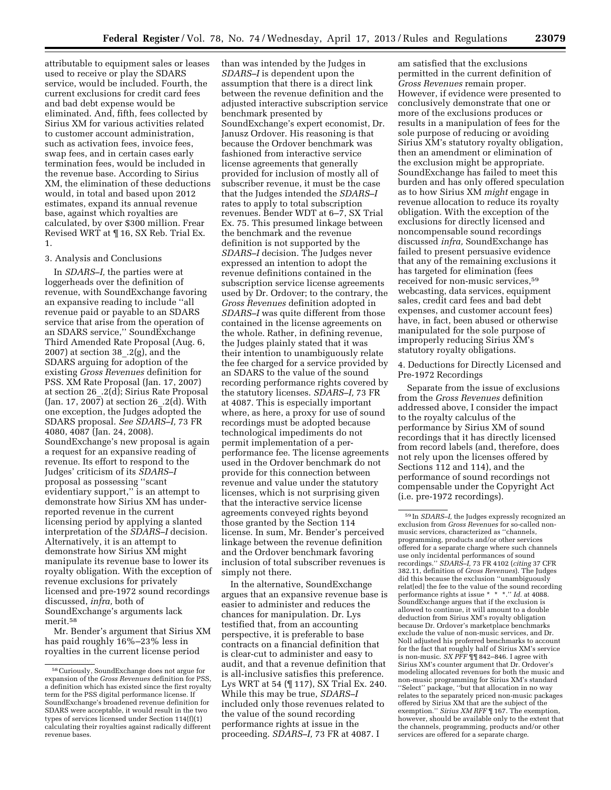attributable to equipment sales or leases used to receive or play the SDARS service, would be included. Fourth, the current exclusions for credit card fees and bad debt expense would be eliminated. And, fifth, fees collected by Sirius XM for various activities related to customer account administration, such as activation fees, invoice fees, swap fees, and in certain cases early termination fees, would be included in the revenue base. According to Sirius XM, the elimination of these deductions would, in total and based upon 2012 estimates, expand its annual revenue base, against which royalties are calculated, by over \$300 million. Frear Revised WRT at ¶ 16, SX Reb. Trial Ex. 1.

#### 3. Analysis and Conclusions

In *SDARS–I,* the parties were at loggerheads over the definition of revenue, with SoundExchange favoring an expansive reading to include ''all revenue paid or payable to an SDARS service that arise from the operation of an SDARS service,'' SoundExchange Third Amended Rate Proposal (Aug. 6, 2007) at section 38  $.2(g)$ , and the SDARS arguing for adoption of the existing *Gross Revenues* definition for PSS. XM Rate Proposal (Jan. 17, 2007) at section 26\_.2(d); Sirius Rate Proposal (Jan. 17, 2007) at section 26  $.2(d)$ . With one exception, the Judges adopted the SDARS proposal. *See SDARS–I,* 73 FR 4080, 4087 (Jan. 24, 2008). SoundExchange's new proposal is again a request for an expansive reading of revenue. Its effort to respond to the Judges' criticism of its *SDARS–I*  proposal as possessing ''scant evidentiary support,'' is an attempt to demonstrate how Sirius XM has underreported revenue in the current licensing period by applying a slanted interpretation of the *SDARS–I* decision. Alternatively, it is an attempt to demonstrate how Sirius XM might manipulate its revenue base to lower its royalty obligation. With the exception of revenue exclusions for privately licensed and pre-1972 sound recordings discussed, *infra,* both of SoundExchange's arguments lack merit.58

Mr. Bender's argument that Sirius XM has paid roughly 16%–23% less in royalties in the current license period

than was intended by the Judges in *SDARS–I* is dependent upon the assumption that there is a direct link between the revenue definition and the adjusted interactive subscription service benchmark presented by SoundExchange's expert economist, Dr. Janusz Ordover. His reasoning is that because the Ordover benchmark was fashioned from interactive service license agreements that generally provided for inclusion of mostly all of subscriber revenue, it must be the case that the Judges intended the *SDARS–I*  rates to apply to total subscription revenues. Bender WDT at 6–7, SX Trial Ex. 75. This presumed linkage between the benchmark and the revenue definition is not supported by the *SDARS–I* decision. The Judges never expressed an intention to adopt the revenue definitions contained in the subscription service license agreements used by Dr. Ordover; to the contrary, the *Gross Revenues* definition adopted in *SDARS–I* was quite different from those contained in the license agreements on the whole. Rather, in defining revenue, the Judges plainly stated that it was their intention to unambiguously relate the fee charged for a service provided by an SDARS to the value of the sound recording performance rights covered by the statutory licenses. *SDARS–I,* 73 FR at 4087. This is especially important where, as here, a proxy for use of sound recordings must be adopted because technological impediments do not permit implementation of a perperformance fee. The license agreements used in the Ordover benchmark do not provide for this connection between revenue and value under the statutory licenses, which is not surprising given that the interactive service license agreements conveyed rights beyond those granted by the Section 114 license. In sum, Mr. Bender's perceived linkage between the revenue definition and the Ordover benchmark favoring inclusion of total subscriber revenues is simply not there.

In the alternative, SoundExchange argues that an expansive revenue base is easier to administer and reduces the chances for manipulation. Dr. Lys testified that, from an accounting perspective, it is preferable to base contracts on a financial definition that is clear-cut to administer and easy to audit, and that a revenue definition that is all-inclusive satisfies this preference. Lys WRT at 54 (¶ 117), SX Trial Ex. 240. While this may be true, *SDARS–I*  included only those revenues related to the value of the sound recording performance rights at issue in the proceeding. *SDARS–I,* 73 FR at 4087. I

am satisfied that the exclusions permitted in the current definition of *Gross Revenues* remain proper. However, if evidence were presented to conclusively demonstrate that one or more of the exclusions produces or results in a manipulation of fees for the sole purpose of reducing or avoiding Sirius XM's statutory royalty obligation, then an amendment or elimination of the exclusion might be appropriate. SoundExchange has failed to meet this burden and has only offered speculation as to how Sirius XM *might* engage in revenue allocation to reduce its royalty obligation. With the exception of the exclusions for directly licensed and noncompensable sound recordings discussed *infra,* SoundExchange has failed to present persuasive evidence that any of the remaining exclusions it has targeted for elimination (fees received for non-music services,59 webcasting, data services, equipment sales, credit card fees and bad debt expenses, and customer account fees) have, in fact, been abused or otherwise manipulated for the sole purpose of improperly reducing Sirius XM's statutory royalty obligations.

4. Deductions for Directly Licensed and Pre-1972 Recordings

Separate from the issue of exclusions from the *Gross Revenues* definition addressed above, I consider the impact to the royalty calculus of the performance by Sirius XM of sound recordings that it has directly licensed from record labels (and, therefore, does not rely upon the licenses offered by Sections 112 and 114), and the performance of sound recordings not compensable under the Copyright Act (i.e. pre-1972 recordings).

<sup>58</sup>Curiously, SoundExchange does not argue for expansion of the *Gross Revenues* definition for PSS, a definition which has existed since the first royalty term for the PSS digital performance license. If SoundExchange's broadened revenue definition for SDARS were acceptable, it would result in the two types of services licensed under Section 114(f)(1) calculating their royalties against radically different revenue bases.

<sup>59</sup> In *SDARS–I,* the Judges expressly recognized an exclusion from *Gross Revenues* for so-called nonmusic services, characterized as ''channels, programming, products and/or other services offered for a separate charge where such channels use only incidental performances of sound recordings.'' *SDARS–I,* 73 FR 4102 (*citing* 37 CFR 382.11, definition of *Gross Revenues*). The Judges did this because the exclusion ''unambiguously relat[ed] the fee to the value of the sound recording performance rights at issue \* \* \*.'' *Id.* at 4088. SoundExchange argues that if the exclusion is allowed to continue, it will amount to a double deduction from Sirius XM's royalty obligation because Dr. Ordover's marketplace benchmarks exclude the value of non-music services, and Dr. Noll adjusted his proferred benchmarks to account for the fact that roughly half of Sirius XM's service is non-music. *SX PFF* ¶¶ 842–846. I agree with Sirius XM's counter argument that Dr. Ordover's modeling allocated revenues for both the music and non-music programming for Sirius XM's standard ''Select'' package, ''but that allocation in no way relates to the separately priced non-music packages offered by Sirius XM that are the subject of the exemption.'' *Sirius XM RFF* ¶ 167. The exemption, however, should be available only to the extent that the channels, programming, products and/or other services are offered for a separate charge.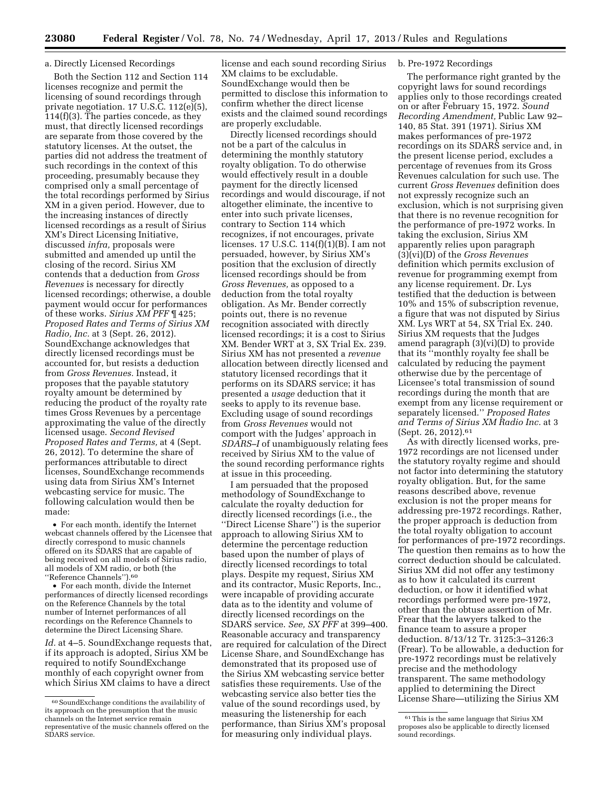# a. Directly Licensed Recordings

Both the Section 112 and Section 114 licenses recognize and permit the licensing of sound recordings through private negotiation. 17 U.S.C. 112(e)(5), 114(f)(3). The parties concede, as they must, that directly licensed recordings are separate from those covered by the statutory licenses. At the outset, the parties did not address the treatment of such recordings in the context of this proceeding, presumably because they comprised only a small percentage of the total recordings performed by Sirius XM in a given period. However, due to the increasing instances of directly licensed recordings as a result of Sirius XM's Direct Licensing Initiative, discussed *infra,* proposals were submitted and amended up until the closing of the record. Sirius XM contends that a deduction from *Gross Revenues* is necessary for directly licensed recordings; otherwise, a double payment would occur for performances of these works. *Sirius XM PFF* ¶ 425; *Proposed Rates and Terms of Sirius XM Radio, Inc.* at 3 (Sept. 26, 2012). SoundExchange acknowledges that directly licensed recordings must be accounted for, but resists a deduction from *Gross Revenues.* Instead, it proposes that the payable statutory royalty amount be determined by reducing the product of the royalty rate times Gross Revenues by a percentage approximating the value of the directly licensed usage. *Second Revised Proposed Rates and Terms,* at 4 (Sept. 26, 2012). To determine the share of performances attributable to direct licenses, SoundExchange recommends using data from Sirius XM's Internet webcasting service for music. The following calculation would then be made:

• For each month, identify the Internet webcast channels offered by the Licensee that directly correspond to music channels offered on its SDARS that are capable of being received on all models of Sirius radio, all models of XM radio, or both (the ''Reference Channels'').60

• For each month, divide the Internet performances of directly licensed recordings on the Reference Channels by the total number of Internet performances of all recordings on the Reference Channels to determine the Direct Licensing Share.

*Id.* at 4–5. SoundExchange requests that, if its approach is adopted, Sirius XM be required to notify SoundExchange monthly of each copyright owner from which Sirius XM claims to have a direct

license and each sound recording Sirius XM claims to be excludable. SoundExchange would then be permitted to disclose this information to confirm whether the direct license exists and the claimed sound recordings are properly excludable.

Directly licensed recordings should not be a part of the calculus in determining the monthly statutory royalty obligation. To do otherwise would effectively result in a double payment for the directly licensed recordings and would discourage, if not altogether eliminate, the incentive to enter into such private licenses, contrary to Section 114 which recognizes, if not encourages, private licenses. 17 U.S.C. 114(f)(1)(B). I am not persuaded, however, by Sirius XM's position that the exclusion of directly licensed recordings should be from *Gross Revenues,* as opposed to a deduction from the total royalty obligation. As Mr. Bender correctly points out, there is no revenue recognition associated with directly licensed recordings; it is a cost to Sirius XM. Bender WRT at 3, SX Trial Ex. 239. Sirius XM has not presented a *revenue*  allocation between directly licensed and statutory licensed recordings that it performs on its SDARS service; it has presented a *usage* deduction that it seeks to apply to its revenue base. Excluding usage of sound recordings from *Gross Revenues* would not comport with the Judges' approach in *SDARS–I* of unambiguously relating fees received by Sirius XM to the value of the sound recording performance rights at issue in this proceeding.

I am persuaded that the proposed methodology of SoundExchange to calculate the royalty deduction for directly licensed recordings (i.e., the ''Direct License Share'') is the superior approach to allowing Sirius XM to determine the percentage reduction based upon the number of plays of directly licensed recordings to total plays. Despite my request, Sirius XM and its contractor, Music Reports, Inc., were incapable of providing accurate data as to the identity and volume of directly licensed recordings on the SDARS service. *See, SX PFF* at 399–400. Reasonable accuracy and transparency are required for calculation of the Direct License Share, and SoundExchange has demonstrated that its proposed use of the Sirius XM webcasting service better satisfies these requirements. Use of the webcasting service also better ties the value of the sound recordings used, by measuring the listenership for each performance, than Sirius XM's proposal for measuring only individual plays.

#### b. Pre-1972 Recordings

The performance right granted by the copyright laws for sound recordings applies only to those recordings created on or after February 15, 1972. *Sound Recording Amendment,* Public Law 92– 140, 85 Stat. 391 (1971). Sirius XM makes performances of pre-1972 recordings on its SDARS service and, in the present license period, excludes a percentage of revenues from its Gross Revenues calculation for such use. The current *Gross Revenues* definition does not expressly recognize such an exclusion, which is not surprising given that there is no revenue recognition for the performance of pre-1972 works. In taking the exclusion, Sirius XM apparently relies upon paragraph (3)(vi)(D) of the *Gross Revenues*  definition which permits exclusion of revenue for programming exempt from any license requirement. Dr. Lys testified that the deduction is between 10% and 15% of subscription revenue, a figure that was not disputed by Sirius XM. Lys WRT at 54, SX Trial Ex. 240. Sirius XM requests that the Judges amend paragraph (3)(vi)(D) to provide that its ''monthly royalty fee shall be calculated by reducing the payment otherwise due by the percentage of Licensee's total transmission of sound recordings during the month that are exempt from any license requirement or separately licensed.'' *Proposed Rates and Terms of Sirius XM Radio Inc.* at 3 (Sept. 26, 2012).61

As with directly licensed works, pre-1972 recordings are not licensed under the statutory royalty regime and should not factor into determining the statutory royalty obligation. But, for the same reasons described above, revenue exclusion is not the proper means for addressing pre-1972 recordings. Rather, the proper approach is deduction from the total royalty obligation to account for performances of pre-1972 recordings. The question then remains as to how the correct deduction should be calculated. Sirius XM did not offer any testimony as to how it calculated its current deduction, or how it identified what recordings performed were pre-1972, other than the obtuse assertion of Mr. Frear that the lawyers talked to the finance team to assure a proper deduction. 8/13/12 Tr. 3125:3–3126:3 (Frear). To be allowable, a deduction for pre-1972 recordings must be relatively precise and the methodology transparent. The same methodology applied to determining the Direct License Share—utilizing the Sirius XM

<sup>60</sup>SoundExchange conditions the availability of its approach on the presumption that the music channels on the Internet service remain representative of the music channels offered on the SDARS service.

<sup>61</sup>This is the same language that Sirius XM proposes also be applicable to directly licensed sound recordings.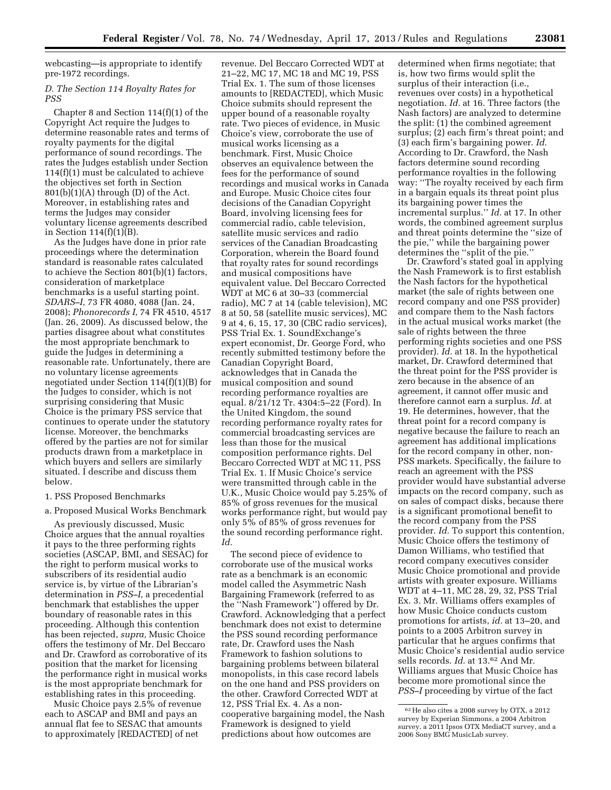webcasting—is appropriate to identify pre-1972 recordings.

# *D. The Section 114 Royalty Rates for PSS*

Chapter 8 and Section 114(f)(1) of the Copyright Act require the Judges to determine reasonable rates and terms of royalty payments for the digital performance of sound recordings. The rates the Judges establish under Section 114(f)(1) must be calculated to achieve the objectives set forth in Section  $801(b)(1)(A)$  through  $(D)$  of the Act. Moreover, in establishing rates and terms the Judges may consider voluntary license agreements described in Section 114(f)(1)(B).

As the Judges have done in prior rate proceedings where the determination standard is reasonable rates calculated to achieve the Section 801(b)(1) factors, consideration of marketplace benchmarks is a useful starting point. *SDARS–I,* 73 FR 4080, 4088 (Jan. 24, 2008); *Phonorecords I,* 74 FR 4510, 4517 (Jan. 26, 2009). As discussed below, the parties disagree about what constitutes the most appropriate benchmark to guide the Judges in determining a reasonable rate. Unfortunately, there are no voluntary license agreements negotiated under Section 114(f)(1)(B) for the Judges to consider, which is not surprising considering that Music Choice is the primary PSS service that continues to operate under the statutory license. Moreover, the benchmarks offered by the parties are not for similar products drawn from a marketplace in which buyers and sellers are similarly situated. I describe and discuss them below.

#### 1. PSS Proposed Benchmarks

# a. Proposed Musical Works Benchmark

As previously discussed, Music Choice argues that the annual royalties it pays to the three performing rights societies (ASCAP, BMI, and SESAC) for the right to perform musical works to subscribers of its residential audio service is, by virtue of the Librarian's determination in *PSS–I,* a precedential benchmark that establishes the upper boundary of reasonable rates in this proceeding. Although this contention has been rejected, *supra,* Music Choice offers the testimony of Mr. Del Beccaro and Dr. Crawford as corroborative of its position that the market for licensing the performance right in musical works is the most appropriate benchmark for establishing rates in this proceeding.

Music Choice pays 2.5% of revenue each to ASCAP and BMI and pays an annual flat fee to SESAC that amounts to approximately [REDACTED] of net

revenue. Del Beccaro Corrected WDT at 21–22, MC 17, MC 18 and MC 19, PSS Trial Ex. 1. The sum of those licenses amounts to [REDACTED], which Music Choice submits should represent the upper bound of a reasonable royalty rate. Two pieces of evidence, in Music Choice's view, corroborate the use of musical works licensing as a benchmark. First, Music Choice observes an equivalence between the fees for the performance of sound recordings and musical works in Canada and Europe. Music Choice cites four decisions of the Canadian Copyright Board, involving licensing fees for commercial radio, cable television, satellite music services and radio services of the Canadian Broadcasting Corporation, wherein the Board found that royalty rates for sound recordings and musical compositions have equivalent value. Del Beccaro Corrected WDT at MC 6 at 30–33 (commercial radio), MC 7 at 14 (cable television), MC 8 at 50, 58 (satellite music services), MC 9 at 4, 6, 15, 17, 30 (CBC radio services), PSS Trial Ex. 1. SoundExchange's expert economist, Dr. George Ford, who recently submitted testimony before the Canadian Copyright Board, acknowledges that in Canada the musical composition and sound recording performance royalties are equal. 8/21/12 Tr. 4304:5–22 (Ford). In the United Kingdom, the sound recording performance royalty rates for commercial broadcasting services are less than those for the musical composition performance rights. Del Beccaro Corrected WDT at MC 11, PSS Trial Ex. 1. If Music Choice's service were transmitted through cable in the U.K., Music Choice would pay 5.25% of 85% of gross revenues for the musical works performance right, but would pay only 5% of 85% of gross revenues for the sound recording performance right. *Id.* 

The second piece of evidence to corroborate use of the musical works rate as a benchmark is an economic model called the Asymmetric Nash Bargaining Framework (referred to as the ''Nash Framework'') offered by Dr. Crawford. Acknowledging that a perfect benchmark does not exist to determine the PSS sound recording performance rate, Dr. Crawford uses the Nash Framework to fashion solutions to bargaining problems between bilateral monopolists, in this case record labels on the one hand and PSS providers on the other. Crawford Corrected WDT at 12, PSS Trial Ex. 4. As a noncooperative bargaining model, the Nash Framework is designed to yield predictions about how outcomes are

determined when firms negotiate; that is, how two firms would split the surplus of their interaction (i.e., revenues over costs) in a hypothetical negotiation. *Id.* at 16. Three factors (the Nash factors) are analyzed to determine the split: (1) the combined agreement surplus; (2) each firm's threat point; and (3) each firm's bargaining power. *Id.*  According to Dr. Crawford, the Nash factors determine sound recording performance royalties in the following way: ''The royalty received by each firm in a bargain equals its threat point plus its bargaining power times the incremental surplus.'' *Id.* at 17. In other words, the combined agreement surplus and threat points determine the ''size of the pie,'' while the bargaining power determines the ''split of the pie.''

Dr. Crawford's stated goal in applying the Nash Framework is to first establish the Nash factors for the hypothetical market (the sale of rights between one record company and one PSS provider) and compare them to the Nash factors in the actual musical works market (the sale of rights between the three performing rights societies and one PSS provider). *Id.* at 18. In the hypothetical market, Dr. Crawford determined that the threat point for the PSS provider is zero because in the absence of an agreement, it cannot offer music and therefore cannot earn a surplus. *Id.* at 19. He determines, however, that the threat point for a record company is negative because the failure to reach an agreement has additional implications for the record company in other, non-PSS markets. Specifically, the failure to reach an agreement with the PSS provider would have substantial adverse impacts on the record company, such as on sales of compact disks, because there is a significant promotional benefit to the record company from the PSS provider. *Id.* To support this contention, Music Choice offers the testimony of Damon Williams, who testified that record company executives consider Music Choice promotional and provide artists with greater exposure. Williams WDT at 4–11, MC 28, 29, 32, PSS Trial Ex. 3. Mr. Williams offers examples of how Music Choice conducts custom promotions for artists, *id.* at 13–20, and points to a 2005 Arbitron survey in particular that he argues confirms that Music Choice's residential audio service sells records. *Id.* at 13.62 And Mr. Williams argues that Music Choice has become more promotional since the *PSS–I* proceeding by virtue of the fact

<sup>62</sup>He also cites a 2008 survey by OTX, a 2012 survey by Experian Simmons, a 2004 Arbitron survey, a 2011 Ipsos OTX MediaCT survey, and a 2006 Sony BMG MusicLab survey.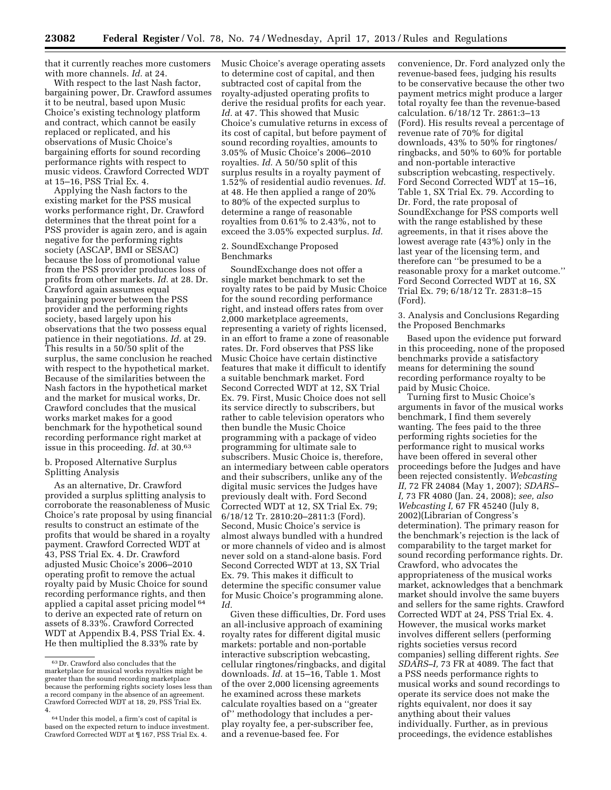that it currently reaches more customers with more channels. *Id.* at 24.

With respect to the last Nash factor, bargaining power, Dr. Crawford assumes it to be neutral, based upon Music Choice's existing technology platform and contract, which cannot be easily replaced or replicated, and his observations of Music Choice's bargaining efforts for sound recording performance rights with respect to music videos. Crawford Corrected WDT at 15–16, PSS Trial Ex. 4.

Applying the Nash factors to the existing market for the PSS musical works performance right, Dr. Crawford determines that the threat point for a PSS provider is again zero, and is again negative for the performing rights society (ASCAP, BMI or SESAC) because the loss of promotional value from the PSS provider produces loss of profits from other markets. *Id.* at 28. Dr. Crawford again assumes equal bargaining power between the PSS provider and the performing rights society, based largely upon his observations that the two possess equal patience in their negotiations. *Id.* at 29. This results in a 50/50 split of the surplus, the same conclusion he reached with respect to the hypothetical market. Because of the similarities between the Nash factors in the hypothetical market and the market for musical works, Dr. Crawford concludes that the musical works market makes for a good benchmark for the hypothetical sound recording performance right market at issue in this proceeding. *Id.* at 30.63

#### b. Proposed Alternative Surplus Splitting Analysis

As an alternative, Dr. Crawford provided a surplus splitting analysis to corroborate the reasonableness of Music Choice's rate proposal by using financial results to construct an estimate of the profits that would be shared in a royalty payment. Crawford Corrected WDT at 43, PSS Trial Ex. 4. Dr. Crawford adjusted Music Choice's 2006–2010 operating profit to remove the actual royalty paid by Music Choice for sound recording performance rights, and then applied a capital asset pricing model 64 to derive an expected rate of return on assets of 8.33%. Crawford Corrected WDT at Appendix B.4, PSS Trial Ex. 4. He then multiplied the 8.33% rate by

Music Choice's average operating assets to determine cost of capital, and then subtracted cost of capital from the royalty-adjusted operating profits to derive the residual profits for each year. *Id.* at 47. This showed that Music Choice's cumulative returns in excess of its cost of capital, but before payment of sound recording royalties, amounts to 3.05% of Music Choice's 2006–2010 royalties. *Id.* A 50/50 split of this surplus results in a royalty payment of 1.52% of residential audio revenues. *Id.*  at 48. He then applied a range of 20% to 80% of the expected surplus to determine a range of reasonable royalties from 0.61% to 2.43%, not to exceed the 3.05% expected surplus. *Id.* 

# 2. SoundExchange Proposed Benchmarks

SoundExchange does not offer a single market benchmark to set the royalty rates to be paid by Music Choice for the sound recording performance right, and instead offers rates from over 2,000 marketplace agreements, representing a variety of rights licensed, in an effort to frame a zone of reasonable rates. Dr. Ford observes that PSS like Music Choice have certain distinctive features that make it difficult to identify a suitable benchmark market. Ford Second Corrected WDT at 12, SX Trial Ex. 79. First, Music Choice does not sell its service directly to subscribers, but rather to cable television operators who then bundle the Music Choice programming with a package of video programming for ultimate sale to subscribers. Music Choice is, therefore, an intermediary between cable operators and their subscribers, unlike any of the digital music services the Judges have previously dealt with. Ford Second Corrected WDT at 12, SX Trial Ex. 79; 6/18/12 Tr. 2810:20–2811:3 (Ford). Second, Music Choice's service is almost always bundled with a hundred or more channels of video and is almost never sold on a stand-alone basis. Ford Second Corrected WDT at 13, SX Trial Ex. 79. This makes it difficult to determine the specific consumer value for Music Choice's programming alone. *Id.* 

Given these difficulties, Dr. Ford uses an all-inclusive approach of examining royalty rates for different digital music markets: portable and non-portable interactive subscription webcasting, cellular ringtones/ringbacks, and digital downloads. *Id.* at 15–16, Table 1. Most of the over 2,000 licensing agreements he examined across these markets calculate royalties based on a ''greater of'' methodology that includes a perplay royalty fee, a per-subscriber fee, and a revenue-based fee. For

convenience, Dr. Ford analyzed only the revenue-based fees, judging his results to be conservative because the other two payment metrics might produce a larger total royalty fee than the revenue-based calculation. 6/18/12 Tr. 2861:3–13 (Ford). His results reveal a percentage of revenue rate of 70% for digital downloads, 43% to 50% for ringtones/ ringbacks, and 50% to 60% for portable and non-portable interactive subscription webcasting, respectively. Ford Second Corrected WDT at 15–16, Table 1, SX Trial Ex. 79. According to Dr. Ford, the rate proposal of SoundExchange for PSS comports well with the range established by these agreements, in that it rises above the lowest average rate (43%) only in the last year of the licensing term, and therefore can ''be presumed to be a reasonable proxy for a market outcome.'' Ford Second Corrected WDT at 16, SX Trial Ex. 79; 6/18/12 Tr. 2831:8–15 (Ford).

3. Analysis and Conclusions Regarding the Proposed Benchmarks

Based upon the evidence put forward in this proceeding, none of the proposed benchmarks provide a satisfactory means for determining the sound recording performance royalty to be paid by Music Choice.

Turning first to Music Choice's arguments in favor of the musical works benchmark, I find them severely wanting. The fees paid to the three performing rights societies for the performance right to musical works have been offered in several other proceedings before the Judges and have been rejected consistently. *Webcasting II,* 72 FR 24084 (May 1, 2007); *SDARS– I,* 73 FR 4080 (Jan. 24, 2008); *see, also Webcasting I,* 67 FR 45240 (July 8, 2002)(Librarian of Congress's determination). The primary reason for the benchmark's rejection is the lack of comparability to the target market for sound recording performance rights. Dr. Crawford, who advocates the appropriateness of the musical works market, acknowledges that a benchmark market should involve the same buyers and sellers for the same rights. Crawford Corrected WDT at 24, PSS Trial Ex. 4. However, the musical works market involves different sellers (performing rights societies versus record companies) selling different rights. *See SDARS–I,* 73 FR at 4089. The fact that a PSS needs performance rights to musical works and sound recordings to operate its service does not make the rights equivalent, nor does it say anything about their values individually. Further, as in previous proceedings, the evidence establishes

<sup>63</sup> Dr. Crawford also concludes that the marketplace for musical works royalties might be greater than the sound recording marketplace because the performing rights society loses less than a record company in the absence of an agreement. Crawford Corrected WDT at 18, 29, PSS Trial Ex. 4.

<sup>64</sup>Under this model, a firm's cost of capital is based on the expected return to induce investment. Crawford Corrected WDT at ¶ 167, PSS Trial Ex. 4.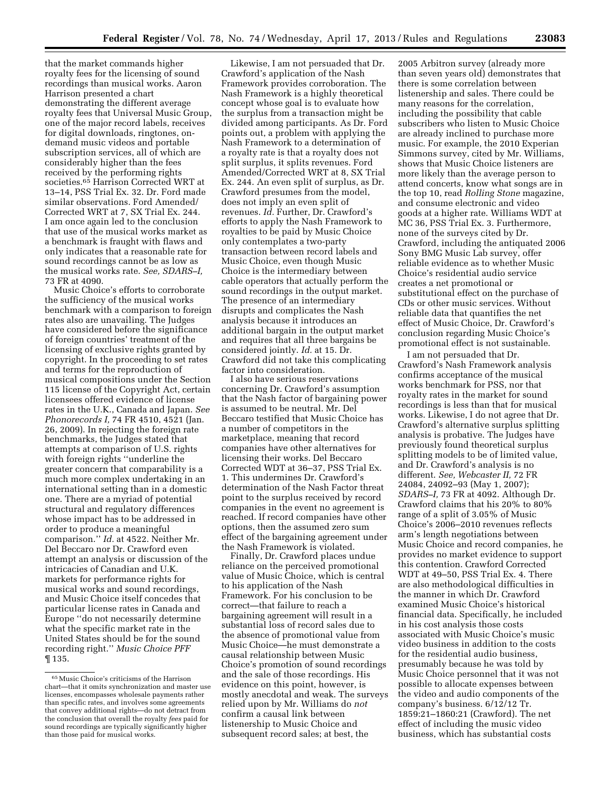that the market commands higher royalty fees for the licensing of sound recordings than musical works. Aaron Harrison presented a chart demonstrating the different average royalty fees that Universal Music Group, one of the major record labels, receives for digital downloads, ringtones, ondemand music videos and portable subscription services, all of which are considerably higher than the fees received by the performing rights societies.65 Harrison Corrected WRT at 13–14, PSS Trial Ex. 32. Dr. Ford made similar observations. Ford Amended/ Corrected WRT at 7, SX Trial Ex. 244. I am once again led to the conclusion that use of the musical works market as a benchmark is fraught with flaws and only indicates that a reasonable rate for sound recordings cannot be as low as the musical works rate. *See, SDARS–I,*  73 FR at 4090.

Music Choice's efforts to corroborate the sufficiency of the musical works benchmark with a comparison to foreign rates also are unavailing. The Judges have considered before the significance of foreign countries' treatment of the licensing of exclusive rights granted by copyright. In the proceeding to set rates and terms for the reproduction of musical compositions under the Section 115 license of the Copyright Act, certain licensees offered evidence of license rates in the U.K., Canada and Japan. *See Phonorecords I,* 74 FR 4510, 4521 (Jan. 26, 2009). In rejecting the foreign rate benchmarks, the Judges stated that attempts at comparison of U.S. rights with foreign rights ''underline the greater concern that comparability is a much more complex undertaking in an international setting than in a domestic one. There are a myriad of potential structural and regulatory differences whose impact has to be addressed in order to produce a meaningful comparison.'' *Id.* at 4522. Neither Mr. Del Beccaro nor Dr. Crawford even attempt an analysis or discussion of the intricacies of Canadian and U.K. markets for performance rights for musical works and sound recordings, and Music Choice itself concedes that particular license rates in Canada and Europe ''do not necessarily determine what the specific market rate in the United States should be for the sound recording right.'' *Music Choice PFF*  ¶ 135.

Likewise, I am not persuaded that Dr. Crawford's application of the Nash Framework provides corroboration. The Nash Framework is a highly theoretical concept whose goal is to evaluate how the surplus from a transaction might be divided among participants. As Dr. Ford points out, a problem with applying the Nash Framework to a determination of a royalty rate is that a royalty does not split surplus, it splits revenues. Ford Amended/Corrected WRT at 8, SX Trial Ex. 244. An even split of surplus, as Dr. Crawford presumes from the model, does not imply an even split of revenues. *Id.* Further, Dr. Crawford's efforts to apply the Nash Framework to royalties to be paid by Music Choice only contemplates a two-party transaction between record labels and Music Choice, even though Music Choice is the intermediary between cable operators that actually perform the sound recordings in the output market. The presence of an intermediary disrupts and complicates the Nash analysis because it introduces an additional bargain in the output market and requires that all three bargains be considered jointly. *Id.* at 15. Dr. Crawford did not take this complicating factor into consideration.

I also have serious reservations concerning Dr. Crawford's assumption that the Nash factor of bargaining power is assumed to be neutral. Mr. Del Beccaro testified that Music Choice has a number of competitors in the marketplace, meaning that record companies have other alternatives for licensing their works. Del Beccaro Corrected WDT at 36–37, PSS Trial Ex. 1. This undermines Dr. Crawford's determination of the Nash Factor threat point to the surplus received by record companies in the event no agreement is reached. If record companies have other options, then the assumed zero sum effect of the bargaining agreement under the Nash Framework is violated.

Finally, Dr. Crawford places undue reliance on the perceived promotional value of Music Choice, which is central to his application of the Nash Framework. For his conclusion to be correct—that failure to reach a bargaining agreement will result in a substantial loss of record sales due to the absence of promotional value from Music Choice—he must demonstrate a causal relationship between Music Choice's promotion of sound recordings and the sale of those recordings. His evidence on this point, however, is mostly anecdotal and weak. The surveys relied upon by Mr. Williams do *not*  confirm a causal link between listenership to Music Choice and subsequent record sales; at best, the

2005 Arbitron survey (already more than seven years old) demonstrates that there is some correlation between listenership and sales. There could be many reasons for the correlation, including the possibility that cable subscribers who listen to Music Choice are already inclined to purchase more music. For example, the 2010 Experian Simmons survey, cited by Mr. Williams, shows that Music Choice listeners are more likely than the average person to attend concerts, know what songs are in the top 10, read *Rolling Stone* magazine, and consume electronic and video goods at a higher rate. Williams WDT at MC 36, PSS Trial Ex. 3. Furthermore, none of the surveys cited by Dr. Crawford, including the antiquated 2006 Sony BMG Music Lab survey, offer reliable evidence as to whether Music Choice's residential audio service creates a net promotional or substitutional effect on the purchase of CDs or other music services. Without reliable data that quantifies the net effect of Music Choice, Dr. Crawford's conclusion regarding Music Choice's promotional effect is not sustainable.

I am not persuaded that Dr. Crawford's Nash Framework analysis confirms acceptance of the musical works benchmark for PSS, nor that royalty rates in the market for sound recordings is less than that for musical works. Likewise, I do not agree that Dr. Crawford's alternative surplus splitting analysis is probative. The Judges have previously found theoretical surplus splitting models to be of limited value, and Dr. Crawford's analysis is no different. *See, Webcaster II,* 72 FR 24084, 24092–93 (May 1, 2007); *SDARS–I,* 73 FR at 4092. Although Dr. Crawford claims that his 20% to 80% range of a split of 3.05% of Music Choice's 2006–2010 revenues reflects arm's length negotiations between Music Choice and record companies, he provides no market evidence to support this contention. Crawford Corrected WDT at 49–50, PSS Trial Ex. 4. There are also methodological difficulties in the manner in which Dr. Crawford examined Music Choice's historical financial data. Specifically, he included in his cost analysis those costs associated with Music Choice's music video business in addition to the costs for the residential audio business, presumably because he was told by Music Choice personnel that it was not possible to allocate expenses between the video and audio components of the company's business. 6/12/12 Tr. 1859:21–1860:21 (Crawford). The net effect of including the music video business, which has substantial costs

<sup>65</sup>Music Choice's criticisms of the Harrison chart—that it omits synchronization and master use licenses, encompasses wholesale payments rather than specific rates, and involves some agreements that convey additional rights—do not detract from the conclusion that overall the royalty *fees* paid for sound recordings are typically significantly higher than those paid for musical works.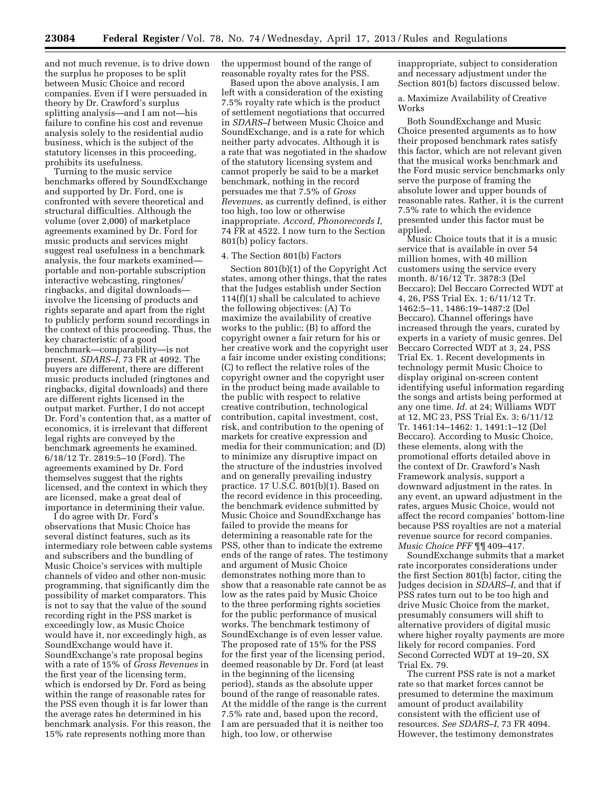and not much revenue, is to drive down the surplus he proposes to be split between Music Choice and record companies. Even if I were persuaded in theory by Dr. Crawford's surplus splitting analysis—and I am not—his failure to confine his cost and revenue analysis solely to the residential audio business, which is the subject of the statutory licenses in this proceeding, prohibits its usefulness.

Turning to the music service benchmarks offered by SoundExchange and supported by Dr. Ford, one is confronted with severe theoretical and structural difficulties. Although the volume (over 2,000) of marketplace agreements examined by Dr. Ford for music products and services might suggest real usefulness in a benchmark analysis, the four markets examined portable and non-portable subscription interactive webcasting, ringtones/ ringbacks, and digital downloads involve the licensing of products and rights separate and apart from the right to publicly perform sound recordings in the context of this proceeding. Thus, the key characteristic of a good benchmark—comparability—is not present. *SDARS–I,* 73 FR at 4092. The buyers are different, there are different music products included (ringtones and ringbacks, digital downloads) and there are different rights licensed in the output market. Further, I do not accept Dr. Ford's contention that, as a matter of economics, it is irrelevant that different legal rights are conveyed by the benchmark agreements he examined. 6/18/12 Tr. 2819:5–10 (Ford). The agreements examined by Dr. Ford themselves suggest that the rights licensed, and the context in which they are licensed, make a great deal of importance in determining their value.

I do agree with Dr. Ford's observations that Music Choice has several distinct features, such as its intermediary role between cable systems and subscribers and the bundling of Music Choice's services with multiple channels of video and other non-music programming, that significantly dim the possibility of market comparators. This is not to say that the value of the sound recording right in the PSS market is exceedingly low, as Music Choice would have it, nor exceedingly high, as SoundExchange would have it. SoundExchange's rate proposal begins with a rate of 15% of *Gross Revenues* in the first year of the licensing term, which is endorsed by Dr. Ford as being within the range of reasonable rates for the PSS even though it is far lower than the average rates he determined in his benchmark analysis. For this reason, the 15% rate represents nothing more than

the uppermost bound of the range of reasonable royalty rates for the PSS.

Based upon the above analysis, I am left with a consideration of the existing 7.5% royalty rate which is the product of settlement negotiations that occurred in *SDARS–I* between Music Choice and SoundExchange, and is a rate for which neither party advocates. Although it is a rate that was negotiated in the shadow of the statutory licensing system and cannot properly be said to be a market benchmark, nothing in the record persuades me that 7.5% of *Gross Revenues,* as currently defined, is either too high, too low or otherwise inappropriate. *Accord, Phonorecords I,*  74 FR at 4522. I now turn to the Section 801(b) policy factors.

#### 4. The Section 801(b) Factors

Section 801(b)(1) of the Copyright Act states, among other things, that the rates that the Judges establish under Section 114(f)(1) shall be calculated to achieve the following objectives: (A) To maximize the availability of creative works to the public; (B) to afford the copyright owner a fair return for his or her creative work and the copyright user a fair income under existing conditions; (C) to reflect the relative roles of the copyright owner and the copyright user in the product being made available to the public with respect to relative creative contribution, technological contribution, capital investment, cost, risk, and contribution to the opening of markets for creative expression and media for their communication; and (D) to minimize any disruptive impact on the structure of the industries involved and on generally prevailing industry practice. 17 U.S.C. 801(b)(1). Based on the record evidence in this proceeding, the benchmark evidence submitted by Music Choice and SoundExchange has failed to provide the means for determining a reasonable rate for the PSS, other than to indicate the extreme ends of the range of rates. The testimony and argument of Music Choice demonstrates nothing more than to show that a reasonable rate cannot be as low as the rates paid by Music Choice to the three performing rights societies for the public performance of musical works. The benchmark testimony of SoundExchange is of even lesser value. The proposed rate of 15% for the PSS for the first year of the licensing period, deemed reasonable by Dr. Ford (at least in the beginning of the licensing period), stands as the absolute upper bound of the range of reasonable rates. At the middle of the range is the current 7.5% rate and, based upon the record, I am are persuaded that it is neither too high, too low, or otherwise

inappropriate, subject to consideration and necessary adjustment under the Section 801(b) factors discussed below.

a. Maximize Availability of Creative Works

Both SoundExchange and Music Choice presented arguments as to how their proposed benchmark rates satisfy this factor, which are not relevant given that the musical works benchmark and the Ford music service benchmarks only serve the purpose of framing the absolute lower and upper bounds of reasonable rates. Rather, it is the current 7.5% rate to which the evidence presented under this factor must be applied.

Music Choice touts that it is a music service that is available in over 54 million homes, with 40 million customers using the service every month. 8/16/12 Tr. 3878:3 (Del Beccaro); Del Beccaro Corrected WDT at 4, 26, PSS Trial Ex. 1; 6/11/12 Tr. 1462:5–11, 1486:19–1487:2 (Del Beccaro). Channel offerings have increased through the years, curated by experts in a variety of music genres. Del Beccaro Corrected WDT at 3, 24, PSS Trial Ex. 1. Recent developments in technology permit Music Choice to display original on-screen content identifying useful information regarding the songs and artists being performed at any one time. *Id.* at 24; Williams WDT at 12, MC 23, PSS Trial Ex. 3; 6/11/12 Tr. 1461:14–1462: 1, 1491:1–12 (Del Beccaro). According to Music Choice, these elements, along with the promotional efforts detailed above in the context of Dr. Crawford's Nash Framework analysis, support a downward adjustment in the rates. In any event, an upward adjustment in the rates, argues Music Choice, would not affect the record companies' bottom-line because PSS royalties are not a material revenue source for record companies. *Music Choice PFF* ¶¶ 409–417.

SoundExchange submits that a market rate incorporates considerations under the first Section 801(b) factor, citing the Judges decision in *SDARS–I,* and that if PSS rates turn out to be too high and drive Music Choice from the market, presumably consumers will shift to alternative providers of digital music where higher royalty payments are more likely for record companies. Ford Second Corrected WDT at 19–20, SX Trial Ex. 79.

The current PSS rate is not a market rate so that market forces cannot be presumed to determine the maximum amount of product availability consistent with the efficient use of resources. *See SDARS–I,* 73 FR 4094. However, the testimony demonstrates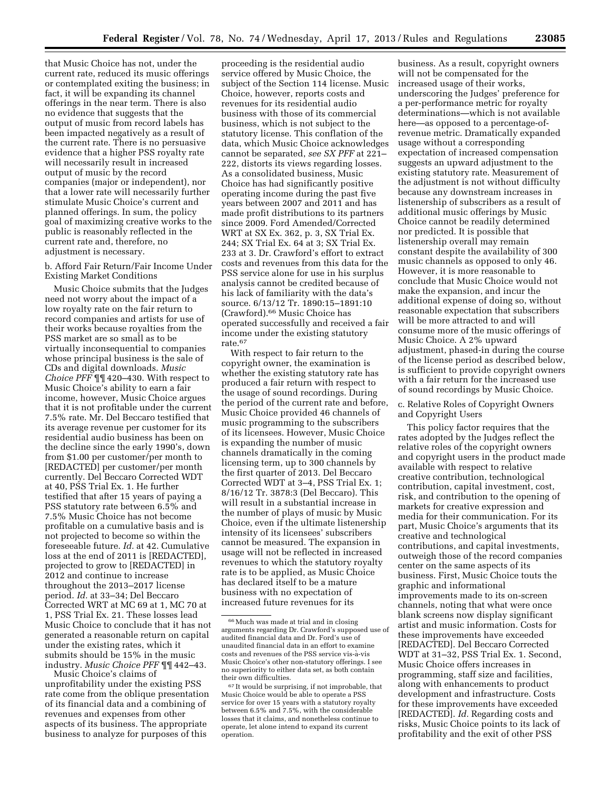that Music Choice has not, under the current rate, reduced its music offerings or contemplated exiting the business; in fact, it will be expanding its channel offerings in the near term. There is also no evidence that suggests that the output of music from record labels has been impacted negatively as a result of the current rate. There is no persuasive evidence that a higher PSS royalty rate will necessarily result in increased output of music by the record companies (major or independent), nor that a lower rate will necessarily further stimulate Music Choice's current and planned offerings. In sum, the policy goal of maximizing creative works to the public is reasonably reflected in the current rate and, therefore, no adjustment is necessary.

# b. Afford Fair Return/Fair Income Under Existing Market Conditions

Music Choice submits that the Judges need not worry about the impact of a low royalty rate on the fair return to record companies and artists for use of their works because royalties from the PSS market are so small as to be virtually inconsequential to companies whose principal business is the sale of CDs and digital downloads. *Music Choice PFF* ¶¶ 420–430. With respect to Music Choice's ability to earn a fair income, however, Music Choice argues that it is not profitable under the current 7.5% rate. Mr. Del Beccaro testified that its average revenue per customer for its residential audio business has been on the decline since the early 1990's, down from \$1.00 per customer/per month to [REDACTED] per customer/per month currently. Del Beccaro Corrected WDT at 40, PSS Trial Ex. 1. He further testified that after 15 years of paying a PSS statutory rate between 6.5% and 7.5% Music Choice has not become profitable on a cumulative basis and is not projected to become so within the foreseeable future. *Id.* at 42. Cumulative loss at the end of 2011 is [REDACTED], projected to grow to [REDACTED] in 2012 and continue to increase throughout the 2013–2017 license period. *Id.* at 33–34; Del Beccaro Corrected WRT at MC 69 at 1, MC 70 at 1, PSS Trial Ex. 21. These losses lead Music Choice to conclude that it has not generated a reasonable return on capital under the existing rates, which it submits should be 15% in the music industry. *Music Choice PFF* ¶¶ 442–43.

Music Choice's claims of unprofitability under the existing PSS rate come from the oblique presentation of its financial data and a combining of revenues and expenses from other aspects of its business. The appropriate business to analyze for purposes of this

proceeding is the residential audio service offered by Music Choice, the subject of the Section 114 license. Music Choice, however, reports costs and revenues for its residential audio business with those of its commercial business, which is not subject to the statutory license. This conflation of the data, which Music Choice acknowledges cannot be separated, *see SX PFF* at 221– 222, distorts its views regarding losses. As a consolidated business, Music Choice has had significantly positive operating income during the past five years between 2007 and 2011 and has made profit distributions to its partners since 2009. Ford Amended/Corrected WRT at SX Ex. 362, p. 3, SX Trial Ex. 244; SX Trial Ex. 64 at 3; SX Trial Ex. 233 at 3. Dr. Crawford's effort to extract costs and revenues from this data for the PSS service alone for use in his surplus analysis cannot be credited because of his lack of familiarity with the data's source. 6/13/12 Tr. 1890:15–1891:10 (Crawford).66 Music Choice has operated successfully and received a fair income under the existing statutory rate.67

With respect to fair return to the copyright owner, the examination is whether the existing statutory rate has produced a fair return with respect to the usage of sound recordings. During the period of the current rate and before, Music Choice provided 46 channels of music programming to the subscribers of its licensees. However, Music Choice is expanding the number of music channels dramatically in the coming licensing term, up to 300 channels by the first quarter of 2013. Del Beccaro Corrected WDT at 3–4, PSS Trial Ex. 1; 8/16/12 Tr. 3878:3 (Del Beccaro). This will result in a substantial increase in the number of plays of music by Music Choice, even if the ultimate listenership intensity of its licensees' subscribers cannot be measured. The expansion in usage will not be reflected in increased revenues to which the statutory royalty rate is to be applied, as Music Choice has declared itself to be a mature business with no expectation of increased future revenues for its

business. As a result, copyright owners will not be compensated for the increased usage of their works, underscoring the Judges' preference for a per-performance metric for royalty determinations—which is not available here—as opposed to a percentage-ofrevenue metric. Dramatically expanded usage without a corresponding expectation of increased compensation suggests an upward adjustment to the existing statutory rate. Measurement of the adjustment is not without difficulty because any downstream increases in listenership of subscribers as a result of additional music offerings by Music Choice cannot be readily determined nor predicted. It is possible that listenership overall may remain constant despite the availability of 300 music channels as opposed to only 46. However, it is more reasonable to conclude that Music Choice would not make the expansion, and incur the additional expense of doing so, without reasonable expectation that subscribers will be more attracted to and will consume more of the music offerings of Music Choice. A 2% upward adjustment, phased-in during the course of the license period as described below, is sufficient to provide copyright owners with a fair return for the increased use of sound recordings by Music Choice.

# c. Relative Roles of Copyright Owners and Copyright Users

This policy factor requires that the rates adopted by the Judges reflect the relative roles of the copyright owners and copyright users in the product made available with respect to relative creative contribution, technological contribution, capital investment, cost, risk, and contribution to the opening of markets for creative expression and media for their communication. For its part, Music Choice's arguments that its creative and technological contributions, and capital investments, outweigh those of the record companies center on the same aspects of its business. First, Music Choice touts the graphic and informational improvements made to its on-screen channels, noting that what were once blank screens now display significant artist and music information. Costs for these improvements have exceeded [REDACTED]. Del Beccaro Corrected WDT at 31–32, PSS Trial Ex. 1. Second, Music Choice offers increases in programming, staff size and facilities, along with enhancements to product development and infrastructure. Costs for these improvements have exceeded [REDACTED]. *Id.* Regarding costs and risks, Music Choice points to its lack of profitability and the exit of other PSS

<sup>66</sup>Much was made at trial and in closing arguments regarding Dr. Crawford's supposed use of audited financial data and Dr. Ford's use of unaudited financial data in an effort to examine costs and revenues of the PSS service vis-a`-vis Music Choice's other non-statutory offerings. I see no superiority to either data set, as both contain their own difficulties.

<sup>67</sup> It would be surprising, if not improbable, that Music Choice would be able to operate a PSS service for over 15 years with a statutory royalty between 6.5% and 7.5%, with the considerable losses that it claims, and nonetheless continue to operate, let alone intend to expand its current operation.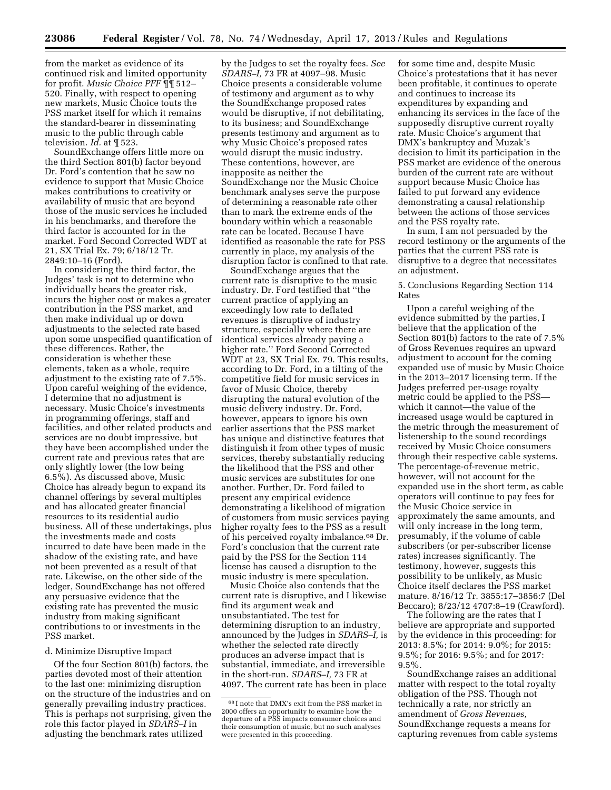from the market as evidence of its continued risk and limited opportunity for profit. *Music Choice PFF* ¶¶ 512– 520. Finally, with respect to opening new markets, Music Choice touts the PSS market itself for which it remains the standard-bearer in disseminating music to the public through cable television. *Id.* at ¶ 523.

SoundExchange offers little more on the third Section 801(b) factor beyond Dr. Ford's contention that he saw no evidence to support that Music Choice makes contributions to creativity or availability of music that are beyond those of the music services he included in his benchmarks, and therefore the third factor is accounted for in the market. Ford Second Corrected WDT at 21, SX Trial Ex. 79; 6/18/12 Tr. 2849:10–16 (Ford).

In considering the third factor, the Judges' task is not to determine who individually bears the greater risk, incurs the higher cost or makes a greater contribution in the PSS market, and then make individual up or down adjustments to the selected rate based upon some unspecified quantification of these differences. Rather, the consideration is whether these elements, taken as a whole, require adjustment to the existing rate of 7.5%. Upon careful weighing of the evidence, I determine that no adjustment is necessary. Music Choice's investments in programming offerings, staff and facilities, and other related products and services are no doubt impressive, but they have been accomplished under the current rate and previous rates that are only slightly lower (the low being 6.5%). As discussed above, Music Choice has already begun to expand its channel offerings by several multiples and has allocated greater financial resources to its residential audio business. All of these undertakings, plus the investments made and costs incurred to date have been made in the shadow of the existing rate, and have not been prevented as a result of that rate. Likewise, on the other side of the ledger, SoundExchange has not offered any persuasive evidence that the existing rate has prevented the music industry from making significant contributions to or investments in the PSS market.

#### d. Minimize Disruptive Impact

Of the four Section 801(b) factors, the parties devoted most of their attention to the last one: minimizing disruption on the structure of the industries and on generally prevailing industry practices. This is perhaps not surprising, given the role this factor played in *SDARS–I* in adjusting the benchmark rates utilized

by the Judges to set the royalty fees. *See SDARS–I,* 73 FR at 4097–98. Music Choice presents a considerable volume of testimony and argument as to why the SoundExchange proposed rates would be disruptive, if not debilitating, to its business; and SoundExchange presents testimony and argument as to why Music Choice's proposed rates would disrupt the music industry. These contentions, however, are inapposite as neither the SoundExchange nor the Music Choice benchmark analyses serve the purpose of determining a reasonable rate other than to mark the extreme ends of the boundary within which a reasonable rate can be located. Because I have identified as reasonable the rate for PSS currently in place, my analysis of the disruption factor is confined to that rate.

SoundExchange argues that the current rate is disruptive to the music industry. Dr. Ford testified that ''the current practice of applying an exceedingly low rate to deflated revenues is disruptive of industry structure, especially where there are identical services already paying a higher rate.'' Ford Second Corrected WDT at 23, SX Trial Ex. 79. This results, according to Dr. Ford, in a tilting of the competitive field for music services in favor of Music Choice, thereby disrupting the natural evolution of the music delivery industry. Dr. Ford, however, appears to ignore his own earlier assertions that the PSS market has unique and distinctive features that distinguish it from other types of music services, thereby substantially reducing the likelihood that the PSS and other music services are substitutes for one another. Further, Dr. Ford failed to present any empirical evidence demonstrating a likelihood of migration of customers from music services paying higher royalty fees to the PSS as a result of his perceived royalty imbalance.68 Dr. Ford's conclusion that the current rate paid by the PSS for the Section 114 license has caused a disruption to the music industry is mere speculation.

Music Choice also contends that the current rate is disruptive, and I likewise find its argument weak and unsubstantiated. The test for determining disruption to an industry, announced by the Judges in *SDARS–I,* is whether the selected rate directly produces an adverse impact that is substantial, immediate, and irreversible in the short-run. *SDARS–I,* 73 FR at 4097. The current rate has been in place

for some time and, despite Music Choice's protestations that it has never been profitable, it continues to operate and continues to increase its expenditures by expanding and enhancing its services in the face of the supposedly disruptive current royalty rate. Music Choice's argument that DMX's bankruptcy and Muzak's decision to limit its participation in the PSS market are evidence of the onerous burden of the current rate are without support because Music Choice has failed to put forward any evidence demonstrating a causal relationship between the actions of those services and the PSS royalty rate.

In sum, I am not persuaded by the record testimony or the arguments of the parties that the current PSS rate is disruptive to a degree that necessitates an adjustment.

# 5. Conclusions Regarding Section 114 Rates

Upon a careful weighing of the evidence submitted by the parties, I believe that the application of the Section 801(b) factors to the rate of 7.5% of Gross Revenues requires an upward adjustment to account for the coming expanded use of music by Music Choice in the 2013–2017 licensing term. If the Judges preferred per-usage royalty metric could be applied to the PSS which it cannot—the value of the increased usage would be captured in the metric through the measurement of listenership to the sound recordings received by Music Choice consumers through their respective cable systems. The percentage-of-revenue metric, however, will not account for the expanded use in the short term, as cable operators will continue to pay fees for the Music Choice service in approximately the same amounts, and will only increase in the long term, presumably, if the volume of cable subscribers (or per-subscriber license rates) increases significantly. The testimony, however, suggests this possibility to be unlikely, as Music Choice itself declares the PSS market mature. 8/16/12 Tr. 3855:17–3856:7 (Del Beccaro); 8/23/12 4707:8–19 (Crawford).

The following are the rates that I believe are appropriate and supported by the evidence in this proceeding: for 2013: 8.5%; for 2014: 9.0%; for 2015: 9.5%; for 2016: 9.5%; and for 2017:  $9.5\%$ .

SoundExchange raises an additional matter with respect to the total royalty obligation of the PSS. Though not technically a rate, nor strictly an amendment of *Gross Revenues,*  SoundExchange requests a means for capturing revenues from cable systems

<sup>68</sup> I note that DMX's exit from the PSS market in 2000 offers an opportunity to examine how the departure of a PSS impacts consumer choices and their consumption of music, but no such analyses were presented in this proceeding.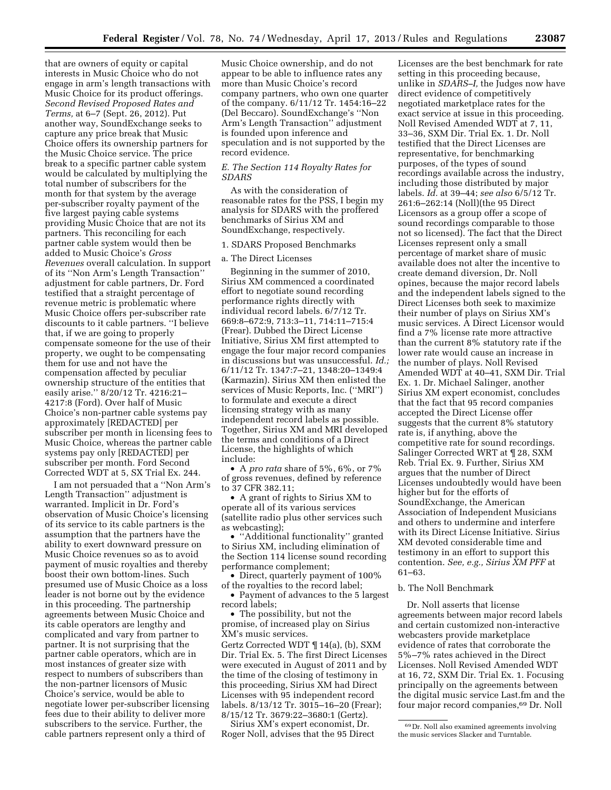that are owners of equity or capital interests in Music Choice who do not engage in arm's length transactions with Music Choice for its product offerings. *Second Revised Proposed Rates and Terms,* at 6–7 (Sept. 26, 2012). Put another way, SoundExchange seeks to capture any price break that Music Choice offers its ownership partners for the Music Choice service. The price break to a specific partner cable system would be calculated by multiplying the total number of subscribers for the month for that system by the average per-subscriber royalty payment of the five largest paying cable systems providing Music Choice that are not its partners. This reconciling for each partner cable system would then be added to Music Choice's *Gross Revenues* overall calculation. In support of its ''Non Arm's Length Transaction'' adjustment for cable partners, Dr. Ford testified that a straight percentage of revenue metric is problematic where Music Choice offers per-subscriber rate discounts to it cable partners. ''I believe that, if we are going to properly compensate someone for the use of their property, we ought to be compensating them for use and not have the compensation affected by peculiar ownership structure of the entities that easily arise.'' 8/20/12 Tr. 4216:21– 4217:8 (Ford). Over half of Music Choice's non-partner cable systems pay approximately [REDACTED] per subscriber per month in licensing fees to Music Choice, whereas the partner cable systems pay only [REDACTED] per subscriber per month. Ford Second Corrected WDT at 5, SX Trial Ex. 244.

I am not persuaded that a ''Non Arm's Length Transaction'' adjustment is warranted. Implicit in Dr. Ford's observation of Music Choice's licensing of its service to its cable partners is the assumption that the partners have the ability to exert downward pressure on Music Choice revenues so as to avoid payment of music royalties and thereby boost their own bottom-lines. Such presumed use of Music Choice as a loss leader is not borne out by the evidence in this proceeding. The partnership agreements between Music Choice and its cable operators are lengthy and complicated and vary from partner to partner. It is not surprising that the partner cable operators, which are in most instances of greater size with respect to numbers of subscribers than the non-partner licensors of Music Choice's service, would be able to negotiate lower per-subscriber licensing fees due to their ability to deliver more subscribers to the service. Further, the cable partners represent only a third of

Music Choice ownership, and do not appear to be able to influence rates any more than Music Choice's record company partners, who own one quarter of the company. 6/11/12 Tr. 1454:16–22 (Del Beccaro). SoundExchange's ''Non Arm's Length Transaction'' adjustment is founded upon inference and speculation and is not supported by the record evidence.

#### *E. The Section 114 Royalty Rates for SDARS*

As with the consideration of reasonable rates for the PSS, I begin my analysis for SDARS with the proffered benchmarks of Sirius XM and SoundExchange, respectively.

#### 1. SDARS Proposed Benchmarks

#### a. The Direct Licenses

Beginning in the summer of 2010, Sirius XM commenced a coordinated effort to negotiate sound recording performance rights directly with individual record labels. 6/7/12 Tr. 669:8–672:9, 713:3–11, 714:11–715:4 (Frear). Dubbed the Direct License Initiative, Sirius XM first attempted to engage the four major record companies in discussions but was unsuccessful. *Id.;*  6/11/12 Tr. 1347:7–21, 1348:20–1349:4 (Karmazin). Sirius XM then enlisted the services of Music Reports, Inc. (''MRI'') to formulate and execute a direct licensing strategy with as many independent record labels as possible. Together, Sirius XM and MRI developed the terms and conditions of a Direct License, the highlights of which include:

• A *pro rata* share of 5%, 6%, or 7% of gross revenues, defined by reference to 37 CFR 382.11;

• A grant of rights to Sirius XM to operate all of its various services (satellite radio plus other services such as webcasting);

• ''Additional functionality'' granted to Sirius XM, including elimination of the Section 114 license sound recording performance complement;

• Direct, quarterly payment of 100% of the royalties to the record label;

• Payment of advances to the 5 largest record labels;

• The possibility, but not the promise, of increased play on Sirius XM's music services.

Gertz Corrected WDT ¶ 14(a), (b), SXM Dir. Trial Ex. 5. The first Direct Licenses were executed in August of 2011 and by the time of the closing of testimony in this proceeding, Sirius XM had Direct Licenses with 95 independent record labels. 8/13/12 Tr. 3015–16–20 (Frear); 8/15/12 Tr. 3679:22–3680:1 (Gertz).

Sirius XM's expert economist, Dr. Roger Noll, advises that the 95 Direct

Licenses are the best benchmark for rate setting in this proceeding because, unlike in *SDARS–I,* the Judges now have direct evidence of competitively negotiated marketplace rates for the exact service at issue in this proceeding. Noll Revised Amended WDT at 7, 11, 33–36, SXM Dir. Trial Ex. 1. Dr. Noll testified that the Direct Licenses are representative, for benchmarking purposes, of the types of sound recordings available across the industry, including those distributed by major labels. *Id.* at 39–44; *see also* 6/5/12 Tr. 261:6–262:14 (Noll)(the 95 Direct Licensors as a group offer a scope of sound recordings comparable to those not so licensed). The fact that the Direct Licenses represent only a small percentage of market share of music available does not alter the incentive to create demand diversion, Dr. Noll opines, because the major record labels and the independent labels signed to the Direct Licenses both seek to maximize their number of plays on Sirius XM's music services. A Direct Licensor would find a 7% license rate more attractive than the current 8% statutory rate if the lower rate would cause an increase in the number of plays. Noll Revised Amended WDT at 40–41, SXM Dir. Trial Ex. 1. Dr. Michael Salinger, another Sirius XM expert economist, concludes that the fact that 95 record companies accepted the Direct License offer suggests that the current 8% statutory rate is, if anything, above the competitive rate for sound recordings. Salinger Corrected WRT at ¶ 28, SXM Reb. Trial Ex. 9. Further, Sirius XM argues that the number of Direct Licenses undoubtedly would have been higher but for the efforts of SoundExchange, the American Association of Independent Musicians and others to undermine and interfere with its Direct License Initiative. Sirius XM devoted considerable time and testimony in an effort to support this contention. *See, e.g., Sirius XM PFF* at 61–63.

# b. The Noll Benchmark

Dr. Noll asserts that license agreements between major record labels and certain customized non-interactive webcasters provide marketplace evidence of rates that corroborate the 5%–7% rates achieved in the Direct Licenses. Noll Revised Amended WDT at 16, 72, SXM Dir. Trial Ex. 1. Focusing principally on the agreements between the digital music service Last.fm and the four major record companies,69 Dr. Noll

<sup>69</sup> Dr. Noll also examined agreements involving the music services Slacker and Turntable.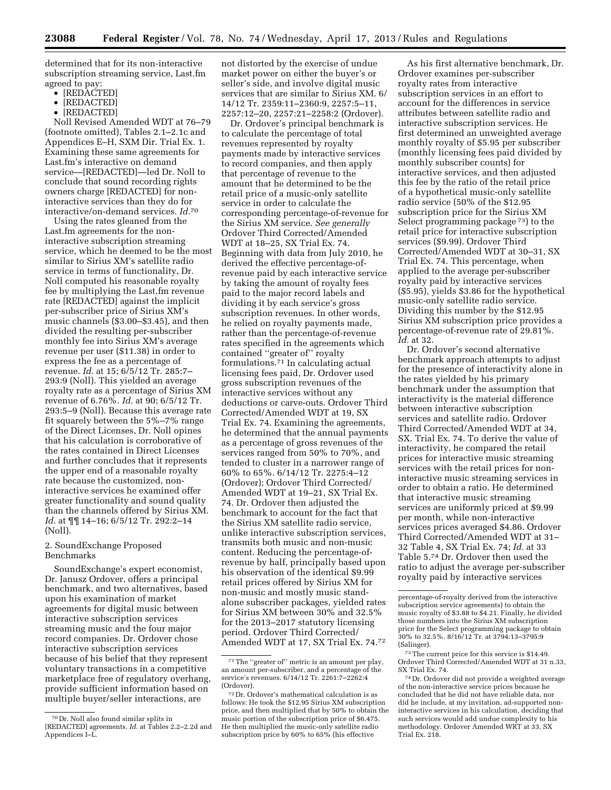determined that for its non-interactive subscription streaming service, Last.fm agreed to pay:

- [REDACTED]
- [REDACTED]
- [REDACTED]

Noll Revised Amended WDT at 76–79 (footnote omitted), Tables 2.1–2.1c and Appendices E–H, SXM Dir. Trial Ex. 1. Examining these same agreements for Last.fm's interactive on demand service—[REDACTED]—led Dr. Noll to conclude that sound recording rights owners charge [REDACTED] for noninteractive services than they do for interactive/on-demand services. *Id.*70

Using the rates gleaned from the Last.fm agreements for the noninteractive subscription streaming service, which he deemed to be the most similar to Sirius XM's satellite radio service in terms of functionality, Dr. Noll computed his reasonable royalty fee by multiplying the Last.fm revenue rate [REDACTED] against the implicit per-subscriber price of Sirius XM's music channels (\$3.00–\$3.45), and then divided the resulting per-subscriber monthly fee into Sirius XM's average revenue per user (\$11.38) in order to express the fee as a percentage of revenue. *Id.* at 15; 6/5/12 Tr. 285:7– 293:9 (Noll). This yielded an average royalty rate as a percentage of Sirius XM revenue of 6.76%. *Id.* at 90; 6/5/12 Tr. 293:5–9 (Noll). Because this average rate fit squarely between the 5%–7% range of the Direct Licenses, Dr. Noll opines that his calculation is corroborative of the rates contained in Direct Licenses and further concludes that it represents the upper end of a reasonable royalty rate because the customized, noninteractive services he examined offer greater functionality and sound quality than the channels offered by Sirius XM. *Id.* at ¶¶ 14–16; 6/5/12 Tr. 292:2–14 (Noll).

# 2. SoundExchange Proposed Benchmarks

SoundExchange's expert economist, Dr. Janusz Ordover, offers a principal benchmark, and two alternatives, based upon his examination of market agreements for digital music between interactive subscription services streaming music and the four major record companies. Dr. Ordover chose interactive subscription services because of his belief that they represent voluntary transactions in a competitive marketplace free of regulatory overhang, provide sufficient information based on multiple buyer/seller interactions, are

not distorted by the exercise of undue market power on either the buyer's or seller's side, and involve digital music services that are similar to Sirius XM. 6/ 14/12 Tr. 2359:11–2360:9, 2257:5–11, 2257:12–20, 2257:21–2258:2 (Ordover).

Dr. Ordover's principal benchmark is to calculate the percentage of total revenues represented by royalty payments made by interactive services to record companies, and then apply that percentage of revenue to the amount that he determined to be the retail price of a music-only satellite service in order to calculate the corresponding percentage-of-revenue for the Sirius XM service. *See generally*  Ordover Third Corrected/Amended WDT at 18–25, SX Trial Ex. 74. Beginning with data from July 2010, he derived the effective percentage-ofrevenue paid by each interactive service by taking the amount of royalty fees paid to the major record labels and dividing it by each service's gross subscription revenues. In other words, he relied on royalty payments made, rather than the percentage-of-revenue rates specified in the agreements which contained ''greater of'' royalty formulations.71 In calculating actual licensing fees paid, Dr. Ordover used gross subscription revenues of the interactive services without any deductions or carve-outs. Ordover Third Corrected/Amended WDT at 19, SX Trial Ex. 74. Examining the agreements, he determined that the annual payments as a percentage of gross revenues of the services ranged from 50% to 70%, and tended to cluster in a narrower range of 60% to 65%. 6/14/12 Tr. 2275:4–12 (Ordover); Ordover Third Corrected/ Amended WDT at 19–21, SX Trial Ex. 74. Dr. Ordover then adjusted the benchmark to account for the fact that the Sirius XM satellite radio service, unlike interactive subscription services, transmits both music and non-music content. Reducing the percentage-ofrevenue by half, principally based upon his observation of the identical \$9.99 retail prices offered by Sirius XM for non-music and mostly music standalone subscriber packages, yielded rates for Sirius XM between 30% and 32.5% for the 2013–2017 statutory licensing period. Ordover Third Corrected/ Amended WDT at 17, SX Trial Ex. 74.72

As his first alternative benchmark, Dr. Ordover examines per-subscriber royalty rates from interactive subscription services in an effort to account for the differences in service attributes between satellite radio and interactive subscription services. He first determined an unweighted average monthly royalty of \$5.95 per subscriber (monthly licensing fees paid divided by monthly subscriber counts) for interactive services, and then adjusted this fee by the ratio of the retail price of a hypothetical music-only satellite radio service (50% of the \$12.95 subscription price for the Sirius XM Select programming package 73) to the retail price for interactive subscription services (\$9.99). Ordover Third Corrected/Amended WDT at 30–31, SX Trial Ex. 74. This percentage, when applied to the average per-subscriber royalty paid by interactive services (\$5.95), yields \$3.86 for the hypothetical music-only satellite radio service. Dividing this number by the \$12.95 Sirius XM subscription price provides a percentage-of-revenue rate of 29.81%. *Id.* at 32.

Dr. Ordover's second alternative benchmark approach attempts to adjust for the presence of interactivity alone in the rates yielded by his primary benchmark under the assumption that interactivity is the material difference between interactive subscription services and satellite radio. Ordover Third Corrected/Amended WDT at 34, SX. Trial Ex. 74. To derive the value of interactivity, he compared the retail prices for interactive music streaming services with the retail prices for noninteractive music streaming services in order to obtain a ratio. He determined that interactive music streaming services are uniformly priced at \$9.99 per month, while non-interactive services prices averaged \$4.86. Ordover Third Corrected/Amended WDT at 31– 32 Table 4, SX Trial Ex. 74; *Id.* at 33 Table 5.74 Dr. Ordover then used the ratio to adjust the average per-subscriber royalty paid by interactive services

<sup>70</sup> Dr. Noll also found similar splits in [REDACTED] agreements. *Id.* at Tables 2.2–2.2d and Appendices I–L.

<sup>71</sup>The ''greater of'' metric is an amount per play, an amount per-subscriber, and a percentage of the service's revenues. 6/14/12 Tr. 2261:7–2262:4 (Ordover).

<sup>72</sup> Dr. Ordover's mathematical calculation is as follows: He took the \$12.95 Sirius XM subscription price, and then multiplied that by 50% to obtain the music portion of the subscription price of \$6.475. He then multiplied the music-only satellite radio subscription price by 60% to 65% (his effective

percentage-of-royalty derived from the interactive subscription service agreements) to obtain the music royalty of \$3.88 to \$4.21. Finally, he divided those numbers into the Sirius XM subscription price for the Select programming package to obtain 30% to 32.5%. 8/16/12 Tr. at 3794:13–3795:9 (Salinger).

<sup>73</sup>The current price for this service is \$14.49. Ordover Third Corrected/Amended WDT at 31 n.33, SX Trial Ex. 74.

<sup>74</sup> Dr. Ordover did not provide a weighted average of the non-interactive service prices because he concluded that he did not have reliable data, nor did he include, at my invitation, ad-supported noninteractive services in his calculation, deciding that such services would add undue complexity to his methodology. Ordover Amended WRT at 33, SX Trial Ex. 218.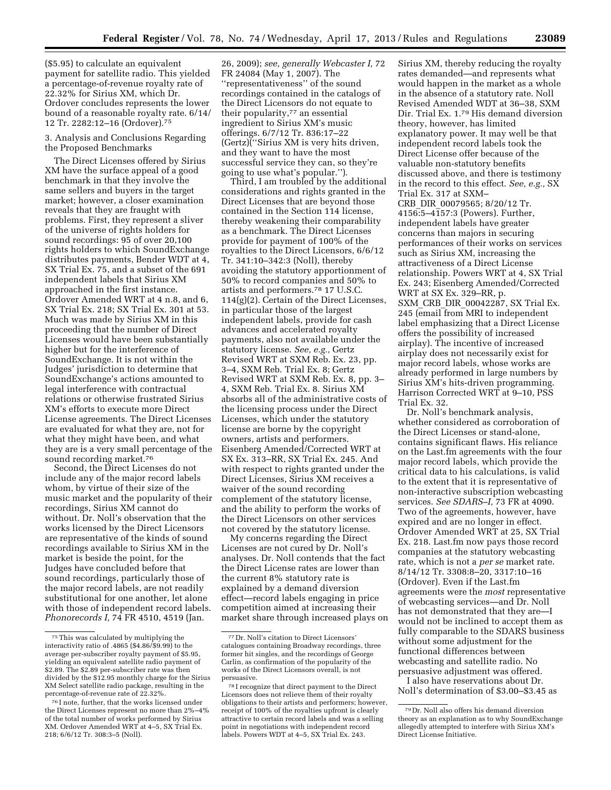(\$5.95) to calculate an equivalent payment for satellite radio. This yielded a percentage-of-revenue royalty rate of 22.32% for Sirius XM, which Dr. Ordover concludes represents the lower bound of a reasonable royalty rate. 6/14/ 12 Tr. 2282:12–16 (Ordover).75

# 3. Analysis and Conclusions Regarding the Proposed Benchmarks

The Direct Licenses offered by Sirius XM have the surface appeal of a good benchmark in that they involve the same sellers and buyers in the target market; however, a closer examination reveals that they are fraught with problems. First, they represent a sliver of the universe of rights holders for sound recordings: 95 of over 20,100 rights holders to which SoundExchange distributes payments, Bender WDT at 4, SX Trial Ex. 75, and a subset of the 691 independent labels that Sirius XM approached in the first instance. Ordover Amended WRT at 4 n.8, and 6, SX Trial Ex. 218; SX Trial Ex. 301 at 53. Much was made by Sirius XM in this proceeding that the number of Direct Licenses would have been substantially higher but for the interference of SoundExchange. It is not within the Judges' jurisdiction to determine that SoundExchange's actions amounted to legal interference with contractual relations or otherwise frustrated Sirius XM's efforts to execute more Direct License agreements. The Direct Licenses are evaluated for what they are, not for what they might have been, and what they are is a very small percentage of the sound recording market.76

Second, the Direct Licenses do not include any of the major record labels whom, by virtue of their size of the music market and the popularity of their recordings, Sirius XM cannot do without. Dr. Noll's observation that the works licensed by the Direct Licensors are representative of the kinds of sound recordings available to Sirius XM in the market is beside the point, for the Judges have concluded before that sound recordings, particularly those of the major record labels, are not readily substitutional for one another, let alone with those of independent record labels. *Phonorecords I,* 74 FR 4510, 4519 (Jan.

26, 2009); *see, generally Webcaster I,* 72 FR 24084 (May 1, 2007). The ''representativeness'' of the sound recordings contained in the catalogs of the Direct Licensors do not equate to their popularity,<sup>77</sup> an essential ingredient to Sirius XM's music offerings. 6/7/12 Tr. 836:17–22 (Gertz)(''Sirius XM is very hits driven, and they want to have the most successful service they can, so they're going to use what's popular.'').

Third, I am troubled by the additional considerations and rights granted in the Direct Licenses that are beyond those contained in the Section 114 license, thereby weakening their comparability as a benchmark. The Direct Licenses provide for payment of 100% of the royalties to the Direct Licensors, 6/6/12 Tr. 341:10–342:3 (Noll), thereby avoiding the statutory apportionment of 50% to record companies and 50% to artists and performers.78 17 U.S.C. 114(g)(2). Certain of the Direct Licenses, in particular those of the largest independent labels, provide for cash advances and accelerated royalty payments, also not available under the statutory license. *See, e.g.,* Gertz Revised WRT at SXM Reb. Ex. 23, pp. 3–4, SXM Reb. Trial Ex. 8; Gertz Revised WRT at SXM Reb. Ex. 8, pp. 3– 4, SXM Reb. Trial Ex. 8. Sirius XM absorbs all of the administrative costs of the licensing process under the Direct Licenses, which under the statutory license are borne by the copyright owners, artists and performers. Eisenberg Amended/Corrected WRT at SX Ex. 313–RR, SX Trial Ex. 245. And with respect to rights granted under the Direct Licenses, Sirius XM receives a waiver of the sound recording complement of the statutory license, and the ability to perform the works of the Direct Licensors on other services not covered by the statutory license.

My concerns regarding the Direct Licenses are not cured by Dr. Noll's analyses. Dr. Noll contends that the fact the Direct License rates are lower than the current 8% statutory rate is explained by a demand diversion effect—record labels engaging in price competition aimed at increasing their market share through increased plays on

Sirius XM, thereby reducing the royalty rates demanded—and represents what would happen in the market as a whole in the absence of a statutory rate. Noll Revised Amended WDT at 36–38, SXM Dir. Trial Ex. 1.79 His demand diversion theory, however, has limited explanatory power. It may well be that independent record labels took the Direct License offer because of the valuable non-statutory benefits discussed above, and there is testimony in the record to this effect. *See, e.g.,* SX Trial Ex. 317 at SXM– CRB\_DIR\_00079565; 8/20/12 Tr. 4156:5–4157:3 (Powers). Further, independent labels have greater concerns than majors in securing performances of their works on services such as Sirius XM, increasing the attractiveness of a Direct License relationship. Powers WRT at 4, SX Trial Ex. 243; Eisenberg Amended/Corrected WRT at SX Ex. 329–RR, p. SXM\_CRB\_DIR\_00042287, SX Trial Ex. 245 (email from MRI to independent label emphasizing that a Direct License offers the possibility of increased airplay). The incentive of increased airplay does not necessarily exist for major record labels, whose works are already performed in large numbers by Sirius XM's hits-driven programming. Harrison Corrected WRT at 9–10, PSS Trial Ex. 32.

Dr. Noll's benchmark analysis, whether considered as corroboration of the Direct Licenses or stand-alone, contains significant flaws. His reliance on the Last.fm agreements with the four major record labels, which provide the critical data to his calculations, is valid to the extent that it is representative of non-interactive subscription webcasting services. *See SDARS–I,* 73 FR at 4090. Two of the agreements, however, have expired and are no longer in effect. Ordover Amended WRT at 25, SX Trial Ex. 218. Last.fm now pays those record companies at the statutory webcasting rate, which is not a *per se* market rate. 8/14/12 Tr. 3308:8–20, 3317:10–16 (Ordover). Even if the Last.fm agreements were the *most* representative of webcasting services—and Dr. Noll has not demonstrated that they are—I would not be inclined to accept them as fully comparable to the SDARS business without some adjustment for the functional differences between webcasting and satellite radio. No persuasive adjustment was offered.

I also have reservations about Dr. Noll's determination of \$3.00–\$3.45 as

<sup>75</sup>This was calculated by multiplying the interactivity ratio of .4865 (\$4.86/\$9.99) to the average per-subscriber royalty payment of \$5.95, yielding an equivalent satellite radio payment of \$2.89. The \$2.89 per-subscriber rate was then divided by the \$12.95 monthly charge for the Sirius XM Select satellite radio package, resulting in the percentage-of-revenue rate of 22.32%.

<sup>76</sup> I note, further, that the works licensed under the Direct Licenses represent no more than 2%–4% of the total number of works performed by Sirius XM. Ordover Amended WRT at 4–5, SX Trial Ex. 218; 6/6/12 Tr. 308:3–5 (Noll).

<sup>77</sup> Dr. Noll's citation to Direct Licensors' catalogues containing Broadway recordings, three former hit singles, and the recordings of George Carlin, as confirmation of the popularity of the works of the Direct Licensors overall, is not persuasive.

<sup>78</sup> I recognize that direct payment to the Direct Licensors does not relieve them of their royalty obligations to their artists and performers; however, receipt of 100% of the royalties upfront is clearly attractive to certain record labels and was a selling point in negotiations with independent record labels. Powers WDT at 4–5, SX Trial Ex. 243.

<sup>79</sup> Dr. Noll also offers his demand diversion theory as an explanation as to why SoundExchange allegedly attempted to interfere with Sirius XM's Direct License Initiative.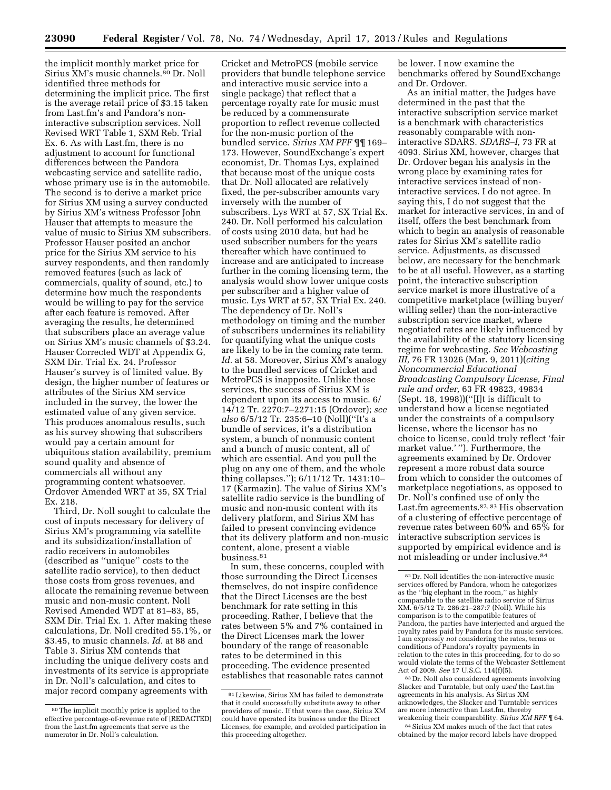the implicit monthly market price for Sirius XM's music channels.80 Dr. Noll identified three methods for determining the implicit price. The first is the average retail price of \$3.15 taken from Last.fm's and Pandora's noninteractive subscription services. Noll Revised WRT Table 1, SXM Reb. Trial Ex. 6. As with Last.fm, there is no adjustment to account for functional differences between the Pandora webcasting service and satellite radio, whose primary use is in the automobile. The second is to derive a market price for Sirius XM using a survey conducted by Sirius XM's witness Professor John Hauser that attempts to measure the value of music to Sirius XM subscribers. Professor Hauser posited an anchor price for the Sirius XM service to his survey respondents, and then randomly removed features (such as lack of commercials, quality of sound, etc.) to determine how much the respondents would be willing to pay for the service after each feature is removed. After averaging the results, he determined that subscribers place an average value on Sirius XM's music channels of \$3.24. Hauser Corrected WDT at Appendix G, SXM Dir. Trial Ex. 24. Professor Hauser's survey is of limited value. By design, the higher number of features or attributes of the Sirius XM service included in the survey, the lower the estimated value of any given service. This produces anomalous results, such as his survey showing that subscribers would pay a certain amount for ubiquitous station availability, premium sound quality and absence of commercials all without any programming content whatsoever. Ordover Amended WRT at 35, SX Trial Ex. 218.

Third, Dr. Noll sought to calculate the cost of inputs necessary for delivery of Sirius XM's programming via satellite and its subsidization/installation of radio receivers in automobiles (described as ''unique'' costs to the satellite radio service), to then deduct those costs from gross revenues, and allocate the remaining revenue between music and non-music content. Noll Revised Amended WDT at 81–83, 85, SXM Dir. Trial Ex. 1. After making these calculations, Dr. Noll credited 55.1%, or \$3.45, to music channels. *Id.* at 88 and Table 3. Sirius XM contends that including the unique delivery costs and investments of its service is appropriate in Dr. Noll's calculation, and cites to major record company agreements with

Cricket and MetroPCS (mobile service providers that bundle telephone service and interactive music service into a single package) that reflect that a percentage royalty rate for music must be reduced by a commensurate proportion to reflect revenue collected for the non-music portion of the bundled service. *Sirius XM PFF* ¶¶ 169– 173. However, SoundExchange's expert economist, Dr. Thomas Lys, explained that because most of the unique costs that Dr. Noll allocated are relatively fixed, the per-subscriber amounts vary inversely with the number of subscribers. Lys WRT at 57, SX Trial Ex. 240. Dr. Noll performed his calculation of costs using 2010 data, but had he used subscriber numbers for the years thereafter which have continued to increase and are anticipated to increase further in the coming licensing term, the analysis would show lower unique costs per subscriber and a higher value of music. Lys WRT at 57, SX Trial Ex. 240. The dependency of Dr. Noll's methodology on timing and the number of subscribers undermines its reliability for quantifying what the unique costs are likely to be in the coming rate term. *Id.* at 58. Moreover, Sirius XM's analogy to the bundled services of Cricket and MetroPCS is inapposite. Unlike those services, the success of Sirius XM is dependent upon its access to music. 6/ 14/12 Tr. 2270:7–2271:15 (Ordover); *see also* 6/5/12 Tr. 235:6–10 (Noll)(''It's a bundle of services, it's a distribution system, a bunch of nonmusic content and a bunch of music content, all of which are essential. And you pull the plug on any one of them, and the whole thing collapses.''); 6/11/12 Tr. 1431:10– 17 (Karmazin). The value of Sirius XM's satellite radio service is the bundling of music and non-music content with its delivery platform, and Sirius XM has failed to present convincing evidence that its delivery platform and non-music content, alone, present a viable business.81

In sum, these concerns, coupled with those surrounding the Direct Licenses themselves, do not inspire confidence that the Direct Licenses are the best benchmark for rate setting in this proceeding. Rather, I believe that the rates between 5% and 7% contained in the Direct Licenses mark the lower boundary of the range of reasonable rates to be determined in this proceeding. The evidence presented establishes that reasonable rates cannot

be lower. I now examine the benchmarks offered by SoundExchange and Dr. Ordover.

As an initial matter, the Judges have determined in the past that the interactive subscription service market is a benchmark with characteristics reasonably comparable with noninteractive SDARS. *SDARS–I,* 73 FR at 4093. Sirius XM, however, charges that Dr. Ordover began his analysis in the wrong place by examining rates for interactive services instead of noninteractive services. I do not agree. In saying this, I do not suggest that the market for interactive services, in and of itself, offers the best benchmark from which to begin an analysis of reasonable rates for Sirius XM's satellite radio service. Adjustments, as discussed below, are necessary for the benchmark to be at all useful. However, as a starting point, the interactive subscription service market is more illustrative of a competitive marketplace (willing buyer/ willing seller) than the non-interactive subscription service market, where negotiated rates are likely influenced by the availability of the statutory licensing regime for webcasting. *See Webcasting III,* 76 FR 13026 (Mar. 9, 2011)(*citing Noncommercial Educational Broadcasting Compulsory License, Final rule and order,* 63 FR 49823, 49834 (Sept. 18, 1998))(''[I]t is difficult to understand how a license negotiated under the constraints of a compulsory license, where the licensor has no choice to license, could truly reflect 'fair market value.' ''). Furthermore, the agreements examined by Dr. Ordover represent a more robust data source from which to consider the outcomes of marketplace negotiations, as opposed to Dr. Noll's confined use of only the Last.fm agreements.82, 83 His observation of a clustering of effective percentage of revenue rates between 60% and 65% for interactive subscription services is supported by empirical evidence and is not misleading or under inclusive.84

83 Dr. Noll also considered agreements involving Slacker and Turntable, but only *used* the Last.fm agreements in his analysis. As Sirius XM acknowledges, the Slacker and Turntable services are more interactive than Last.fm, thereby weakening their comparability. *Sirius XM RFF* ¶ 64.

84Sirius XM makes much of the fact that rates obtained by the major record labels have dropped

<sup>80</sup>The implicit monthly price is applied to the effective percentage-of-revenue rate of [REDACTED] from the Last.fm agreements that serve as the numerator in Dr. Noll's calculation.

<sup>81</sup>Likewise, Sirius XM has failed to demonstrate that it could successfully substitute away to other providers of music. If that were the case, Sirius XM could have operated its business under the Direct Licenses, for example, and avoided participation in this proceeding altogether.

<sup>82</sup> Dr. Noll identifies the non-interactive music services offered by Pandora, whom he categorizes as the ''big elephant in the room,'' as highly comparable to the satellite radio service of Sirius XM. 6/5/12 Tr. 286:21–287:7 (Noll). While his comparison is to the compatible features of Pandora, the parties have interjected and argued the royalty rates paid by Pandora for its music services. I am expressly *not* considering the rates, terms or conditions of Pandora's royalty payments in relation to the rates in this proceeding, for to do so would violate the terms of the Webcaster Settlement Act of 2009. *See* 17 U.S.C. 114(f)(5).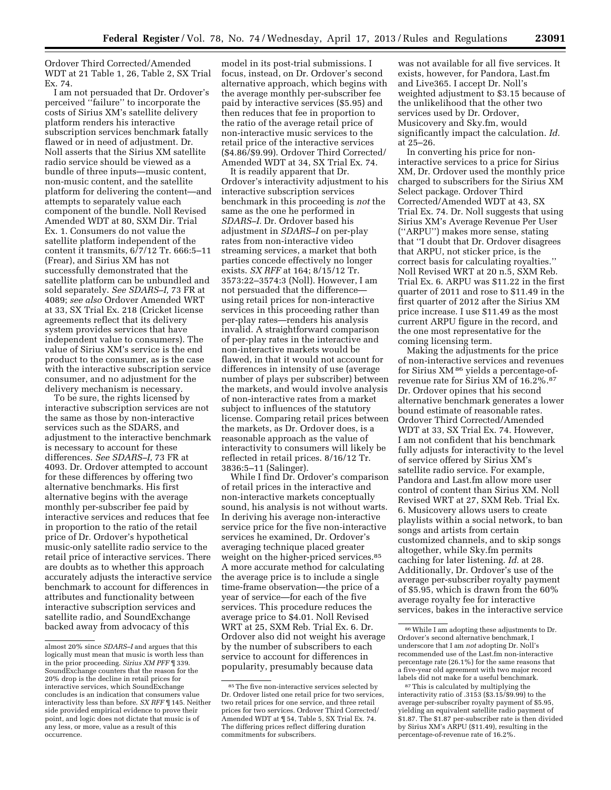Ordover Third Corrected/Amended WDT at 21 Table 1, 26, Table 2, SX Trial Ex. 74.

I am not persuaded that Dr. Ordover's perceived ''failure'' to incorporate the costs of Sirius XM's satellite delivery platform renders his interactive subscription services benchmark fatally flawed or in need of adjustment. Dr. Noll asserts that the Sirius XM satellite radio service should be viewed as a bundle of three inputs—music content, non-music content, and the satellite platform for delivering the content—and attempts to separately value each component of the bundle. Noll Revised Amended WDT at 80, SXM Dir. Trial Ex. 1. Consumers do not value the satellite platform independent of the content it transmits, 6/7/12 Tr. 666:5–11 (Frear), and Sirius XM has not successfully demonstrated that the satellite platform can be unbundled and sold separately. *See SDARS–I,* 73 FR at 4089; *see also* Ordover Amended WRT at 33, SX Trial Ex. 218 (Cricket license agreements reflect that its delivery system provides services that have independent value to consumers). The value of Sirius XM's service is the end product to the consumer, as is the case with the interactive subscription service consumer, and no adjustment for the delivery mechanism is necessary.

To be sure, the rights licensed by interactive subscription services are not the same as those by non-interactive services such as the SDARS, and adjustment to the interactive benchmark is necessary to account for these differences. *See SDARS–I,* 73 FR at 4093. Dr. Ordover attempted to account for these differences by offering two alternative benchmarks. His first alternative begins with the average monthly per-subscriber fee paid by interactive services and reduces that fee in proportion to the ratio of the retail price of Dr. Ordover's hypothetical music-only satellite radio service to the retail price of interactive services. There are doubts as to whether this approach accurately adjusts the interactive service benchmark to account for differences in attributes and functionality between interactive subscription services and satellite radio, and SoundExchange backed away from advocacy of this

model in its post-trial submissions. I focus, instead, on Dr. Ordover's second alternative approach, which begins with the average monthly per-subscriber fee paid by interactive services (\$5.95) and then reduces that fee in proportion to the ratio of the average retail price of non-interactive music services to the retail price of the interactive services (\$4.86/\$9.99). Ordover Third Corrected/ Amended WDT at 34, SX Trial Ex. 74.

It is readily apparent that Dr. Ordover's interactivity adjustment to his interactive subscription services benchmark in this proceeding is *not* the same as the one he performed in *SDARS–I.* Dr. Ordover based his adjustment in *SDARS–I* on per-play rates from non-interactive video streaming services, a market that both parties concede effectively no longer exists. *SX RFF* at 164; 8/15/12 Tr. 3573:22–3574:3 (Noll). However, I am not persuaded that the difference using retail prices for non-interactive services in this proceeding rather than per-play rates—renders his analysis invalid. A straightforward comparison of per-play rates in the interactive and non-interactive markets would be flawed, in that it would not account for differences in intensity of use (average number of plays per subscriber) between the markets, and would involve analysis of non-interactive rates from a market subject to influences of the statutory license. Comparing retail prices between the markets, as Dr. Ordover does, is a reasonable approach as the value of interactivity to consumers will likely be reflected in retail prices. 8/16/12 Tr. 3836:5–11 (Salinger).

While I find Dr. Ordover's comparison of retail prices in the interactive and non-interactive markets conceptually sound, his analysis is not without warts. In deriving his average non-interactive service price for the five non-interactive services he examined, Dr. Ordover's averaging technique placed greater weight on the higher-priced services.85 A more accurate method for calculating the average price is to include a single time-frame observation—the price of a year of service—for each of the five services. This procedure reduces the average price to \$4.01. Noll Revised WRT at 25, SXM Reb. Trial Ex. 6. Dr. Ordover also did not weight his average by the number of subscribers to each service to account for differences in popularity, presumably because data

was not available for all five services. It exists, however, for Pandora, Last.fm and Live365. I accept Dr. Noll's weighted adjustment to \$3.15 because of the unlikelihood that the other two services used by Dr. Ordover, Musicovery and Sky.fm, would significantly impact the calculation. *Id.*  at 25–26.

In converting his price for noninteractive services to a price for Sirius XM, Dr. Ordover used the monthly price charged to subscribers for the Sirius XM Select package. Ordover Third Corrected/Amended WDT at 43, SX Trial Ex. 74. Dr. Noll suggests that using Sirius XM's Average Revenue Per User (''ARPU'') makes more sense, stating that ''I doubt that Dr. Ordover disagrees that ARPU, not sticker price, is the correct basis for calculating royalties.'' Noll Revised WRT at 20 n.5, SXM Reb. Trial Ex. 6. ARPU was \$11.22 in the first quarter of 2011 and rose to \$11.49 in the first quarter of 2012 after the Sirius XM price increase. I use \$11.49 as the most current ARPU figure in the record, and the one most representative for the coming licensing term.

Making the adjustments for the price of non-interactive services and revenues for Sirius XM 86 yields a percentage-ofrevenue rate for Sirius XM of 16.2%.87 Dr. Ordover opines that his second alternative benchmark generates a lower bound estimate of reasonable rates. Ordover Third Corrected/Amended WDT at 33, SX Trial Ex. 74. However, I am not confident that his benchmark fully adjusts for interactivity to the level of service offered by Sirius XM's satellite radio service. For example, Pandora and Last.fm allow more user control of content than Sirius XM. Noll Revised WRT at 27, SXM Reb. Trial Ex. 6. Musicovery allows users to create playlists within a social network, to ban songs and artists from certain customized channels, and to skip songs altogether, while Sky.fm permits caching for later listening. *Id.* at 28. Additionally, Dr. Ordover's use of the average per-subscriber royalty payment of \$5.95, which is drawn from the 60% average royalty fee for interactive services, bakes in the interactive service

almost 20% since *SDARS–I* and argues that this logically must mean that music is worth less than in the prior proceeding. *Sirius XM PFF* ¶ 339. SoundExchange counters that the reason for the 20% drop is the decline in retail prices for interactive services, which SoundExchange concludes is an indication that consumers value interactivity less than before. *SX RFF* ¶ 145. Neither side provided empirical evidence to prove their point, and logic does not dictate that music is of any less, or more, value as a result of this occurrence.

<sup>&</sup>lt;sup>85</sup> The five non-interactive services selected by Dr. Ordover listed one retail price for two services, two retail prices for one service, and three retail prices for two services. Ordover Third Corrected/ Amended WDT at ¶ 54, Table 5, SX Trial Ex. 74. The differing prices reflect differing duration commitments for subscribers.

<sup>86</sup>While I am adopting these adjustments to Dr. Ordover's second alternative benchmark, I underscore that I am *not* adopting Dr. Noll's recommended use of the Last.fm non-interactive percentage rate (26.1%) for the same reasons that a five-year old agreement with two major record labels did not make for a useful benchmark.

<sup>87</sup>This is calculated by multiplying the interactivity ratio of .3153 (\$3.15/\$9.99) to the average per-subscriber royalty payment of \$5.95, yielding an equivalent satellite radio payment of \$1.87. The \$1.87 per-subscriber rate is then divided by Sirius XM's ARPU (\$11.49), resulting in the percentage-of-revenue rate of 16.2%.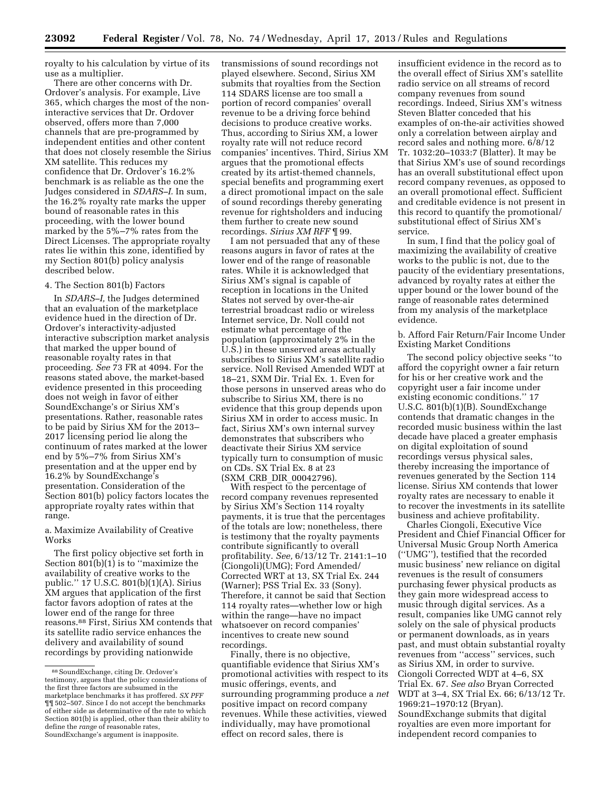royalty to his calculation by virtue of its use as a multiplier.

There are other concerns with Dr. Ordover's analysis. For example, Live 365, which charges the most of the noninteractive services that Dr. Ordover observed, offers more than 7,000 channels that are pre-programmed by independent entities and other content that does not closely resemble the Sirius XM satellite. This reduces my confidence that Dr. Ordover's 16.2% benchmark is as reliable as the one the Judges considered in *SDARS–I.* In sum, the 16.2% royalty rate marks the upper bound of reasonable rates in this proceeding, with the lower bound marked by the 5%–7% rates from the Direct Licenses. The appropriate royalty rates lie within this zone, identified by my Section 801(b) policy analysis described below.

#### 4. The Section 801(b) Factors

In *SDARS–I,* the Judges determined that an evaluation of the marketplace evidence hued in the direction of Dr. Ordover's interactivity-adjusted interactive subscription market analysis that marked the upper bound of reasonable royalty rates in that proceeding. *See* 73 FR at 4094. For the reasons stated above, the market-based evidence presented in this proceeding does not weigh in favor of either SoundExchange's or Sirius XM's presentations. Rather, reasonable rates to be paid by Sirius XM for the 2013– 2017 licensing period lie along the continuum of rates marked at the lower end by 5%–7% from Sirius XM's presentation and at the upper end by 16.2% by SoundExchange's presentation. Consideration of the Section 801(b) policy factors locates the appropriate royalty rates within that range.

a. Maximize Availability of Creative Works

The first policy objective set forth in Section 801(b)(1) is to ''maximize the availability of creative works to the public.'' 17 U.S.C. 801(b)(1)(A). Sirius XM argues that application of the first factor favors adoption of rates at the lower end of the range for three reasons.88 First, Sirius XM contends that its satellite radio service enhances the delivery and availability of sound recordings by providing nationwide

transmissions of sound recordings not played elsewhere. Second, Sirius XM submits that royalties from the Section 114 SDARS license are too small a portion of record companies' overall revenue to be a driving force behind decisions to produce creative works. Thus, according to Sirius XM, a lower royalty rate will not reduce record companies' incentives. Third, Sirius XM argues that the promotional effects created by its artist-themed channels, special benefits and programming exert a direct promotional impact on the sale of sound recordings thereby generating revenue for rightsholders and inducing them further to create new sound recordings. *Sirius XM RFF* ¶ 99.

I am not persuaded that any of these reasons augurs in favor of rates at the lower end of the range of reasonable rates. While it is acknowledged that Sirius XM's signal is capable of reception in locations in the United States not served by over-the-air terrestrial broadcast radio or wireless Internet service, Dr. Noll could not estimate what percentage of the population (approximately 2% in the U.S.) in these unserved areas actually subscribes to Sirius XM's satellite radio service. Noll Revised Amended WDT at 18–21, SXM Dir. Trial Ex. 1. Even for those persons in unserved areas who do subscribe to Sirius XM, there is no evidence that this group depends upon Sirius XM in order to access music. In fact, Sirius XM's own internal survey demonstrates that subscribers who deactivate their Sirius XM service typically turn to consumption of music on CDs. SX Trial Ex. 8 at 23 (SXM\_CRB\_DIR\_00042796).

With respect to the percentage of record company revenues represented by Sirius XM's Section 114 royalty payments, it is true that the percentages of the totals are low; nonetheless, there is testimony that the royalty payments contribute significantly to overall profitability. *See,* 6/13/12 Tr. 2141:1–10 (Ciongoli)(UMG); Ford Amended/ Corrected WRT at 13, SX Trial Ex. 244 (Warner); PSS Trial Ex. 33 (Sony). Therefore, it cannot be said that Section 114 royalty rates—whether low or high within the range—have no impact whatsoever on record companies' incentives to create new sound recordings.

Finally, there is no objective, quantifiable evidence that Sirius XM's promotional activities with respect to its music offerings, events, and surrounding programming produce a *net*  positive impact on record company revenues. While these activities, viewed individually, may have promotional effect on record sales, there is

insufficient evidence in the record as to the overall effect of Sirius XM's satellite radio service on all streams of record company revenues from sound recordings. Indeed, Sirius XM's witness Steven Blatter conceded that his examples of on-the-air activities showed only a correlation between airplay and record sales and nothing more. 6/8/12 Tr. 1032:20–1033:7 (Blatter). It may be that Sirius XM's use of sound recordings has an overall substitutional effect upon record company revenues, as opposed to an overall promotional effect. Sufficient and creditable evidence is not present in this record to quantify the promotional/ substitutional effect of Sirius XM's service.

In sum, I find that the policy goal of maximizing the availability of creative works to the public is not, due to the paucity of the evidentiary presentations, advanced by royalty rates at either the upper bound or the lower bound of the range of reasonable rates determined from my analysis of the marketplace evidence.

b. Afford Fair Return/Fair Income Under Existing Market Conditions

The second policy objective seeks ''to afford the copyright owner a fair return for his or her creative work and the copyright user a fair income under existing economic conditions.'' 17 U.S.C. 801(b)(1)(B). SoundExchange contends that dramatic changes in the recorded music business within the last decade have placed a greater emphasis on digital exploitation of sound recordings versus physical sales, thereby increasing the importance of revenues generated by the Section 114 license. Sirius XM contends that lower royalty rates are necessary to enable it to recover the investments in its satellite business and achieve profitability.

Charles Ciongoli, Executive Vice President and Chief Financial Officer for Universal Music Group North America (''UMG''), testified that the recorded music business' new reliance on digital revenues is the result of consumers purchasing fewer physical products as they gain more widespread access to music through digital services. As a result, companies like UMG cannot rely solely on the sale of physical products or permanent downloads, as in years past, and must obtain substantial royalty revenues from ''access'' services, such as Sirius XM, in order to survive. Ciongoli Corrected WDT at 4–6, SX Trial Ex. 67. *See also* Bryan Corrected WDT at 3–4, SX Trial Ex. 66; 6/13/12 Tr. 1969:21–1970:12 (Bryan). SoundExchange submits that digital royalties are even more important for independent record companies to

<sup>88</sup>SoundExchange, citing Dr. Ordover's testimony, argues that the policy considerations of the first three factors are subsumed in the marketplace benchmarks it has proffered. *SX PFF*  ¶¶ 502–507. Since I do not accept the benchmarks of either side as determinative of the rate to which Section 801(b) is applied, other than their ability to define the *range* of reasonable rates, SoundExchange's argument is inapposite.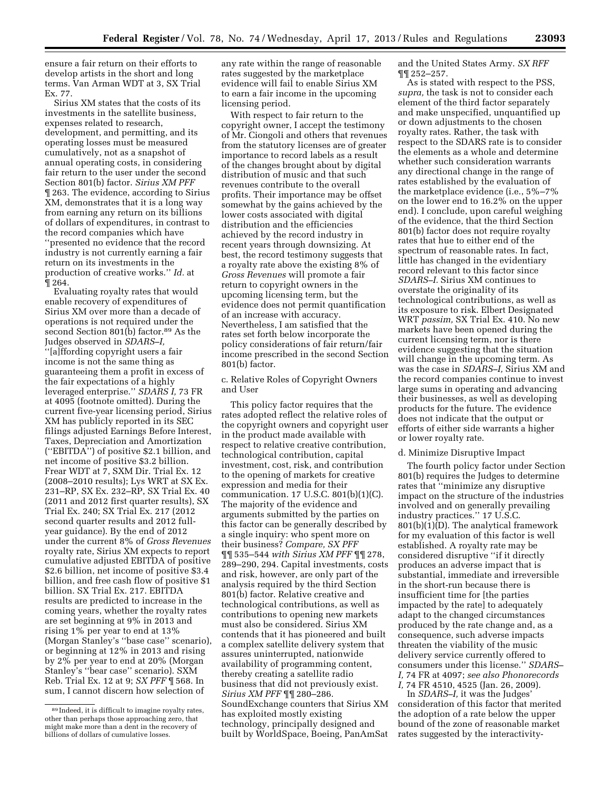ensure a fair return on their efforts to develop artists in the short and long terms. Van Arman WDT at 3, SX Trial Ex. 77.

Sirius XM states that the costs of its investments in the satellite business, expenses related to research, development, and permitting, and its operating losses must be measured cumulatively, not as a snapshot of annual operating costs, in considering fair return to the user under the second Section 801(b) factor. *Sirius XM PFF*  ¶ 263. The evidence, according to Sirius XM, demonstrates that it is a long way from earning any return on its billions of dollars of expenditures, in contrast to the record companies which have ''presented no evidence that the record industry is not currently earning a fair return on its investments in the production of creative works.'' *Id.* at ¶ 264.

Evaluating royalty rates that would enable recovery of expenditures of Sirius XM over more than a decade of operations is not required under the second Section 801(b) factor.<sup>89</sup> As the Judges observed in *SDARS–I,*  ''[a]ffording copyright users a fair income is not the same thing as guaranteeing them a profit in excess of the fair expectations of a highly leveraged enterprise.'' *SDARS I,* 73 FR at 4095 (footnote omitted). During the current five-year licensing period, Sirius XM has publicly reported in its SEC filings adjusted Earnings Before Interest, Taxes, Depreciation and Amortization (''EBITDA'') of positive \$2.1 billion, and net income of positive \$3.2 billion. Frear WDT at 7, SXM Dir. Trial Ex. 12 (2008–2010 results); Lys WRT at SX Ex. 231–RP, SX Ex. 232–RP, SX Trial Ex. 40 (2011 and 2012 first quarter results), SX Trial Ex. 240; SX Trial Ex. 217 (2012 second quarter results and 2012 fullyear guidance). By the end of 2012 under the current 8% of *Gross Revenues*  royalty rate, Sirius XM expects to report cumulative adjusted EBITDA of positive \$2.6 billion, net income of positive \$3.4 billion, and free cash flow of positive \$1 billion. SX Trial Ex. 217. EBITDA results are predicted to increase in the coming years, whether the royalty rates are set beginning at 9% in 2013 and rising 1% per year to end at 13% (Morgan Stanley's ''base case'' scenario), or beginning at 12% in 2013 and rising by 2% per year to end at 20% (Morgan Stanley's ''bear case'' scenario). SXM Reb. Trial Ex. 12 at 9; *SX PFF* ¶ 568. In sum, I cannot discern how selection of

any rate within the range of reasonable rates suggested by the marketplace evidence will fail to enable Sirius XM to earn a fair income in the upcoming licensing period.

With respect to fair return to the copyright owner, I accept the testimony of Mr. Ciongoli and others that revenues from the statutory licenses are of greater importance to record labels as a result of the changes brought about by digital distribution of music and that such revenues contribute to the overall profits. Their importance may be offset somewhat by the gains achieved by the lower costs associated with digital distribution and the efficiencies achieved by the record industry in recent years through downsizing. At best, the record testimony suggests that a royalty rate above the existing 8% of *Gross Revenues* will promote a fair return to copyright owners in the upcoming licensing term, but the evidence does not permit quantification of an increase with accuracy. Nevertheless, I am satisfied that the rates set forth below incorporate the policy considerations of fair return/fair income prescribed in the second Section 801(b) factor.

c. Relative Roles of Copyright Owners and User

This policy factor requires that the rates adopted reflect the relative roles of the copyright owners and copyright user in the product made available with respect to relative creative contribution, technological contribution, capital investment, cost, risk, and contribution to the opening of markets for creative expression and media for their communication. 17 U.S.C. 801(b)(1)(C). The majority of the evidence and arguments submitted by the parties on this factor can be generally described by a single inquiry: who spent more on their business? *Compare, SX PFF*  ¶¶ 535–544 *with Sirius XM PFF* ¶¶ 278, 289–290, 294. Capital investments, costs and risk, however, are only part of the analysis required by the third Section 801(b) factor. Relative creative and technological contributions, as well as contributions to opening new markets must also be considered. Sirius XM contends that it has pioneered and built a complex satellite delivery system that assures uninterrupted, nationwide availability of programming content, thereby creating a satellite radio business that did not previously exist. *Sirius XM PFF* ¶¶ 280–286. SoundExchange counters that Sirius XM has exploited mostly existing technology, principally designed and built by WorldSpace, Boeing, PanAmSat and the United States Army. *SX RFF*  ¶¶ 252–257.

As is stated with respect to the PSS, *supra,* the task is not to consider each element of the third factor separately and make unspecified, unquantified up or down adjustments to the chosen royalty rates. Rather, the task with respect to the SDARS rate is to consider the elements as a whole and determine whether such consideration warrants any directional change in the range of rates established by the evaluation of the marketplace evidence (i.e., 5%–7% on the lower end to 16.2% on the upper end). I conclude, upon careful weighing of the evidence, that the third Section 801(b) factor does not require royalty rates that hue to either end of the spectrum of reasonable rates. In fact, little has changed in the evidentiary record relevant to this factor since *SDARS–I.* Sirius XM continues to overstate the originality of its technological contributions, as well as its exposure to risk. Elbert Designated WRT *passim,* SX Trial Ex. 410. No new markets have been opened during the current licensing term, nor is there evidence suggesting that the situation will change in the upcoming term. As was the case in *SDARS–I,* Sirius XM and the record companies continue to invest large sums in operating and advancing their businesses, as well as developing products for the future. The evidence does not indicate that the output or efforts of either side warrants a higher or lower royalty rate.

#### d. Minimize Disruptive Impact

The fourth policy factor under Section 801(b) requires the Judges to determine rates that ''minimize any disruptive impact on the structure of the industries involved and on generally prevailing industry practices.'' 17 U.S.C. 801(b)(1)(D). The analytical framework for my evaluation of this factor is well established. A royalty rate may be considered disruptive ''if it directly produces an adverse impact that is substantial, immediate and irreversible in the short-run because there is insufficient time for [the parties impacted by the rate] to adequately adapt to the changed circumstances produced by the rate change and, as a consequence, such adverse impacts threaten the viability of the music delivery service currently offered to consumers under this license.'' *SDARS– I,* 74 FR at 4097; *see also Phonorecords I,* 74 FR 4510, 4525 (Jan. 26, 2009).

In *SDARS–I,* it was the Judges' consideration of this factor that merited the adoption of a rate below the upper bound of the zone of reasonable market rates suggested by the interactivity-

<sup>89</sup> Indeed, it is difficult to imagine royalty rates, other than perhaps those approaching zero, that might make more than a dent in the recovery of billions of dollars of cumulative losses.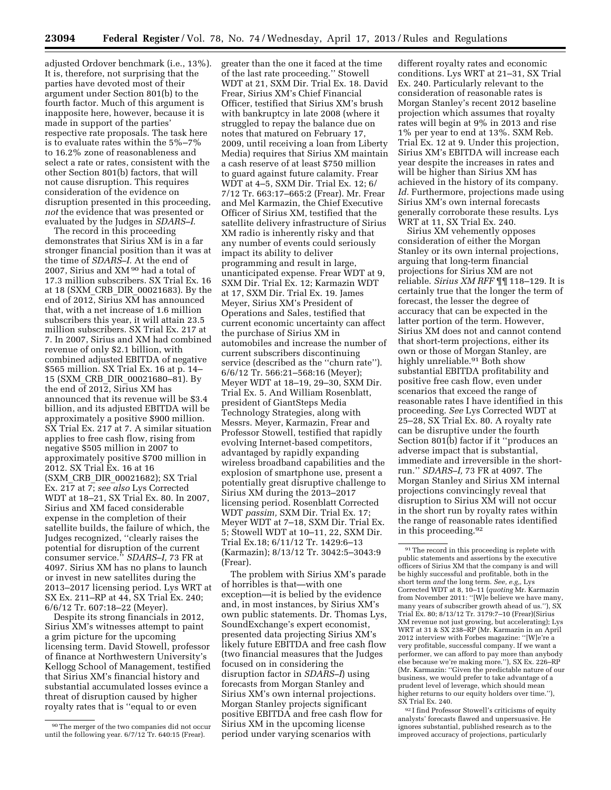adjusted Ordover benchmark (i.e., 13%). It is, therefore, not surprising that the parties have devoted most of their argument under Section 801(b) to the fourth factor. Much of this argument is inapposite here, however, because it is made in support of the parties' respective rate proposals. The task here is to evaluate rates within the 5%–7% to 16.2% zone of reasonableness and select a rate or rates, consistent with the other Section 801(b) factors, that will not cause disruption. This requires consideration of the evidence on disruption presented in this proceeding, *not* the evidence that was presented or evaluated by the Judges in *SDARS–I.* 

The record in this proceeding demonstrates that Sirius XM is in a far stronger financial position than it was at the time of *SDARS–I.* At the end of 2007, Sirius and XM 90 had a total of 17.3 million subscribers. SX Trial Ex. 16 at 18 (SXM\_CRB\_DIR\_00021683). By the end of 2012, Sirius XM has announced that, with a net increase of 1.6 million subscribers this year, it will attain 23.5 million subscribers. SX Trial Ex. 217 at 7. In 2007, Sirius and XM had combined revenue of only \$2.1 billion, with combined adjusted EBITDA of negative \$565 million. SX Trial Ex. 16 at p. 14– 15 (SXM\_CRB\_DIR\_00021680–81). By the end of 2012, Sirius XM has announced that its revenue will be \$3.4 billion, and its adjusted EBITDA will be approximately a positive \$900 million. SX Trial Ex. 217 at 7. A similar situation applies to free cash flow, rising from negative \$505 million in 2007 to approximately positive \$700 million in 2012. SX Trial Ex. 16 at 16 (SXM\_CRB\_DIR\_00021682); SX Trial Ex. 217 at 7; *see also* Lys Corrected WDT at 18–21, SX Trial Ex. 80. In 2007, Sirius and XM faced considerable expense in the completion of their satellite builds, the failure of which, the Judges recognized, ''clearly raises the potential for disruption of the current consumer service.'' *SDARS–I,* 73 FR at 4097. Sirius XM has no plans to launch or invest in new satellites during the 2013–2017 licensing period. Lys WRT at SX Ex. 211–RP at 44, SX Trial Ex. 240; 6/6/12 Tr. 607:18–22 (Meyer).

Despite its strong financials in 2012, Sirius XM's witnesses attempt to paint a grim picture for the upcoming licensing term. David Stowell, professor of finance at Northwestern University's Kellogg School of Management, testified that Sirius XM's financial history and substantial accumulated losses evince a threat of disruption caused by higher royalty rates that is ''equal to or even

greater than the one it faced at the time of the last rate proceeding.'' Stowell WDT at 21, SXM Dir. Trial Ex. 18. David Frear, Sirius XM's Chief Financial Officer, testified that Sirius XM's brush with bankruptcy in late 2008 (where it struggled to repay the balance due on notes that matured on February 17, 2009, until receiving a loan from Liberty Media) requires that Sirius XM maintain a cash reserve of at least \$750 million to guard against future calamity. Frear WDT at 4–5, SXM Dir. Trial Ex. 12; 6/ 7/12 Tr. 663:17–665:2 (Frear). Mr. Frear and Mel Karmazin, the Chief Executive Officer of Sirius XM, testified that the satellite delivery infrastructure of Sirius XM radio is inherently risky and that any number of events could seriously impact its ability to deliver programming and result in large, unanticipated expense. Frear WDT at 9, SXM Dir. Trial Ex. 12; Karmazin WDT at 17, SXM Dir. Trial Ex. 19. James Meyer, Sirius XM's President of Operations and Sales, testified that current economic uncertainty can affect the purchase of Sirius XM in automobiles and increase the number of current subscribers discontinuing service (described as the ''churn rate''). 6/6/12 Tr. 566:21–568:16 (Meyer); Meyer WDT at 18–19, 29–30, SXM Dir. Trial Ex. 5. And William Rosenblatt, president of GiantSteps Media Technology Strategies, along with Messrs. Meyer, Karmazin, Frear and Professor Stowell, testified that rapidly evolving Internet-based competitors, advantaged by rapidly expanding wireless broadband capabilities and the explosion of smartphone use, present a potentially great disruptive challenge to Sirius XM during the 2013–2017 licensing period. Rosenblatt Corrected WDT *passim,* SXM Dir. Trial Ex. 17; Meyer WDT at 7–18, SXM Dir. Trial Ex. 5; Stowell WDT at 10–11, 22, SXM Dir. Trial Ex.18; 6/11/12 Tr. 1429:6–13 (Karmazin); 8/13/12 Tr. 3042:5–3043:9 (Frear).

The problem with Sirius XM's parade of horribles is that—with one exception—it is belied by the evidence and, in most instances, by Sirius XM's own public statements. Dr. Thomas Lys, SoundExchange's expert economist, presented data projecting Sirius XM's likely future EBITDA and free cash flow (two financial measures that the Judges focused on in considering the disruption factor in *SDARS–I*) using forecasts from Morgan Stanley and Sirius XM's own internal projections. Morgan Stanley projects significant positive EBITDA and free cash flow for Sirius XM in the upcoming license period under varying scenarios with

different royalty rates and economic conditions. Lys WRT at 21–31, SX Trial Ex. 240. Particularly relevant to the consideration of reasonable rates is Morgan Stanley's recent 2012 baseline projection which assumes that royalty rates will begin at 9% in 2013 and rise 1% per year to end at 13%. SXM Reb. Trial Ex. 12 at 9. Under this projection, Sirius XM's EBITDA will increase each year despite the increases in rates and will be higher than Sirius XM has achieved in the history of its company. Id. Furthermore, projections made using Sirius XM's own internal forecasts generally corroborate these results. Lys WRT at 11, SX Trial Ex. 240.

Sirius XM vehemently opposes consideration of either the Morgan Stanley or its own internal projections, arguing that long-term financial projections for Sirius XM are not reliable. *Sirius XM RFF* ¶¶ 118–129. It is certainly true that the longer the term of forecast, the lesser the degree of accuracy that can be expected in the latter portion of the term. However, Sirius XM does not and cannot contend that short-term projections, either its own or those of Morgan Stanley, are highly unreliable.<sup>91</sup> Both show substantial EBITDA profitability and positive free cash flow, even under scenarios that exceed the range of reasonable rates I have identified in this proceeding. *See* Lys Corrected WDT at 25–28, SX Trial Ex. 80. A royalty rate can be disruptive under the fourth Section 801(b) factor if it ''produces an adverse impact that is substantial, immediate and irreversible in the shortrun.'' *SDARS–I,* 73 FR at 4097. The Morgan Stanley and Sirius XM internal projections convincingly reveal that disruption to Sirius XM will not occur in the short run by royalty rates within the range of reasonable rates identified in this proceeding.92

92 I find Professor Stowell's criticisms of equity analysts' forecasts flawed and unpersuasive. He ignores substantial, published research as to the improved accuracy of projections, particularly

<sup>90</sup>The merger of the two companies did not occur until the following year. 6/7/12 Tr. 640:15 (Frear).

<sup>&</sup>lt;sup>91</sup> The record in this proceeding is replete with public statements and assertions by the executive officers of Sirius XM that the company is and will be highly successful and profitable, both in the short term *and* the long term. *See, e.g,,* Lys Corrected WDT at 8, 10–11 (*quoting* Mr. Karmazin from November 2011: ''[W]e believe we have many, many years of subscriber growth ahead of us."), SX Trial Ex. 80; 8/13/12 Tr. 3179:7–10 (Frear)(Sirius XM revenue not just growing, but accelerating); Lys WRT at 31 & SX 238–RP (Mr. Karmazin in an April 2012 interview with Forbes magazine: ''[W]e're a very profitable, successful company. If we want a performer, we can afford to pay more than anybody else because we're making more.''), SX Ex. 226–RP (Mr. Karmazin: ''Given the predictable nature of our business, we would prefer to take advantage of a prudent level of leverage, which should mean higher returns to our equity holders over time.''), SX Trial Ex. 240.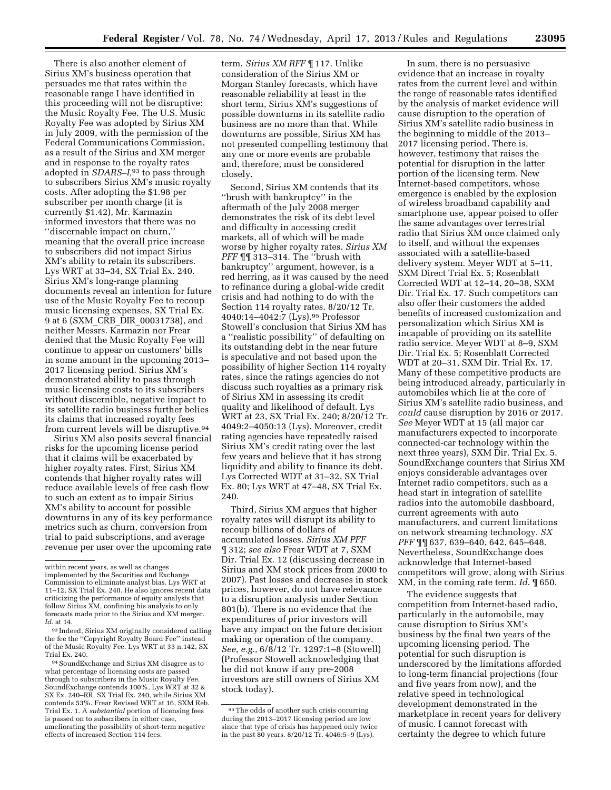There is also another element of Sirius XM's business operation that persuades me that rates within the reasonable range I have identified in this proceeding will not be disruptive: the Music Royalty Fee. The U.S. Music Royalty Fee was adopted by Sirius XM in July 2009, with the permission of the Federal Communications Commission, as a result of the Sirius and XM merger and in response to the royalty rates adopted in *SDARS–I,*93 to pass through to subscribers Sirius XM's music royalty costs. After adopting the \$1.98 per subscriber per month charge (it is currently \$1.42), Mr. Karmazin informed investors that there was no ''discernable impact on churn,'' meaning that the overall price increase to subscribers did not impact Sirius XM's ability to retain its subscribers. Lys WRT at 33–34, SX Trial Ex. 240. Sirius XM's long-range planning documents reveal an intention for future use of the Music Royalty Fee to recoup music licensing expenses, SX Trial Ex. 9 at 6 (SXM\_CRB\_DIR\_00031738), and neither Messrs. Karmazin nor Frear denied that the Music Royalty Fee will continue to appear on customers' bills in some amount in the upcoming 2013– 2017 licensing period. Sirius XM's demonstrated ability to pass through music licensing costs to its subscribers without discernible, negative impact to its satellite radio business further belies its claims that increased royalty fees from current levels will be disruptive.94

Sirius XM also posits several financial risks for the upcoming license period that it claims will be exacerbated by higher royalty rates. First, Sirius XM contends that higher royalty rates will reduce available levels of free cash flow to such an extent as to impair Sirius XM's ability to account for possible downturns in any of its key performance metrics such as churn, conversion from trial to paid subscriptions, and average revenue per user over the upcoming rate

94SoundExchange and Sirius XM disagree as to what percentage of licensing costs are passed through to subscribers in the Music Royalty Fee. SoundExchange contends 100%, Lys WRT at 32 & SX Ex. 240–RR, SX Trial Ex. 240, while Sirius XM contends 53%. Frear Revised WRT at 16, SXM Reb. Trial Ex. 1. A *substantial* portion of licensing fees is passed on to subscribers in either case, ameliorating the possibility of short-term negative effects of increased Section 114 fees.

term. *Sirius XM RFF* ¶ 117. Unlike consideration of the Sirius XM or Morgan Stanley forecasts, which have reasonable reliability at least in the short term, Sirius XM's suggestions of possible downturns in its satellite radio business are no more than that. While downturns are possible, Sirius XM has not presented compelling testimony that any one or more events are probable and, therefore, must be considered closely.

Second, Sirius XM contends that its ''brush with bankruptcy'' in the aftermath of the July 2008 merger demonstrates the risk of its debt level and difficulty in accessing credit markets, all of which will be made worse by higher royalty rates. *Sirius XM PFF* ¶¶ 313–314. The ''brush with bankruptcy'' argument, however, is a red herring, as it was caused by the need to refinance during a global-wide credit crisis and had nothing to do with the Section 114 royalty rates. 8/20/12 Tr. 4040:14–4042:7 (Lys).95 Professor Stowell's conclusion that Sirius XM has a ''realistic possibility'' of defaulting on its outstanding debt in the near future is speculative and not based upon the possibility of higher Section 114 royalty rates, since the ratings agencies do not discuss such royalties as a primary risk of Sirius XM in assessing its credit quality and likelihood of default. Lys WRT at 23, SX Trial Ex. 240; 8/20/12 Tr. 4049:2–4050:13 (Lys). Moreover, credit rating agencies have repeatedly raised Sirius XM's credit rating over the last few years and believe that it has strong liquidity and ability to finance its debt. Lys Corrected WDT at 31–32, SX Trial Ex. 80; Lys WRT at 47–48, SX Trial Ex. 240.

Third, Sirius XM argues that higher royalty rates will disrupt its ability to recoup billions of dollars of accumulated losses. *Sirius XM PFF*  ¶ 312; *see also* Frear WDT at 7, SXM Dir. Trial Ex. 12 (discussing decrease in Sirius and XM stock prices from 2000 to 2007). Past losses and decreases in stock prices, however, do not have relevance to a disruption analysis under Section 801(b). There is no evidence that the expenditures of prior investors will have any impact on the future decision making or operation of the company. *See, e.g.,* 6/8/12 Tr. 1297:1–8 (Stowell) (Professor Stowell acknowledging that he did not know if any pre-2008 investors are still owners of Sirius XM stock today).

In sum, there is no persuasive evidence that an increase in royalty rates from the current level and within the range of reasonable rates identified by the analysis of market evidence will cause disruption to the operation of Sirius XM's satellite radio business in the beginning to middle of the 2013– 2017 licensing period. There is, however, testimony that raises the potential for disruption in the latter portion of the licensing term. New Internet-based competitors, whose emergence is enabled by the explosion of wireless broadband capability and smartphone use, appear poised to offer the same advantages over terrestrial radio that Sirius XM once claimed only to itself, and without the expenses associated with a satellite-based delivery system. Meyer WDT at 5–11, SXM Direct Trial Ex. 5; Rosenblatt Corrected WDT at 12–14, 20–38, SXM Dir. Trial Ex. 17. Such competitors can also offer their customers the added benefits of increased customization and personalization which Sirius XM is incapable of providing on its satellite radio service. Meyer WDT at 8–9, SXM Dir. Trial Ex. 5; Rosenblatt Corrected WDT at 20–31, SXM Dir. Trial Ex. 17. Many of these competitive products are being introduced already, particularly in automobiles which lie at the core of Sirius XM's satellite radio business, and *could* cause disruption by 2016 or 2017. *See* Meyer WDT at 15 (all major car manufacturers expected to incorporate connected-car technology within the next three years), SXM Dir. Trial Ex. 5. SoundExchange counters that Sirius XM enjoys considerable advantages over Internet radio competitors, such as a head start in integration of satellite radios into the automobile dashboard, current agreements with auto manufacturers, and current limitations on network streaming technology. *SX PFF* ¶¶ 637, 639–640, 642, 645–648. Nevertheless, SoundExchange does acknowledge that Internet-based competitors will grow, along with Sirius XM, in the coming rate term. *Id.* ¶ 650.

The evidence suggests that competition from Internet-based radio, particularly in the automobile, may cause disruption to Sirius XM's business by the final two years of the upcoming licensing period. The potential for such disruption is underscored by the limitations afforded to long-term financial projections (four and five years from now), and the relative speed in technological development demonstrated in the marketplace in recent years for delivery of music. I cannot forecast with certainty the degree to which future

within recent years, as well as changes implemented by the Securities and Exchange Commission to eliminate analyst bias. Lys WRT at 11–12, SX Trial Ex. 240. He also ignores recent data criticizing the performance of equity analysts that follow Sirius XM, confining his analysis to only forecasts made prior to the Sirius and XM merger. *Id.* at 14.

<sup>93</sup> Indeed, Sirius XM originally considered calling the fee the ''Copyright Royalty Board Fee'' instead of the Music Royalty Fee. Lys WRT at 33 n.142, SX Trial Ex. 240.

<sup>95</sup>The odds of another such crisis occurring during the 2013–2017 licensing period are low since that type of crisis has happened only twice in the past 80 years. 8/20/12 Tr. 4046:5–9 (Lys).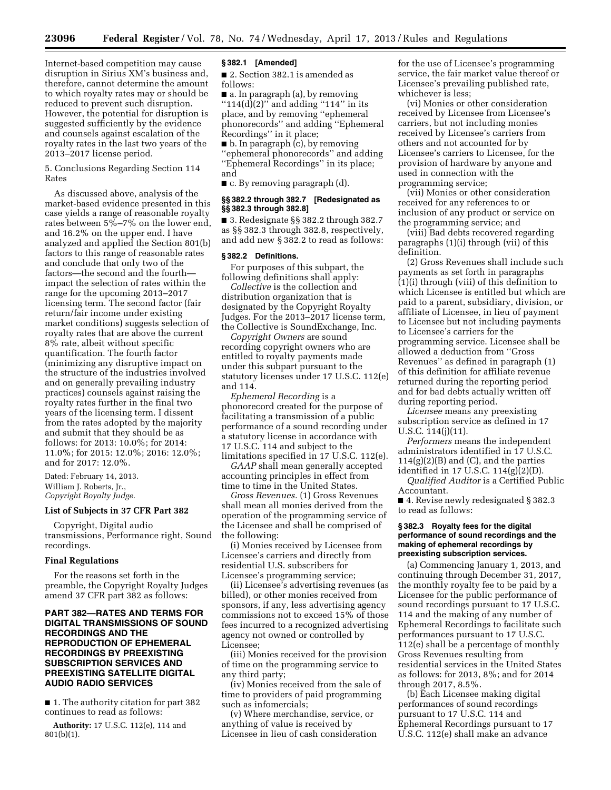Internet-based competition may cause disruption in Sirius XM's business and, therefore, cannot determine the amount to which royalty rates may or should be reduced to prevent such disruption. However, the potential for disruption is suggested sufficiently by the evidence and counsels against escalation of the royalty rates in the last two years of the 2013–2017 license period.

5. Conclusions Regarding Section 114 Rates

As discussed above, analysis of the market-based evidence presented in this case yields a range of reasonable royalty rates between  $5\% - 7\%$  on the lower end, and 16.2% on the upper end. I have analyzed and applied the Section 801(b) factors to this range of reasonable rates and conclude that only two of the factors—the second and the fourthimpact the selection of rates within the range for the upcoming 2013–2017 licensing term. The second factor (fair return/fair income under existing market conditions) suggests selection of royalty rates that are above the current 8% rate, albeit without specific quantification. The fourth factor (minimizing any disruptive impact on the structure of the industries involved and on generally prevailing industry practices) counsels against raising the royalty rates further in the final two years of the licensing term. I dissent from the rates adopted by the majority and submit that they should be as follows: for 2013: 10.0%; for 2014: 11.0%; for 2015: 12.0%; 2016: 12.0%; and for 2017: 12.0%.

Dated: February 14, 2013. William J. Roberts, Jr., *Copyright Royalty Judge.* 

#### **List of Subjects in 37 CFR Part 382**

Copyright, Digital audio transmissions, Performance right, Sound recordings.

#### **Final Regulations**

For the reasons set forth in the preamble, the Copyright Royalty Judges amend 37 CFR part 382 as follows:

# **PART 382—RATES AND TERMS FOR DIGITAL TRANSMISSIONS OF SOUND RECORDINGS AND THE REPRODUCTION OF EPHEMERAL RECORDINGS BY PREEXISTING SUBSCRIPTION SERVICES AND PREEXISTING SATELLITE DIGITAL AUDIO RADIO SERVICES**

■ 1. The authority citation for part 382 continues to read as follows:

**Authority:** 17 U.S.C. 112(e), 114 and 801(b)(1).

#### **§ 382.1 [Amended]**

■ 2. Section 382.1 is amended as follows:

■ a. In paragraph (a), by removing " $114(d)(2)$ " and adding "114" in its place, and by removing ''ephemeral phonorecords'' and adding ''Ephemeral Recordings'' in it place;

■ b. In paragraph (c), by removing ''ephemeral phonorecords'' and adding ''Ephemeral Recordings'' in its place; and

■ c. By removing paragraph (d).

#### **§§ 382.2 through 382.7 [Redesignated as §§ 382.3 through 382.8]**

■ 3. Redesignate §§ 382.2 through 382.7 as §§ 382.3 through 382.8, respectively, and add new § 382.2 to read as follows:

#### **§ 382.2 Definitions.**

For purposes of this subpart, the following definitions shall apply:

*Collective* is the collection and distribution organization that is designated by the Copyright Royalty Judges. For the 2013–2017 license term, the Collective is SoundExchange, Inc.

*Copyright Owners* are sound recording copyright owners who are entitled to royalty payments made under this subpart pursuant to the statutory licenses under 17 U.S.C. 112(e) and 114.

*Ephemeral Recording* is a phonorecord created for the purpose of facilitating a transmission of a public performance of a sound recording under a statutory license in accordance with 17 U.S.C. 114 and subject to the limitations specified in 17 U.S.C. 112(e).

*GAAP* shall mean generally accepted accounting principles in effect from time to time in the United States.

*Gross Revenues.* (1) Gross Revenues shall mean all monies derived from the operation of the programming service of the Licensee and shall be comprised of the following:

(i) Monies received by Licensee from Licensee's carriers and directly from residential U.S. subscribers for Licensee's programming service;

(ii) Licensee's advertising revenues (as billed), or other monies received from sponsors, if any, less advertising agency commissions not to exceed 15% of those fees incurred to a recognized advertising agency not owned or controlled by Licensee;

(iii) Monies received for the provision of time on the programming service to any third party;

(iv) Monies received from the sale of time to providers of paid programming such as infomercials;

(v) Where merchandise, service, or anything of value is received by Licensee in lieu of cash consideration for the use of Licensee's programming service, the fair market value thereof or Licensee's prevailing published rate, whichever is less;

(vi) Monies or other consideration received by Licensee from Licensee's carriers, but not including monies received by Licensee's carriers from others and not accounted for by Licensee's carriers to Licensee, for the provision of hardware by anyone and used in connection with the programming service;

(vii) Monies or other consideration received for any references to or inclusion of any product or service on the programming service; and

(viii) Bad debts recovered regarding paragraphs (1)(i) through (vii) of this definition.

(2) Gross Revenues shall include such payments as set forth in paragraphs (1)(i) through (viii) of this definition to which Licensee is entitled but which are paid to a parent, subsidiary, division, or affiliate of Licensee, in lieu of payment to Licensee but not including payments to Licensee's carriers for the programming service. Licensee shall be allowed a deduction from ''Gross Revenues'' as defined in paragraph (1) of this definition for affiliate revenue returned during the reporting period and for bad debts actually written off during reporting period.

*Licensee* means any preexisting subscription service as defined in 17 U.S.C. 114(j)(11).

*Performers* means the independent administrators identified in 17 U.S.C.  $114(g)(2)(B)$  and  $(C)$ , and the parties identified in 17 U.S.C. 114(g)(2)(D).

*Qualified Auditor* is a Certified Public Accountant.

■ 4. Revise newly redesignated § 382.3 to read as follows:

#### **§ 382.3 Royalty fees for the digital performance of sound recordings and the making of ephemeral recordings by preexisting subscription services.**

(a) Commencing January 1, 2013, and continuing through December 31, 2017, the monthly royalty fee to be paid by a Licensee for the public performance of sound recordings pursuant to 17 U.S.C. 114 and the making of any number of Ephemeral Recordings to facilitate such performances pursuant to 17 U.S.C. 112(e) shall be a percentage of monthly Gross Revenues resulting from residential services in the United States as follows: for 2013, 8%; and for 2014 through 2017, 8.5%.

(b) Each Licensee making digital performances of sound recordings pursuant to 17 U.S.C. 114 and Ephemeral Recordings pursuant to 17 U.S.C. 112(e) shall make an advance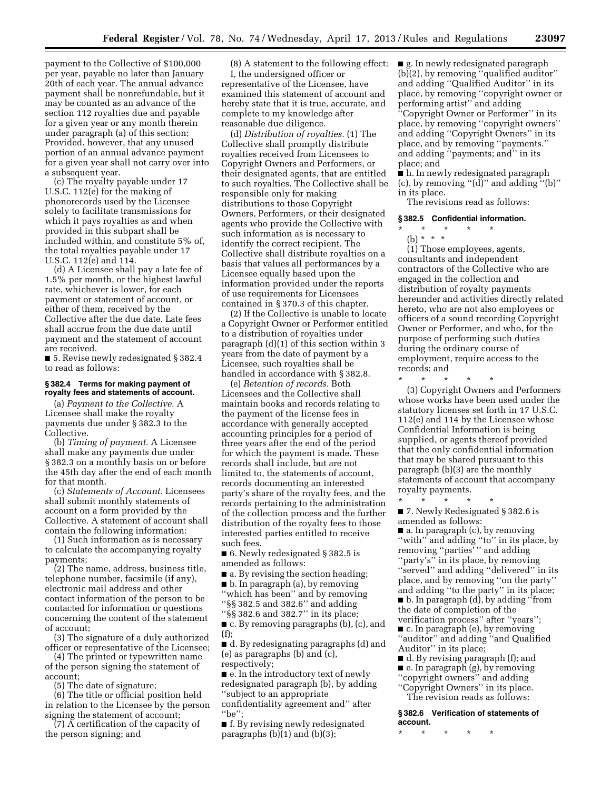payment to the Collective of \$100,000 per year, payable no later than January 20th of each year. The annual advance payment shall be nonrefundable, but it may be counted as an advance of the section 112 royalties due and payable for a given year or any month therein under paragraph (a) of this section; Provided, however, that any unused portion of an annual advance payment for a given year shall not carry over into a subsequent year.

(c) The royalty payable under 17 U.S.C. 112(e) for the making of phonorecords used by the Licensee solely to facilitate transmissions for which it pays royalties as and when provided in this subpart shall be included within, and constitute 5% of, the total royalties payable under 17 U.S.C. 112(e) and 114.

(d) A Licensee shall pay a late fee of 1.5% per month, or the highest lawful rate, whichever is lower, for each payment or statement of account, or either of them, received by the Collective after the due date. Late fees shall accrue from the due date until payment and the statement of account are received.

■ 5. Revise newly redesignated § 382.4 to read as follows:

#### **§ 382.4 Terms for making payment of royalty fees and statements of account.**

(a) *Payment to the Collective.* A Licensee shall make the royalty payments due under § 382.3 to the Collective.

(b) *Timing of payment.* A Licensee shall make any payments due under § 382.3 on a monthly basis on or before the 45th day after the end of each month for that month.

(c) *Statements of Account.* Licensees shall submit monthly statements of account on a form provided by the Collective. A statement of account shall contain the following information:

(1) Such information as is necessary to calculate the accompanying royalty payments;

(2) The name, address, business title, telephone number, facsimile (if any), electronic mail address and other contact information of the person to be contacted for information or questions concerning the content of the statement of account;

(3) The signature of a duly authorized officer or representative of the Licensee;

(4) The printed or typewritten name of the person signing the statement of account;

(5) The date of signature;

(6) The title or official position held in relation to the Licensee by the person signing the statement of account;

(7) A certification of the capacity of the person signing; and

(8) A statement to the following effect: I, the undersigned officer or representative of the Licensee, have examined this statement of account and hereby state that it is true, accurate, and complete to my knowledge after reasonable due diligence.

(d) *Distribution of royalties.* (1) The Collective shall promptly distribute royalties received from Licensees to Copyright Owners and Performers, or their designated agents, that are entitled to such royalties. The Collective shall be responsible only for making distributions to those Copyright Owners, Performers, or their designated agents who provide the Collective with such information as is necessary to identify the correct recipient. The Collective shall distribute royalties on a basis that values all performances by a Licensee equally based upon the information provided under the reports of use requirements for Licensees contained in § 370.3 of this chapter.

(2) If the Collective is unable to locate a Copyright Owner or Performer entitled to a distribution of royalties under paragraph (d)(1) of this section within 3 years from the date of payment by a Licensee, such royalties shall be handled in accordance with § 382.8.

(e) *Retention of records.* Both Licensees and the Collective shall maintain books and records relating to the payment of the license fees in accordance with generally accepted accounting principles for a period of three years after the end of the period for which the payment is made. These records shall include, but are not limited to, the statements of account, records documenting an interested party's share of the royalty fees, and the records pertaining to the administration of the collection process and the further distribution of the royalty fees to those interested parties entitled to receive such fees.

■ 6. Newly redesignated § 382.5 is amended as follows:

- a. By revising the section heading;
- b. In paragraph (a), by removing
- ''which has been'' and by removing
- ''§§ 382.5 and 382.6'' and adding

''§§ 382.6 and 382.7'' in its place; ■ c. By removing paragraphs (b), (c), and

(f);

■ d. By redesignating paragraphs (d) and (e) as paragraphs (b) and (c), respectively;

■ e. In the introductory text of newly redesignated paragraph (b), by adding ''subject to an appropriate confidentiality agreement and'' after ''be'';

■ f. By revising newly redesignated paragraphs (b)(1) and (b)(3);

■ g. In newly redesignated paragraph (b)(2), by removing ''qualified auditor'' and adding ''Qualified Auditor'' in its place, by removing ''copyright owner or performing artist'' and adding ''Copyright Owner or Performer'' in its place, by removing ''copyright owners'' and adding ''Copyright Owners'' in its place, and by removing ''payments.'' and adding ''payments; and'' in its place; and

■ h. In newly redesignated paragraph (c), by removing ''(d)'' and adding ''(b)'' in its place.

The revisions read as follows:

# **§ 382.5 Confidential information.**

\* \* \* \* \*

(b) \* \* \* (1) Those employees, agents, consultants and independent contractors of the Collective who are engaged in the collection and distribution of royalty payments hereunder and activities directly related hereto, who are not also employees or officers of a sound recording Copyright Owner or Performer, and who, for the purpose of performing such duties during the ordinary course of employment, require access to the records; and

\* \* \* \* \* (3) Copyright Owners and Performers whose works have been used under the statutory licenses set forth in 17 U.S.C. 112(e) and 114 by the Licensee whose Confidential Information is being supplied, or agents thereof provided that the only confidential information that may be shared pursuant to this paragraph (b)(3) are the monthly statements of account that accompany royalty payments.

\* \* \* \* \* ■ 7. Newly Redesignated § 382.6 is amended as follows:

■ a. In paragraph (c), by removing "with" and adding "to" in its place, by removing "parties"" and adding ''party's'' in its place, by removing "served" and adding "delivered" in its place, and by removing ''on the party'' and adding ''to the party'' in its place; ■ b. In paragraph (d), by adding ''from the date of completion of the verification process'' after ''years''; ■ c. In paragraph (e), by removing ''auditor'' and adding ''and Qualified Auditor'' in its place;

- d. By revising paragraph (f); and
- e. In paragraph (g), by removing
- ''copyright owners'' and adding ''Copyright Owners'' in its place.

The revision reads as follows:

**§ 382.6 Verification of statements of account.** 

\* \* \* \* \*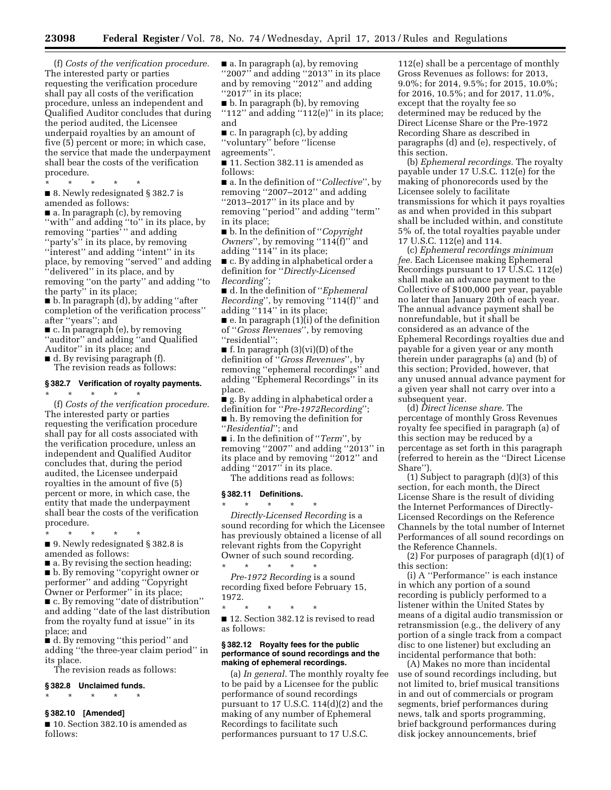(f) *Costs of the verification procedure.*  The interested party or parties requesting the verification procedure shall pay all costs of the verification procedure, unless an independent and Qualified Auditor concludes that during the period audited, the Licensee underpaid royalties by an amount of five (5) percent or more; in which case, the service that made the underpayment shall bear the costs of the verification procedure.

■ 8. Newly redesignated § 382.7 is amended as follows:

\* \* \* \* \*

■ a. In paragraph (c), by removing ''with'' and adding ''to'' in its place, by removing ''parties' '' and adding ''party's'' in its place, by removing "interest" and adding "intent" in its place, by removing ''served'' and adding ''delivered'' in its place, and by removing ''on the party'' and adding ''to the party'' in its place;

■ b. In paragraph (d), by adding ''after completion of the verification process'' after ''years''; and

■ c. In paragraph (e), by removing ''auditor'' and adding ''and Qualified Auditor'' in its place; and

■ d. By revising paragraph (f).

\* \* \* \* \*

The revision reads as follows:

# **§ 382.7 Verification of royalty payments.**

(f) *Costs of the verification procedure.*  The interested party or parties requesting the verification procedure shall pay for all costs associated with the verification procedure, unless an independent and Qualified Auditor concludes that, during the period audited, the Licensee underpaid royalties in the amount of five (5) percent or more, in which case, the entity that made the underpayment shall bear the costs of the verification procedure.

■ 9. Newly redesignated § 382.8 is amended as follows:

\* \* \* \* \*

 $\blacksquare$  a. By revising the section heading; ■ b. By removing "copyright owner or performer'' and adding ''Copyright Owner or Performer'' in its place; ■ c. By removing "date of distribution" and adding ''date of the last distribution from the royalty fund at issue'' in its place; and

■ d. By removing "this period" and adding ''the three-year claim period'' in its place.

The revision reads as follows:

# **§ 382.8 Unclaimed funds.**

\* \* \* \* \*

## **§ 382.10 [Amended]**

■ 10. Section 382.10 is amended as follows:

■ a. In paragraph (a), by removing ''2007'' and adding ''2013'' in its place and by removing ''2012'' and adding "2017" in its place;

■ b. In paragraph (b), by removing ''112'' and adding ''112(e)'' in its place; and

■ c. In paragraph (c), by adding ''voluntary'' before ''license agreements''.

■ 11. Section 382.11 is amended as follows:

■ a. In the definition of ''*Collective*'', by removing ''2007–2012'' and adding ''2013–2017'' in its place and by removing ''period'' and adding ''term'' in its place;

■ b. In the definition of ''*Copyright Owners*", by removing "114(f)" and adding "114" in its place;

■ c. By adding in alphabetical order a definition for ''*Directly-Licensed Recording*'';

■ d. In the definition of ''*Ephemeral Recording*'', by removing ''114(f)'' and adding ''114'' in its place;

 $\blacksquare$  e. In paragraph (1)(i) of the definition of ''*Gross Revenues*'', by removing ''residential'';

 $\blacksquare$  f. In paragraph  $(3)(vi)(D)$  of the definition of ''*Gross Revenues*'', by removing ''ephemeral recordings'' and adding ''Ephemeral Recordings'' in its place.

■ g. By adding in alphabetical order a definition for ''*Pre-1972Recording*'';

■ h. By removing the definition for

''*Residential*''; and

■ i. In the definition of ''*Term*'', by removing ''2007'' and adding ''2013'' in its place and by removing ''2012'' and adding ''2017'' in its place. The additions read as follows:

# **§ 382.11 Definitions.**

\* \* \* \* \* *Directly-Licensed Recording* is a sound recording for which the Licensee has previously obtained a license of all relevant rights from the Copyright Owner of such sound recording. \* \* \* \* \*

*Pre-1972 Recording* is a sound recording fixed before February 15, 1972.

\* \* \* \* \*

■ 12. Section 382.12 is revised to read as follows:

#### **§ 382.12 Royalty fees for the public performance of sound recordings and the making of ephemeral recordings.**

(a) *In general.* The monthly royalty fee to be paid by a Licensee for the public performance of sound recordings pursuant to 17 U.S.C. 114(d)(2) and the making of any number of Ephemeral Recordings to facilitate such performances pursuant to 17 U.S.C.

112(e) shall be a percentage of monthly Gross Revenues as follows: for 2013, 9.0%; for 2014, 9.5%; for 2015, 10.0%; for 2016, 10.5%; and for 2017, 11.0%, except that the royalty fee so determined may be reduced by the Direct License Share or the Pre-1972 Recording Share as described in paragraphs (d) and (e), respectively, of this section.

(b) *Ephemeral recordings.* The royalty payable under 17 U.S.C. 112(e) for the making of phonorecords used by the Licensee solely to facilitate transmissions for which it pays royalties as and when provided in this subpart shall be included within, and constitute 5% of, the total royalties payable under 17 U.S.C. 112(e) and 114.

(c) *Ephemeral recordings minimum fee.* Each Licensee making Ephemeral Recordings pursuant to 17 U.S.C. 112(e) shall make an advance payment to the Collective of \$100,000 per year, payable no later than January 20th of each year. The annual advance payment shall be nonrefundable, but it shall be considered as an advance of the Ephemeral Recordings royalties due and payable for a given year or any month therein under paragraphs (a) and (b) of this section; Provided, however, that any unused annual advance payment for a given year shall not carry over into a subsequent year.

(d) *Direct license share.* The percentage of monthly Gross Revenues royalty fee specified in paragraph (a) of this section may be reduced by a percentage as set forth in this paragraph (referred to herein as the ''Direct License Share'').

(1) Subject to paragraph (d)(3) of this section, for each month, the Direct License Share is the result of dividing the Internet Performances of Directly-Licensed Recordings on the Reference Channels by the total number of Internet Performances of all sound recordings on the Reference Channels.

(2) For purposes of paragraph (d)(1) of this section:

(i) A ''Performance'' is each instance in which any portion of a sound recording is publicly performed to a listener within the United States by means of a digital audio transmission or retransmission (e.g., the delivery of any portion of a single track from a compact disc to one listener) but excluding an incidental performance that both:

(A) Makes no more than incidental use of sound recordings including, but not limited to, brief musical transitions in and out of commercials or program segments, brief performances during news, talk and sports programming, brief background performances during disk jockey announcements, brief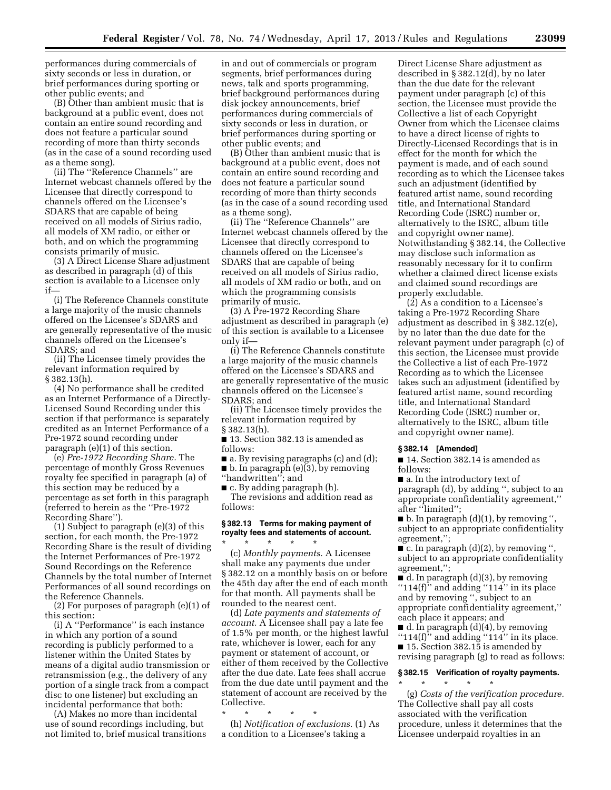performances during commercials of sixty seconds or less in duration, or brief performances during sporting or other public events; and

(B) Other than ambient music that is background at a public event, does not contain an entire sound recording and does not feature a particular sound recording of more than thirty seconds (as in the case of a sound recording used as a theme song).

(ii) The ''Reference Channels'' are Internet webcast channels offered by the Licensee that directly correspond to channels offered on the Licensee's SDARS that are capable of being received on all models of Sirius radio, all models of XM radio, or either or both, and on which the programming consists primarily of music.

(3) A Direct License Share adjustment as described in paragraph (d) of this section is available to a Licensee only if—

(i) The Reference Channels constitute a large majority of the music channels offered on the Licensee's SDARS and are generally representative of the music channels offered on the Licensee's SDARS; and

(ii) The Licensee timely provides the relevant information required by § 382.13(h).

(4) No performance shall be credited as an Internet Performance of a Directly-Licensed Sound Recording under this section if that performance is separately credited as an Internet Performance of a Pre-1972 sound recording under paragraph (e)(1) of this section.

(e) *Pre-1972 Recording Share.* The percentage of monthly Gross Revenues royalty fee specified in paragraph (a) of this section may be reduced by a percentage as set forth in this paragraph (referred to herein as the ''Pre-1972 Recording Share'').

(1) Subject to paragraph (e)(3) of this section, for each month, the Pre-1972 Recording Share is the result of dividing the Internet Performances of Pre-1972 Sound Recordings on the Reference Channels by the total number of Internet Performances of all sound recordings on the Reference Channels.

(2) For purposes of paragraph (e)(1) of this section:

(i) A ''Performance'' is each instance in which any portion of a sound recording is publicly performed to a listener within the United States by means of a digital audio transmission or retransmission (e.g., the delivery of any portion of a single track from a compact disc to one listener) but excluding an incidental performance that both:

(A) Makes no more than incidental use of sound recordings including, but not limited to, brief musical transitions

in and out of commercials or program segments, brief performances during news, talk and sports programming, brief background performances during disk jockey announcements, brief performances during commercials of sixty seconds or less in duration, or brief performances during sporting or other public events; and

(B) Other than ambient music that is background at a public event, does not contain an entire sound recording and does not feature a particular sound recording of more than thirty seconds (as in the case of a sound recording used as a theme song).

(ii) The ''Reference Channels'' are Internet webcast channels offered by the Licensee that directly correspond to channels offered on the Licensee's SDARS that are capable of being received on all models of Sirius radio, all models of XM radio or both, and on which the programming consists primarily of music.

(3) A Pre-1972 Recording Share adjustment as described in paragraph (e) of this section is available to a Licensee only if—

(i) The Reference Channels constitute a large majority of the music channels offered on the Licensee's SDARS and are generally representative of the music channels offered on the Licensee's SDARS; and

(ii) The Licensee timely provides the relevant information required by § 382.13(h).

■ 13. Section 382.13 is amended as follows:

■ a. By revising paragraphs (c) and (d);

 $\blacksquare$  b. In paragraph (e)(3), by removing "handwritten"; and

■ c. By adding paragraph (h).

The revisions and addition read as follows:

# **§ 382.13 Terms for making payment of royalty fees and statements of account.**

\* \* \* \* \* (c) *Monthly payments.* A Licensee shall make any payments due under § 382.12 on a monthly basis on or before the 45th day after the end of each month for that month. All payments shall be rounded to the nearest cent.

(d) *Late payments and statements of account.* A Licensee shall pay a late fee of 1.5% per month, or the highest lawful rate, whichever is lower, each for any payment or statement of account, or either of them received by the Collective after the due date. Late fees shall accrue from the due date until payment and the statement of account are received by the Collective.

\* \* \* \* \*

(h) *Notification of exclusions.* (1) As a condition to a Licensee's taking a

Direct License Share adjustment as described in § 382.12(d), by no later than the due date for the relevant payment under paragraph (c) of this section, the Licensee must provide the Collective a list of each Copyright Owner from which the Licensee claims to have a direct license of rights to Directly-Licensed Recordings that is in effect for the month for which the payment is made, and of each sound recording as to which the Licensee takes such an adjustment (identified by featured artist name, sound recording title, and International Standard Recording Code (ISRC) number or, alternatively to the ISRC, album title and copyright owner name). Notwithstanding § 382.14, the Collective may disclose such information as reasonably necessary for it to confirm whether a claimed direct license exists and claimed sound recordings are properly excludable.

(2) As a condition to a Licensee's taking a Pre-1972 Recording Share adjustment as described in § 382.12(e), by no later than the due date for the relevant payment under paragraph (c) of this section, the Licensee must provide the Collective a list of each Pre-1972 Recording as to which the Licensee takes such an adjustment (identified by featured artist name, sound recording title, and International Standard Recording Code (ISRC) number or, alternatively to the ISRC, album title and copyright owner name).

# **§ 382.14 [Amended]**

■ 14. Section 382.14 is amended as follows:

■ a. In the introductory text of paragraph (d), by adding '', subject to an appropriate confidentiality agreement,'' after "limited";

 $\blacksquare$  b. In paragraph  $(d)(1)$ , by removing ", subject to an appropriate confidentiality agreement,'';

 $\bullet$  c. In paragraph (d)(2), by removing " subject to an appropriate confidentiality agreement,'';

 $\blacksquare$  d. In paragraph (d)(3), by removing ''114(f)'' and adding ''114'' in its place and by removing '', subject to an appropriate confidentiality agreement,'' each place it appears; and

■ d. In paragraph (d)(4), by removing

" $114(f)$ " and adding " $114$ " in its place. ■ 15. Section 382.15 is amended by revising paragraph (g) to read as follows:

# **§ 382.15 Verification of royalty payments.**

\* \* \* \* \* (g) *Costs of the verification procedure.*  The Collective shall pay all costs associated with the verification procedure, unless it determines that the Licensee underpaid royalties in an